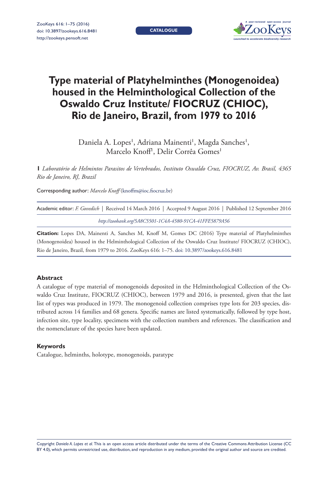**CATALOGUE**



# **Type material of Platyhelminthes (Monogenoidea) housed in the Helminthological Collection of the Oswaldo Cruz Institute/ FIOCRUZ (CHIOC), Rio de Janeiro, Brazil, from 1979 to 2016**

Daniela A. Lopes', Adriana Mainenti', Magda Sanches', Marcelo Knoff<sup>1</sup>, Delir Corrêa Gomes<sup>1</sup>

**1** *Laboratório de Helmintos Parasitos de Vertebrados, Instituto Oswaldo Cruz, FIOCRUZ, Av. Brasil, 4365 Rio de Janeiro, RJ, Brazil*

Corresponding author: *Marcelo Knoff* ([knoffm@ioc.fiocruz.br\)](mailto:knoffm@ioc.fiocruz.br)

| Academic editor: F. Govedich   Received 14 March 2016   Accepted 9 August 2016   Published 12 September 2016 |
|--------------------------------------------------------------------------------------------------------------|
| http://zoobank.org/5A8C5501-1C4A-4580-91CA-41FFE5879A56                                                      |

**Citation:** Lopes DA, Mainenti A, Sanches M, Knoff M, Gomes DC (2016) Type material of Platyhelminthes (Monogenoidea) housed in the Helminthological Collection of the Oswaldo Cruz Institute/ FIOCRUZ (CHIOC), Rio de Janeiro, Brazil, from 1979 to 2016. ZooKeys 616: 1–75. [doi: 10.3897/zookeys.616.8481](http://dx.doi.org/10.3897/zookeys.616.8481)

## **Abstract**

A catalogue of type material of monogenoids deposited in the Helminthological Collection of the Oswaldo Cruz Institute, FIOCRUZ (CHIOC), between 1979 and 2016, is presented, given that the last list of types was produced in 1979. The monogenoid collection comprises type lots for 203 species, distributed across 14 families and 68 genera. Specific names are listed systematically, followed by type host, infection site, type locality, specimens with the collection numbers and references. The classification and the nomenclature of the species have been updated.

#### **Keywords**

Catalogue, helminths, holotype, monogenoids, paratype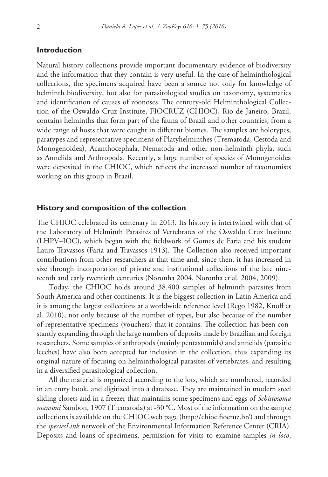## **Introduction**

Natural history collections provide important documentary evidence of biodiversity and the information that they contain is very useful. In the case of helminthological collections, the specimens acquired have been a source not only for knowledge of helminth biodiversity, but also for parasitological studies on taxonomy, systematics and identification of causes of zoonoses. The century-old Helminthological Collection of the Oswaldo Cruz Institute, FIOCRUZ (CHIOC), Rio de Janeiro, Brazil, contains helminths that form part of the fauna of Brazil and other countries, from a wide range of hosts that were caught in different biomes. The samples are holotypes, paratypes and representative specimens of Platyhelminthes (Trematoda, Cestoda and Monogenoidea), Acanthocephala, Nematoda and other non-helminth phyla, such as Annelida and Arthropoda. Recently, a large number of species of Monogenoidea were deposited in the CHIOC, which reflects the increased number of taxonomists working on this group in Brazil.

#### **History and composition of the collection**

The CHIOC celebrated its centenary in 2013. Its history is intertwined with that of the Laboratory of Helminth Parasites of Vertebrates of the Oswaldo Cruz Institute (LHPV–IOC), which began with the fieldwork of Gomes de Faria and his student Lauro Travassos (Faria and Travassos 1913). The Collection also received important contributions from other researchers at that time and, since then, it has increased in size through incorporation of private and institutional collections of the late nineteenth and early twentieth centuries (Noronha 2004, Noronha et al. 2004, 2009).

Today, the CHIOC holds around 38.400 samples of helminth parasites from South America and other continents. It is the biggest collection in Latin America and it is among the largest collections at a worldwide reference level (Rego 1982, Knoff et al. 2010), not only because of the number of types, but also because of the number of representative specimens (vouchers) that it contains. The collection has been constantly expanding through the large numbers of deposits made by Brazilian and foreign researchers. Some samples of arthropods (mainly pentastomids) and annelids (parasitic leeches) have also been accepted for inclusion in the collection, thus expanding its original nature of focusing on helminthological parasites of vertebrates, and resulting in a diversified parasitological collection.

All the material is organized according to the lots, which are numbered, recorded in an entry book, and digitized into a database. They are maintained in modern steel sliding closets and in a freezer that maintains some specimens and eggs of *Schistosoma mansoni* Sambon, 1907 (Trematoda) at -30 °C. Most of the information on the sample collections is available on the CHIOC web page [\(http://chioc.fiocruz.br/](http://chioc.fiocruz.br/)) and through the *speciesLink* network of the Environmental Information Reference Center (CRIA). Deposits and loans of specimens, permission for visits to examine samples *in loco*,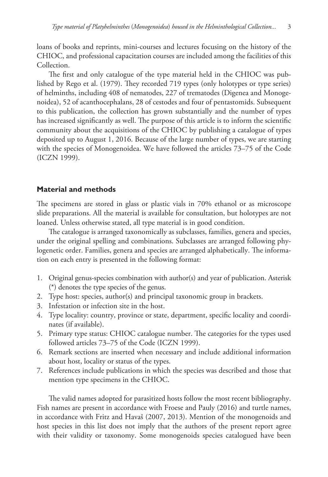loans of books and reprints, mini-courses and lectures focusing on the history of the CHIOC, and professional capacitation courses are included among the facilities of this Collection.

The first and only catalogue of the type material held in the CHIOC was published by Rego et al. (1979). They recorded 719 types (only holotypes or type series) of helminths, including 408 of nematodes, 227 of trematodes (Digenea and Monogenoidea), 52 of acanthocephalans, 28 of cestodes and four of pentastomids. Subsequent to this publication, the collection has grown substantially and the number of types has increased significantly as well. The purpose of this article is to inform the scientific community about the acquisitions of the CHIOC by publishing a catalogue of types deposited up to August 1, 2016. Because of the large number of types, we are starting with the species of Monogenoidea. We have followed the articles 73–75 of the Code (ICZN 1999).

# **Material and methods**

The specimens are stored in glass or plastic vials in 70% ethanol or as microscope slide preparations. All the material is available for consultation, but holotypes are not loaned. Unless otherwise stated, all type material is in good condition.

The catalogue is arranged taxonomically as subclasses, families, genera and species, under the original spelling and combinations. Subclasses are arranged following phylogenetic order. Families, genera and species are arranged alphabetically. The information on each entry is presented in the following format:

- 1. Original genus-species combination with author(s) and year of publication. Asterisk (\*) denotes the type species of the genus.
- 2. Type host: species, author(s) and principal taxonomic group in brackets.
- 3. Infestation or infection site in the host.
- 4. Type locality: country, province or state, department, specific locality and coordinates (if available).
- 5. Primary type status: CHIOC catalogue number. The categories for the types used followed articles 73–75 of the Code (ICZN 1999).
- 6. Remark sections are inserted when necessary and include additional information about host, locality or status of the types.
- 7. References include publications in which the species was described and those that mention type specimens in the CHIOC.

The valid names adopted for parasitized hosts follow the most recent bibliography. Fish names are present in accordance with Froese and Pauly (2016) and turtle names, in accordance with Fritz and Havaš (2007, 2013). Mention of the monogenoids and host species in this list does not imply that the authors of the present report agree with their validity or taxonomy. Some monogenoids species catalogued have been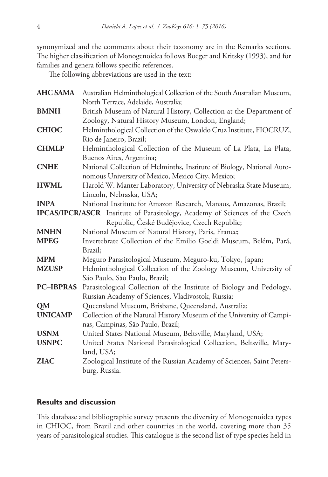synonymized and the comments about their taxonomy are in the Remarks sections. The higher classification of Monogenoidea follows Boeger and Kritsky (1993), and for families and genera follows specific references.

The following abbreviations are used in the text:

| <b>AHC SAMA</b> | Australian Helminthological Collection of the South Australian Museum,             |
|-----------------|------------------------------------------------------------------------------------|
|                 | North Terrace, Adelaide, Australia;                                                |
| <b>BMNH</b>     | British Museum of Natural History, Collection at the Department of                 |
|                 | Zoology, Natural History Museum, London, England;                                  |
| <b>CHIOC</b>    | Helminthological Collection of the Oswaldo Cruz Institute, FIOCRUZ,                |
|                 | Rio de Janeiro, Brazil;                                                            |
| <b>CHMLP</b>    | Helminthological Collection of the Museum of La Plata, La Plata,                   |
|                 | Buenos Aires, Argentina;                                                           |
| <b>CNHE</b>     | National Collection of Helminths, Institute of Biology, National Auto-             |
|                 | nomous University of Mexico, Mexico City, Mexico;                                  |
| <b>HWML</b>     | Harold W. Manter Laboratory, University of Nebraska State Museum,                  |
|                 | Lincoln, Nebraska, USA;                                                            |
| <b>INPA</b>     | National Institute for Amazon Research, Manaus, Amazonas, Brazil;                  |
|                 | <b>IPCAS/IPCR/ASCR</b> Institute of Parasitology, Academy of Sciences of the Czech |
|                 | Republic, České Budějovice, Czech Republic;                                        |
| <b>MNHN</b>     | National Museum of Natural History, Paris, France;                                 |
| <b>MPEG</b>     | Invertebrate Collection of the Emílio Goeldi Museum, Belém, Pará,                  |
|                 | Brazil;                                                                            |
| <b>MPM</b>      | Meguro Parasitological Museum, Meguro-ku, Tokyo, Japan;                            |
| <b>MZUSP</b>    | Helminthological Collection of the Zoology Museum, University of                   |
|                 | São Paulo, São Paulo, Brazil;                                                      |
|                 | PC-IBPRAS Parasitological Collection of the Institute of Biology and Pedology,     |
|                 | Russian Academy of Sciences, Vladivostok, Russia;                                  |
| QM              | Queensland Museum, Brisbane, Queensland, Australia;                                |
| <b>UNICAMP</b>  | Collection of the Natural History Museum of the University of Campi-               |
|                 | nas, Campinas, São Paulo, Brazil;                                                  |
| <b>USNM</b>     | United States National Museum, Beltsville, Maryland, USA;                          |
| <b>USNPC</b>    | United States National Parasitological Collection, Beltsville, Mary-               |
|                 | land, USA;                                                                         |
| <b>ZIAC</b>     | Zoological Institute of the Russian Academy of Sciences, Saint Peters-             |
|                 | burg, Russia.                                                                      |

# **Results and discussion**

This database and bibliographic survey presents the diversity of Monogenoidea types in CHIOC, from Brazil and other countries in the world, covering more than 35 years of parasitological studies. This catalogue is the second list of type species held in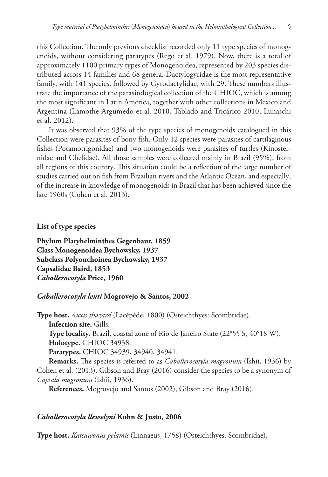this Collection. The only previous checklist recorded only 11 type species of monogenoids, without considering paratypes (Rego et al. 1979). Now, there is a total of approximately 1100 primary types of Monogenoidea, represented by 203 species distributed across 14 families and 68 genera. Dactylogyridae is the most representative family, with 141 species, followed by Gyrodactylidae, with 29. These numbers illustrate the importance of the parasitological collection of the CHIOC, which is among the most significant in Latin America, together with other collections in Mexico and Argentina (Lamothe-Argumedo et al. 2010, Tablado and Tricárico 2010, Lunaschi et al. 2012).

It was observed that 93% of the type species of monogenoids catalogued in this Collection were parasites of bony fish. Only 12 species were parasites of cartilaginous fishes (Potamotrigonidae) and two monogenoids were parasites of turtles (Kinosternidae and Chelidae). All those samples were collected mainly in Brazil (95%), from all regions of this country. This situation could be a reflection of the large number of studies carried out on fish from Brazilian rivers and the Atlantic Ocean, and especially, of the increase in knowledge of monogenoids in Brazil that has been achieved since the late 1960s (Cohen et al. 2013).

**List of type species**

**Phylum Platyhelminthes Gegenbaur, 1859 Class Monogenoidea Bychowsky, 1937 Subclass Polyonchoinea Bychowsky, 1937 Capsalidae Baird, 1853** *Caballerocotyla* **Price, 1960**

# *Caballerocotyla lenti* **Mogrovejo & Santos, 2002**

**Type host.** *Auxis thazard* (Lacépède, 1800) (Osteichthyes: Scombridae). **Infection site.** Gills. **Type locality.** Brazil, coastal zone of Rio de Janeiro State (22°55'S, 40°18'W). **Holotype.** CHIOC 34938. **Paratypes.** CHIOC 34939, 34940, 34941. **Remarks.** The species is referred to as *Caballerocotyla magronum* (Ishii, 1936) by Cohen et al. (2013). Gibson and Bray (2016) consider the species to be a synonym of *Capsala magronum* (Ishii, 1936).

**References.** Mogrovejo and Santos (2002), Gibson and Bray (2016).

# *Caballerocotyla llewelyni* **Kohn & Justo, 2006**

**Type host.** *Katsuwonus pelamis* (Linnaeus, 1758) (Osteichthyes: Scombridae).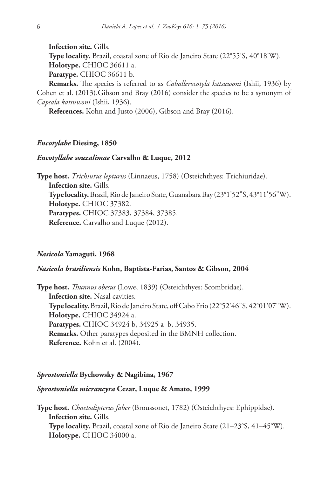**Infection site.** Gills.

**Type locality.** Brazil, coastal zone of Rio de Janeiro State (22°55'S, 40°18'W). **Holotype.** CHIOC 36611 a.

**Paratype.** CHIOC 36611 b.

**Remarks.** The species is referred to as *Caballerocotyla katsuwoni* (Ishii, 1936) by Cohen et al. (2013).Gibson and Bray (2016) consider the species to be a synonym of *Capsala katsuwoni* (Ishii, 1936).

**References.** Kohn and Justo (2006), Gibson and Bray (2016).

## *Encotylabe* **Diesing, 1850**

## *Encotyllabe souzalimae* **Carvalho & Luque, 2012**

**Type host.** *Trichiurus lepturus* (Linnaeus, 1758) (Osteichthyes: Trichiuridae). **Infection site.** Gills. **Type locality.** Brazil, Rio de Janeiro State, Guanabara Bay (23°1'52"S, 43°11'56"W). **Holotype.** CHIOC 37382. **Paratypes.** CHIOC 37383, 37384, 37385. **Reference.** Carvalho and Luque (2012).

## *Nasicola* **Yamaguti, 1968**

### *Nasicola brasiliensis* **Kohn, Baptista-Farias, Santos & Gibson, 2004**

**Type host.** *Thunnus obesus* (Lowe, 1839) (Osteichthyes: Scombridae). **Infection site.** Nasal cavities. **Type locality.** Brazil, Rio de Janeiro State, off Cabo Frio (22°52'46"S, 42°01'07"W). **Holotype.** CHIOC 34924 a. **Paratypes.** CHIOC 34924 b, 34925 a–b, 34935. **Remarks.** Other paratypes deposited in the BMNH collection. **Reference.** Kohn et al. (2004).

#### *Sprostoniella* **Bychowsky & Nagibina, 1967**

## *Sprostoniella micrancyra* **Cezar, Luque & Amato, 1999**

**Type host.** *Chaetodipterus faber* (Broussonet, 1782) (Osteichthyes: Ephippidae). **Infection site.** Gills. **Type locality.** Brazil, coastal zone of Rio de Janeiro State (21–23°S, 41–45°W). **Holotype.** CHIOC 34000 a.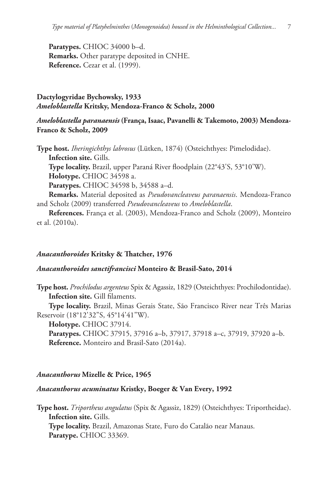**Paratypes.** CHIOC 34000 b–d. **Remarks.** Other paratype deposited in CNHE. **Reference.** Cezar et al. (1999).

# **Dactylogyridae Bychowsky, 1933** *Ameloblastella* **Kritsky, Mendoza-Franco & Scholz, 2000**

# *Ameloblastella paranaensis* **(França, Isaac, Pavanelli & Takemoto, 2003) Mendoza-Franco & Scholz, 2009**

**Type host.** *Iheringichthys labrosus* (Lütken, 1874) (Osteichthyes: Pimelodidae). **Infection site.** Gills.

**Type locality.** Brazil, upper Paraná River floodplain (22°43'S, 53°10'W). **Holotype.** CHIOC 34598 a.

**Paratypes.** CHIOC 34598 b, 34588 a–d.

**Remarks.** Material deposited as *Pseudovancleaveus paranaensis*. Mendoza-Franco and Scholz (2009) transferred *Pseudovancleaveus* to *Ameloblastella*.

**References.** França et al. (2003), Mendoza-Franco and Scholz (2009), Monteiro et al. (2010a).

# *Anacanthoroides* **Kritsky & Thatcher, 1976**

## *Anacanthoroides sanctifrancisci* **Monteiro & Brasil-Sato, 2014**

**Type host.** *Prochilodus argenteus* Spix & Agassiz, 1829 (Osteichthyes: Prochilodontidae). **Infection site.** Gill filaments.

**Type locality.** Brazil, Minas Gerais State, São Francisco River near Três Marias Reservoir (18°12'32"S, 45°14'41"W).

**Holotype.** CHIOC 37914.

**Paratypes.** CHIOC 37915, 37916 a–b, 37917, 37918 a–c, 37919, 37920 a–b. **Reference.** Monteiro and Brasil-Sato (2014a).

#### *Anacanthorus* **Mizelle & Price, 1965**

## *Anacanthorus acuminatus* **Kristky, Boeger & Van Every, 1992**

**Type host.** *Triportheus angulatus* (Spix & Agassiz, 1829) (Osteichthyes: Triportheidae). **Infection site.** Gills. **Type locality.** Brazil, Amazonas State, Furo do Catalão near Manaus. **Paratype.** CHIOC 33369.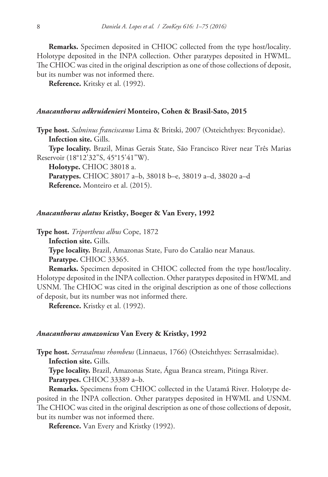**Remarks.** Specimen deposited in CHIOC collected from the type host/locality. Holotype deposited in the INPA collection. Other paratypes deposited in HWML. The CHIOC was cited in the original description as one of those collections of deposit, but its number was not informed there.

**Reference.** Kritsky et al. (1992).

### *Anacanthorus adkruidenieri* **Monteiro, Cohen & Brasil-Sato, 2015**

**Type host.** *Salminus franciscanus* Lima & Britski, 2007 (Osteichthyes: Bryconidae). **Infection site.** Gills.

**Type locality.** Brazil, Minas Gerais State, São Francisco River near Três Marias Reservoir (18°12'32"S, 45°15'41"W).

**Holotype.** CHIOC 38018 a.

**Paratypes.** CHIOC 38017 a–b, 38018 b–e, 38019 a–d, 38020 a–d **Reference.** Monteiro et al. (2015).

#### *Anacanthorus alatus* **Kristky, Boeger & Van Every, 1992**

**Type host.** *Triportheus albus* Cope, 1872

**Infection site.** Gills.

**Type locality.** Brazil, Amazonas State, Furo do Catalão near Manaus.

**Paratype.** CHIOC 33365.

**Remarks.** Specimen deposited in CHIOC collected from the type host/locality. Holotype deposited in the INPA collection. Other paratypes deposited in HWML and USNM. The CHIOC was cited in the original description as one of those collections of deposit, but its number was not informed there.

**Reference.** Kristky et al. (1992).

#### *Anacanthorus amazonicus* **Van Every & Kristky, 1992**

**Type host.** *Serrasalmus rhombeus* (Linnaeus, 1766) (Osteichthyes: Serrasalmidae). **Infection site.** Gills.

**Type locality.** Brazil, Amazonas State, Água Branca stream, Pitinga River. **Paratypes.** CHIOC 33389 a–b.

**Remarks.** Specimens from CHIOC collected in the Uatamã River. Holotype deposited in the INPA collection. Other paratypes deposited in HWML and USNM. The CHIOC was cited in the original description as one of those collections of deposit, but its number was not informed there.

**Reference.** Van Every and Kristky (1992).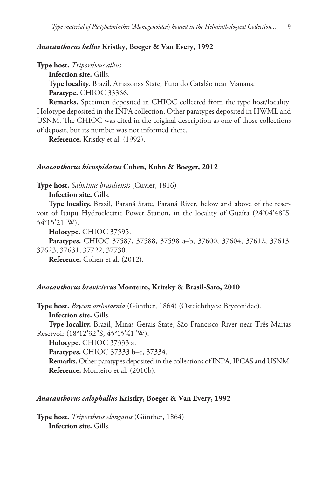## *Anacanthorus bellus* **Kristky, Boeger & Van Every, 1992**

**Type host.** *Triportheus albus*

**Infection site.** Gills.

**Type locality.** Brazil, Amazonas State, Furo do Catalão near Manaus. **Paratype.** CHIOC 33366.

**Remarks.** Specimen deposited in CHIOC collected from the type host/locality. Holotype deposited in the INPA collection. Other paratypes deposited in HWML and USNM. The CHIOC was cited in the original description as one of those collections of deposit, but its number was not informed there.

**Reference.** Kristky et al. (1992).

## *Anacanthorus bicuspidatus* **Cohen, Kohn & Boeger, 2012**

**Type host.** *Salminus brasiliensis* (Cuvier, 1816)

**Infection site.** Gills.

**Type locality.** Brazil, Paraná State, Paraná River, below and above of the reservoir of Itaipu Hydroelectric Power Station, in the locality of Guaíra (24°04'48"S, 54°15'21"W).

**Holotype.** CHIOC 37595.

**Paratypes.** CHIOC 37587, 37588, 37598 a–b, 37600, 37604, 37612, 37613, 37623, 37631, 37722, 37730.

**Reference.** Cohen et al. (2012).

## *Anacanthorus brevicirrus* **Monteiro, Kritsky & Brasil-Sato, 2010**

**Type host.** *Brycon orthotaenia* (Günther, 1864) (Osteichthyes: Bryconidae). **Infection site.** Gills.

**Type locality.** Brazil, Minas Gerais State, São Francisco River near Três Marias Reservoir (18°12'32"S, 45°15'41"W).

**Holotype.** CHIOC 37333 a.

**Paratypes.** CHIOC 37333 b–c, 37334.

**Remarks.** Other paratypes deposited in the collections of INPA, IPCAS and USNM. **Reference.** Monteiro et al. (2010b).

## *Anacanthorus calophallus* **Kristky, Boeger & Van Every, 1992**

**Type host.** *Triportheus elongatus* (Günther, 1864) **Infection site.** Gills.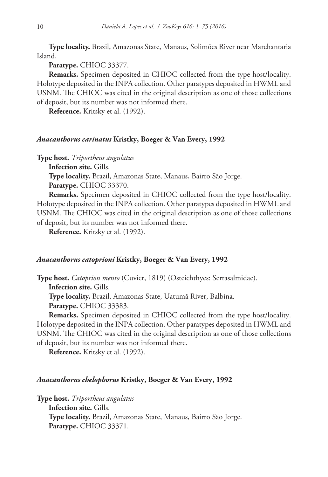**Type locality.** Brazil, Amazonas State, Manaus, Solimões River near Marchantaria Island.

**Paratype.** CHIOC 33377.

**Remarks.** Specimen deposited in CHIOC collected from the type host/locality. Holotype deposited in the INPA collection. Other paratypes deposited in HWML and USNM. The CHIOC was cited in the original description as one of those collections of deposit, but its number was not informed there.

**Reference.** Kritsky et al. (1992).

## *Anacanthorus carinatus* **Kristky, Boeger & Van Every, 1992**

**Type host.** *Triportheus angulatus*

**Infection site.** Gills.

**Type locality.** Brazil, Amazonas State, Manaus, Bairro São Jorge.

**Paratype.** CHIOC 33370.

**Remarks.** Specimen deposited in CHIOC collected from the type host/locality. Holotype deposited in the INPA collection. Other paratypes deposited in HWML and USNM. The CHIOC was cited in the original description as one of those collections of deposit, but its number was not informed there.

**Reference.** Kritsky et al. (1992).

#### *Anacanthorus catoprioni* **Kristky, Boeger & Van Every, 1992**

**Type host.** *Catoprion mento* (Cuvier, 1819) (Osteichthyes: Serrasalmidae). **Infection site.** Gills.

**Type locality.** Brazil, Amazonas State, Uatumã River, Balbina.

**Paratype.** CHIOC 33383.

**Remarks.** Specimen deposited in CHIOC collected from the type host/locality. Holotype deposited in the INPA collection. Other paratypes deposited in HWML and USNM. The CHIOC was cited in the original description as one of those collections of deposit, but its number was not informed there.

**Reference.** Kritsky et al. (1992).

#### *Anacanthorus chelophorus* **Kristky, Boeger & Van Every, 1992**

**Type host.** *Triportheus angulatus* **Infection site.** Gills. **Type locality.** Brazil, Amazonas State, Manaus, Bairro São Jorge. **Paratype.** CHIOC 33371.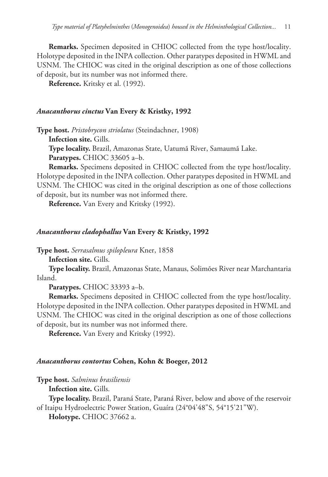**Remarks.** Specimen deposited in CHIOC collected from the type host/locality. Holotype deposited in the INPA collection. Other paratypes deposited in HWML and USNM. The CHIOC was cited in the original description as one of those collections of deposit, but its number was not informed there.

**Reference.** Kritsky et al. (1992).

## *Anacanthorus cinctus* **Van Every & Kristky, 1992**

**Type host.** *Pristobrycon striolatus* (Steindachner, 1908)

**Infection site.** Gills.

**Type locality.** Brazil, Amazonas State, Uatumã River, Samaumã Lake.

**Paratypes.** CHIOC 33605 a–b.

**Remarks.** Specimens deposited in CHIOC collected from the type host/locality. Holotype deposited in the INPA collection. Other paratypes deposited in HWML and USNM. The CHIOC was cited in the original description as one of those collections of deposit, but its number was not informed there.

**Reference.** Van Every and Kritsky (1992).

## *Anacanthorus cladophallus* **Van Every & Kristky, 1992**

**Type host.** *Serrasalmus spilopleura* Kner, 1858

**Infection site.** Gills.

**Type locality.** Brazil, Amazonas State, Manaus, Solimões River near Marchantaria Island.

**Paratypes.** CHIOC 33393 a–b.

**Remarks.** Specimens deposited in CHIOC collected from the type host/locality. Holotype deposited in the INPA collection. Other paratypes deposited in HWML and USNM. The CHIOC was cited in the original description as one of those collections of deposit, but its number was not informed there.

**Reference.** Van Every and Kritsky (1992).

## *Anacanthorus contortus* **Cohen, Kohn & Boeger, 2012**

**Type host.** *Salminus brasiliensis*

**Infection site.** Gills.

**Type locality.** Brazil, Paraná State, Paraná River, below and above of the reservoir of Itaipu Hydroelectric Power Station, Guaíra (24°04'48"S, 54°15'21"W).

**Holotype.** CHIOC 37662 a.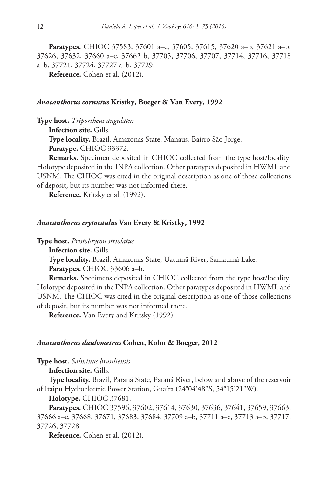**Paratypes.** CHIOC 37583, 37601 a–c, 37605, 37615, 37620 a–b, 37621 a–b, 37626, 37632, 37660 a–c, 37662 b, 37705, 37706, 37707, 37714, 37716, 37718 a–b, 37721, 37724, 37727 a–b, 37729.

**Reference.** Cohen et al. (2012).

### *Anacanthorus cornutus* **Kristky, Boeger & Van Every, 1992**

**Type host.** *Triportheus angulatus*

**Infection site.** Gills.

**Type locality.** Brazil, Amazonas State, Manaus, Bairro São Jorge.

**Paratype.** CHIOC 33372.

**Remarks.** Specimen deposited in CHIOC collected from the type host/locality. Holotype deposited in the INPA collection. Other paratypes deposited in HWML and USNM. The CHIOC was cited in the original description as one of those collections of deposit, but its number was not informed there.

**Reference.** Kritsky et al. (1992).

## *Anacanthorus crytocaulus* **Van Every & Kristky, 1992**

**Type host.** *Pristobrycon striolatus*

**Infection site.** Gills.

**Type locality.** Brazil, Amazonas State, Uatumã River, Samaumã Lake.

**Paratypes.** CHIOC 33606 a–b.

**Remarks.** Specimens deposited in CHIOC collected from the type host/locality. Holotype deposited in the INPA collection. Other paratypes deposited in HWML and USNM. The CHIOC was cited in the original description as one of those collections of deposit, but its number was not informed there.

**Reference.** Van Every and Kritsky (1992).

### *Anacanthorus daulometrus* **Cohen, Kohn & Boeger, 2012**

**Type host.** *Salminus brasiliensis*

**Infection site.** Gills.

**Type locality.** Brazil, Paraná State, Paraná River, below and above of the reservoir of Itaipu Hydroelectric Power Station, Guaíra (24°04'48"S, 54°15'21"W).

**Holotype.** CHIOC 37681.

**Paratypes.** CHIOC 37596, 37602, 37614, 37630, 37636, 37641, 37659, 37663, 37666 a–c, 37668, 37671, 37683, 37684, 37709 a–b, 37711 a–c, 37713 a–b, 37717, 37726, 37728.

**Reference.** Cohen et al. (2012).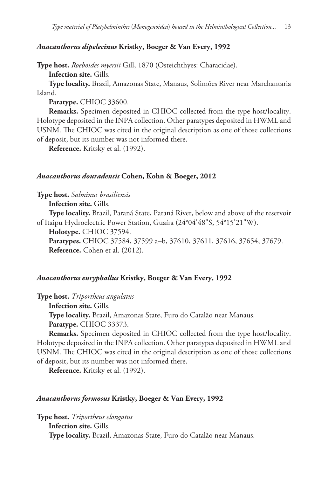#### *Anacanthorus dipelecinus* **Kristky, Boeger & Van Every, 1992**

**Type host.** *Roeboides myersii* Gill, 1870 (Osteichthyes: Characidae). **Infection site.** Gills.

**Type locality.** Brazil, Amazonas State, Manaus, Solimões River near Marchantaria Island.

**Paratype.** CHIOC 33600.

**Remarks.** Specimen deposited in CHIOC collected from the type host/locality. Holotype deposited in the INPA collection. Other paratypes deposited in HWML and USNM. The CHIOC was cited in the original description as one of those collections of deposit, but its number was not informed there.

**Reference.** Kritsky et al. (1992).

#### *Anacanthorus douradensis* **Cohen, Kohn & Boeger, 2012**

**Type host.** *Salminus brasiliensis*

**Infection site.** Gills.

**Type locality.** Brazil, Paraná State, Paraná River, below and above of the reservoir of Itaipu Hydroelectric Power Station, Guaíra (24°04'48"S, 54°15'21"W).

**Holotype.** CHIOC 37594.

**Paratypes.** CHIOC 37584, 37599 a–b, 37610, 37611, 37616, 37654, 37679. **Reference.** Cohen et al. (2012).

#### *Anacanthorus euryphallus* **Kristky, Boeger & Van Every, 1992**

**Type host.** *Triportheus angulatus*

**Infection site.** Gills.

**Type locality.** Brazil, Amazonas State, Furo do Catalão near Manaus. **Paratype.** CHIOC 33373.

**Remarks.** Specimen deposited in CHIOC collected from the type host/locality. Holotype deposited in the INPA collection. Other paratypes deposited in HWML and USNM. The CHIOC was cited in the original description as one of those collections of deposit, but its number was not informed there.

**Reference.** Kritsky et al. (1992).

## *Anacanthorus formosus* **Kristky, Boeger & Van Every, 1992**

**Type host.** *Triportheus elongatus* **Infection site.** Gills. **Type locality.** Brazil, Amazonas State, Furo do Catalão near Manaus.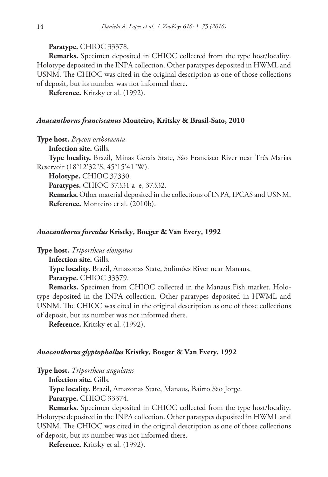**Paratype.** CHIOC 33378.

**Remarks.** Specimen deposited in CHIOC collected from the type host/locality. Holotype deposited in the INPA collection. Other paratypes deposited in HWML and USNM. The CHIOC was cited in the original description as one of those collections of deposit, but its number was not informed there.

**Reference.** Kritsky et al. (1992).

#### *Anacanthorus franciscanus* **Monteiro, Kritsky & Brasil-Sato, 2010**

**Type host.** *Brycon orthotaenia*

**Infection site.** Gills.

**Type locality.** Brazil, Minas Gerais State, São Francisco River near Três Marias Reservoir (18°12'32"S, 45°15'41"W).

**Holotype.** CHIOC 37330.

**Paratypes.** CHIOC 37331 a–e, 37332.

**Remarks.** Other material deposited in the collections of INPA, IPCAS and USNM. **Reference.** Monteiro et al. (2010b).

#### *Anacanthorus furculus* **Kristky, Boeger & Van Every, 1992**

**Type host.** *Triportheus elongatus*

**Infection site.** Gills.

**Type locality.** Brazil, Amazonas State, Solimões River near Manaus.

**Paratype.** CHIOC 33379.

**Remarks.** Specimen from CHIOC collected in the Manaus Fish market. Holotype deposited in the INPA collection. Other paratypes deposited in HWML and USNM. The CHIOC was cited in the original description as one of those collections of deposit, but its number was not informed there.

**Reference.** Kritsky et al. (1992).

## *Anacanthorus glyptophallus* **Kristky, Boeger & Van Every, 1992**

**Type host.** *Triportheus angulatus*

**Infection site.** Gills.

**Type locality.** Brazil, Amazonas State, Manaus, Bairro São Jorge.

**Paratype.** CHIOC 33374.

**Remarks.** Specimen deposited in CHIOC collected from the type host/locality. Holotype deposited in the INPA collection. Other paratypes deposited in HWML and USNM. The CHIOC was cited in the original description as one of those collections of deposit, but its number was not informed there.

**Reference.** Kritsky et al. (1992).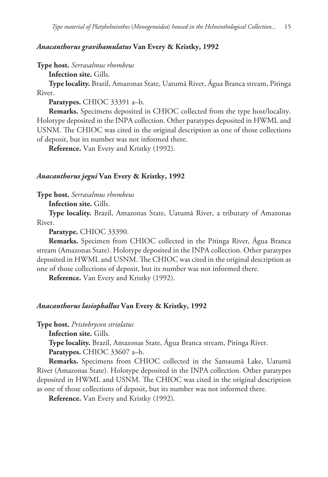## *Anacanthorus gravihamulatus* **Van Every & Kristky, 1992**

**Type host.** *Serrasalmus rhombeus*

**Infection site.** Gills.

**Type locality.** Brazil, Amazonas State, Uatumã River, Água Branca stream, Pitinga River.

**Paratypes.** CHIOC 33391 a–b.

**Remarks.** Specimens deposited in CHIOC collected from the type host/locality. Holotype deposited in the INPA collection. Other paratypes deposited in HWML and USNM. The CHIOC was cited in the original description as one of those collections of deposit, but its number was not informed there.

**Reference.** Van Every and Kristky (1992).

## *Anacanthorus jegui* **Van Every & Kristky, 1992**

**Type host.** *Serrasalmus rhombeus*

**Infection site.** Gills.

**Type locality.** Brazil, Amazonas State, Uatumã River, a tributary of Amazonas River.

**Paratype.** CHIOC 33390.

**Remarks.** Specimen from CHIOC collected in the Pitinga River, Água Branca stream (Amazonas State). Holotype deposited in the INPA collection. Other paratypes deposited in HWML and USNM. The CHIOC was cited in the original description as one of those collections of deposit, but its number was not informed there.

**Reference.** Van Every and Kristky (1992).

#### *Anacanthorus lasiophallus* **Van Every & Kristky, 1992**

**Type host.** *Pristobrycon striolatus*

**Infection site.** Gills.

**Type locality.** Brazil, Amazonas State, Água Branca stream, Pitinga River.

**Paratypes.** CHIOC 33607 a–b.

**Remarks.** Specimens from CHIOC collected in the Samaumã Lake, Uatumã River (Amazonas State). Holotype deposited in the INPA collection. Other paratypes deposited in HWML and USNM. The CHIOC was cited in the original description as one of those collections of deposit, but its number was not informed there.

**Reference.** Van Every and Kristky (1992).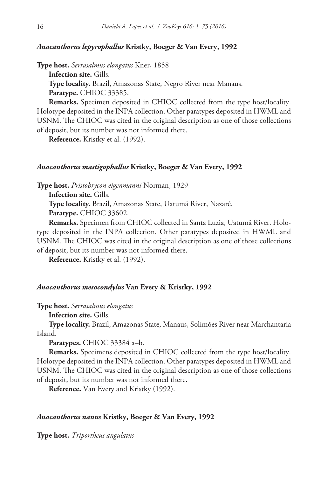## *Anacanthorus lepyrophallus* **Kristky, Boeger & Van Every, 1992**

**Type host.** *Serrasalmus elongatus* Kner, 1858

**Infection site.** Gills.

**Type locality.** Brazil, Amazonas State, Negro River near Manaus. **Paratype.** CHIOC 33385.

**Remarks.** Specimen deposited in CHIOC collected from the type host/locality. Holotype deposited in the INPA collection. Other paratypes deposited in HWML and USNM. The CHIOC was cited in the original description as one of those collections of deposit, but its number was not informed there.

**Reference.** Kristky et al. (1992).

## *Anacanthorus mastigophallus* **Kristky, Boeger & Van Every, 1992**

**Type host.** *Pristobrycon eigenmanni* Norman, 1929

**Infection site.** Gills.

**Type locality.** Brazil, Amazonas State, Uatumã River, Nazaré. **Paratype.** CHIOC 33602.

**Remarks.** Specimen from CHIOC collected in Santa Luzia, Uatumã River. Holotype deposited in the INPA collection. Other paratypes deposited in HWML and USNM. The CHIOC was cited in the original description as one of those collections of deposit, but its number was not informed there.

**Reference.** Kristky et al. (1992).

## *Anacanthorus mesocondylus* **Van Every & Kristky, 1992**

**Type host.** *Serrasalmus elongatus*

**Infection site.** Gills.

**Type locality.** Brazil, Amazonas State, Manaus, Solimões River near Marchantaria Island.

**Paratypes.** CHIOC 33384 a–b.

**Remarks.** Specimens deposited in CHIOC collected from the type host/locality. Holotype deposited in the INPA collection. Other paratypes deposited in HWML and USNM. The CHIOC was cited in the original description as one of those collections of deposit, but its number was not informed there.

**Reference.** Van Every and Kristky (1992).

### *Anacanthorus nanus* **Kristky, Boeger & Van Every, 1992**

**Type host.** *Triportheus angulatus*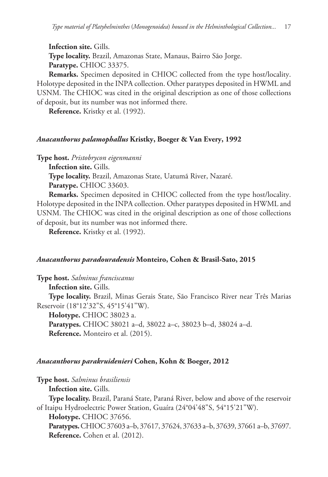**Infection site.** Gills. **Type locality.** Brazil, Amazonas State, Manaus, Bairro São Jorge. **Paratype.** CHIOC 33375.

**Remarks.** Specimen deposited in CHIOC collected from the type host/locality. Holotype deposited in the INPA collection. Other paratypes deposited in HWML and USNM. The CHIOC was cited in the original description as one of those collections of deposit, but its number was not informed there.

**Reference.** Kristky et al. (1992).

## *Anacanthorus palamophallus* **Kristky, Boeger & Van Every, 1992**

**Type host.** *Pristobrycon eigenmanni*

**Infection site.** Gills.

**Type locality.** Brazil, Amazonas State, Uatumã River, Nazaré.

**Paratype.** CHIOC 33603.

**Remarks.** Specimen deposited in CHIOC collected from the type host/locality. Holotype deposited in the INPA collection. Other paratypes deposited in HWML and USNM. The CHIOC was cited in the original description as one of those collections of deposit, but its number was not informed there.

**Reference.** Kristky et al. (1992).

## *Anacanthorus paradouradensis* **Monteiro, Cohen & Brasil-Sato, 2015**

**Type host.** *Salminus franciscanus*

**Infection site.** Gills. **Type locality.** Brazil, Minas Gerais State, São Francisco River near Três Marias Reservoir (18°12'32"S, 45°15'41"W). **Holotype.** CHIOC 38023 a.

**Paratypes.** CHIOC 38021 a–d, 38022 a–c, 38023 b–d, 38024 a–d. **Reference.** Monteiro et al. (2015).

#### *Anacanthorus parakruidenieri* **Cohen, Kohn & Boeger, 2012**

**Type host.** *Salminus brasiliensis*

**Infection site.** Gills.

**Type locality.** Brazil, Paraná State, Paraná River, below and above of the reservoir of Itaipu Hydroelectric Power Station, Guaíra (24°04'48"S, 54°15'21"W).

**Holotype.** CHIOC 37656.

**Paratypes.** CHIOC 37603 a–b, 37617, 37624, 37633 a–b, 37639, 37661 a–b, 37697. **Reference.** Cohen et al. (2012).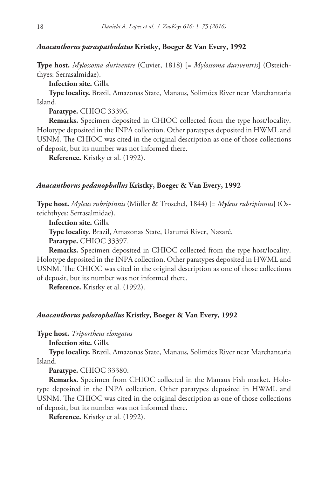## *Anacanthorus paraspathulatus* **Kristky, Boeger & Van Every, 1992**

**Type host.** *Mylossoma duriventre* (Cuvier, 1818) [= *Mylossoma duriventris*] (Osteichthyes: Serrasalmidae).

**Infection site.** Gills.

**Type locality.** Brazil, Amazonas State, Manaus, Solimões River near Marchantaria Island.

**Paratype.** CHIOC 33396.

**Remarks.** Specimen deposited in CHIOC collected from the type host/locality. Holotype deposited in the INPA collection. Other paratypes deposited in HWML and USNM. The CHIOC was cited in the original description as one of those collections of deposit, but its number was not informed there.

**Reference.** Kristky et al. (1992).

## *Anacanthorus pedanophallus* **Kristky, Boeger & Van Every, 1992**

**Type host.** *Myleus rubripinnis* (Müller & Troschel, 1844) [= *Myleus rubripinnus*] (Osteichthyes: Serrasalmidae).

**Infection site.** Gills.

**Type locality.** Brazil, Amazonas State, Uatumã River, Nazaré.

**Paratype.** CHIOC 33397.

**Remarks.** Specimen deposited in CHIOC collected from the type host/locality. Holotype deposited in the INPA collection. Other paratypes deposited in HWML and USNM. The CHIOC was cited in the original description as one of those collections of deposit, but its number was not informed there.

**Reference.** Kristky et al. (1992).

#### *Anacanthorus pelorophallus* **Kristky, Boeger & Van Every, 1992**

**Type host.** *Triportheus elongatus*

**Infection site.** Gills.

**Type locality.** Brazil, Amazonas State, Manaus, Solimões River near Marchantaria Island.

**Paratype.** CHIOC 33380.

**Remarks.** Specimen from CHIOC collected in the Manaus Fish market. Holotype deposited in the INPA collection. Other paratypes deposited in HWML and USNM. The CHIOC was cited in the original description as one of those collections of deposit, but its number was not informed there.

**Reference.** Kristky et al. (1992).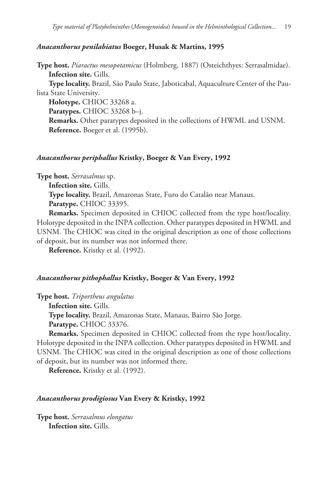### *Anacanthorus penilabiatus* **Boeger, Husak & Martins, 1995**

**Type host.** *Piaractus mesopotamicus* (Holmberg, 1887) (Osteichthyes: Serrasalmidae). **Infection site.** Gills.

**Type locality.** Brazil, São Paulo State, Jaboticabal, Aquaculture Center of the Paulista State University.

**Holotype.** CHIOC 33268 a.

**Paratypes.** CHIOC 33268 b–j.

**Remarks.** Other paratypes deposited in the collections of HWML and USNM. **Reference.** Boeger et al. (1995b).

### *Anacanthorus periphallus* **Kristky, Boeger & Van Every, 1992**

**Type host.** *Serrasalmus* sp.

**Infection site.** Gills.

**Type locality.** Brazil, Amazonas State, Furo do Catalão near Manaus.

**Paratype.** CHIOC 33395.

**Remarks.** Specimen deposited in CHIOC collected from the type host/locality. Holotype deposited in the INPA collection. Other paratypes deposited in HWML and USNM. The CHIOC was cited in the original description as one of those collections of deposit, but its number was not informed there.

**Reference.** Kristky et al. (1992).

#### *Anacanthorus pithophallus* **Kristky, Boeger & Van Every, 1992**

**Type host.** *Triportheus angulatus*

**Infection site.** Gills.

**Type locality.** Brazil, Amazonas State, Manaus, Bairro São Jorge. **Paratype.** CHIOC 33376.

**Remarks.** Specimen deposited in CHIOC collected from the type host/locality. Holotype deposited in the INPA collection. Other paratypes deposited in HWML and USNM. The CHIOC was cited in the original description as one of those collections of deposit, but its number was not informed there.

**Reference.** Kristky et al. (1992).

#### *Anacanthorus prodigiosus* **Van Every & Kristky, 1992**

**Type host.** *Serrasalmus elongatus* **Infection site.** Gills.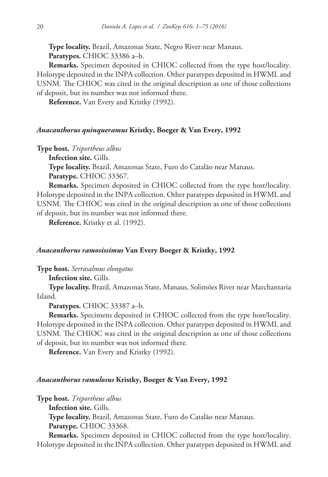**Type locality.** Brazil, Amazonas State, Negro River near Manaus. **Paratypes.** CHIOC 33386 a–b.

**Remarks.** Specimen deposited in CHIOC collected from the type host/locality. Holotype deposited in the INPA collection. Other paratypes deposited in HWML and USNM. The CHIOC was cited in the original description as one of those collections of deposit, but its number was not informed there.

**Reference.** Van Every and Kristky (1992).

### *Anacanthorus quinqueramus* **Kristky, Boeger & Van Every, 1992**

**Type host.** *Triportheus albus*

**Infection site.** Gills.

**Type locality.** Brazil, Amazonas State, Furo do Catalão near Manaus.

**Paratype.** CHIOC 33367.

**Remarks.** Specimen deposited in CHIOC collected from the type host/locality. Holotype deposited in the INPA collection. Other paratypes deposited in HWML and USNM. The CHIOC was cited in the original description as one of those collections of deposit, but its number was not informed there.

**Reference.** Kristky et al. (1992).

### *Anacanthorus ramosissimus* **Van Every Boeger & Kristky, 1992**

**Type host.** *Serrasalmus elongatus*

**Infection site.** Gills.

**Type locality.** Brazil, Amazonas State, Manaus, Solimões River near Marchantaria Island.

**Paratypes.** CHIOC 33387 a–b.

**Remarks.** Specimens deposited in CHIOC collected from the type host/locality. Holotype deposited in the INPA collection. Other paratypes deposited in HWML and USNM. The CHIOC was cited in the original description as one of those collections of deposit, but its number was not informed there.

**Reference.** Van Every and Kristky (1992).

#### *Anacanthorus ramulosus* **Kristky, Boeger & Van Every, 1992**

**Type host.** *Triportheus albus*

**Infection site.** Gills.

**Type locality.** Brazil, Amazonas State, Furo do Catalão near Manaus.

**Paratype.** CHIOC 33368.

**Remarks.** Specimen deposited in CHIOC collected from the type host/locality. Holotype deposited in the INPA collection. Other paratypes deposited in HWML and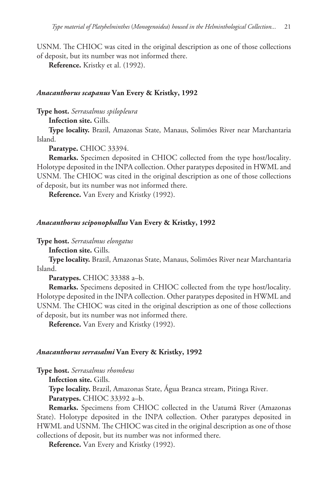USNM. The CHIOC was cited in the original description as one of those collections of deposit, but its number was not informed there.

**Reference.** Kristky et al. (1992).

#### *Anacanthorus scapanus* **Van Every & Kristky, 1992**

**Type host.** *Serrasalmus spilopleura*

**Infection site.** Gills.

**Type locality.** Brazil, Amazonas State, Manaus, Solimões River near Marchantaria Island.

**Paratype.** CHIOC 33394.

**Remarks.** Specimen deposited in CHIOC collected from the type host/locality. Holotype deposited in the INPA collection. Other paratypes deposited in HWML and USNM. The CHIOC was cited in the original description as one of those collections of deposit, but its number was not informed there.

**Reference.** Van Every and Kristky (1992).

#### *Anacanthorus sciponophallus* **Van Every & Kristky, 1992**

**Type host.** *Serrasalmus elongatus*

**Infection site.** Gills.

**Type locality.** Brazil, Amazonas State, Manaus, Solimões River near Marchantaria Island.

**Paratypes.** CHIOC 33388 a–b.

**Remarks.** Specimens deposited in CHIOC collected from the type host/locality. Holotype deposited in the INPA collection. Other paratypes deposited in HWML and USNM. The CHIOC was cited in the original description as one of those collections of deposit, but its number was not informed there.

**Reference.** Van Every and Kristky (1992).

#### *Anacanthorus serrasalmi* **Van Every & Kristky, 1992**

**Type host.** *Serrasalmus rhombeus*

**Infection site.** Gills.

**Type locality.** Brazil, Amazonas State, Água Branca stream, Pitinga River.

**Paratypes.** CHIOC 33392 a–b.

**Remarks.** Specimens from CHIOC collected in the Uatumã River (Amazonas State). Holotype deposited in the INPA collection. Other paratypes deposited in HWML and USNM. The CHIOC was cited in the original description as one of those collections of deposit, but its number was not informed there.

**Reference.** Van Every and Kristky (1992).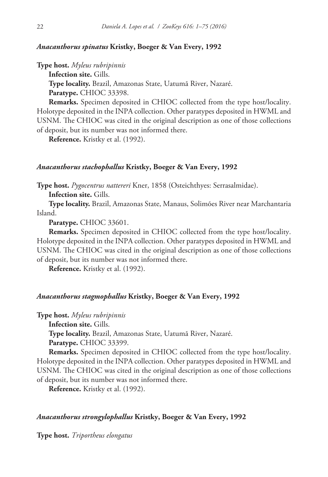## *Anacanthorus spinatus* **Kristky, Boeger & Van Every, 1992**

**Type host.** *Myleus rubripinnis*

**Infection site.** Gills.

**Type locality.** Brazil, Amazonas State, Uatumã River, Nazaré. **Paratype.** CHIOC 33398.

**Remarks.** Specimen deposited in CHIOC collected from the type host/locality. Holotype deposited in the INPA collection. Other paratypes deposited in HWML and USNM. The CHIOC was cited in the original description as one of those collections of deposit, but its number was not informed there.

**Reference.** Kristky et al. (1992).

#### *Anacanthorus stachophallus* **Kristky, Boeger & Van Every, 1992**

**Type host.** *Pygocentrus nattereri* Kner, 1858 (Osteichthyes: Serrasalmidae).

**Infection site.** Gills.

**Type locality.** Brazil, Amazonas State, Manaus, Solimões River near Marchantaria Island.

**Paratype.** CHIOC 33601.

**Remarks.** Specimen deposited in CHIOC collected from the type host/locality. Holotype deposited in the INPA collection. Other paratypes deposited in HWML and USNM. The CHIOC was cited in the original description as one of those collections of deposit, but its number was not informed there.

**Reference.** Kristky et al. (1992).

## *Anacanthorus stagmophallus* **Kristky, Boeger & Van Every, 1992**

**Type host.** *Myleus rubripinnis*

**Infection site.** Gills.

**Type locality.** Brazil, Amazonas State, Uatumã River, Nazaré.

**Paratype.** CHIOC 33399.

**Remarks.** Specimen deposited in CHIOC collected from the type host/locality. Holotype deposited in the INPA collection. Other paratypes deposited in HWML and USNM. The CHIOC was cited in the original description as one of those collections of deposit, but its number was not informed there.

**Reference.** Kristky et al. (1992).

### *Anacanthorus strongylophallus* **Kristky, Boeger & Van Every, 1992**

**Type host.** *Triportheus elongatus*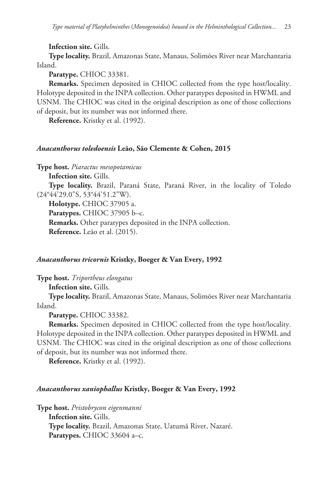**Infection site.** Gills.

**Type locality.** Brazil, Amazonas State, Manaus, Solimões River near Marchantaria Island.

**Paratype.** CHIOC 33381.

**Remarks.** Specimen deposited in CHIOC collected from the type host/locality. Holotype deposited in the INPA collection. Other paratypes deposited in HWML and USNM. The CHIOC was cited in the original description as one of those collections of deposit, but its number was not informed there.

**Reference.** Kristky et al. (1992).

## *Anacanthorus toledoensis* **Leão, São Clemente & Cohen, 2015**

**Type host.** *Piaractus mesopotamicus*

**Infection site.** Gills.

**Type locality.** Brazil, Paraná State, Paraná River, in the locality of Toledo (24°44'29.0"S, 53°44'51.2"W).

**Holotype.** CHIOC 37905 a.

**Paratypes.** CHIOC 37905 b–c. **Remarks.** Other paratypes deposited in the INPA collection. **Reference.** Leão et al. (2015).

## *Anacanthorus tricornis* **Kristky, Boeger & Van Every, 1992**

**Type host.** *Triportheus elongatus*

**Infection site.** Gills.

**Type locality.** Brazil, Amazonas State, Manaus, Solimões River near Marchantaria Island.

**Paratype.** CHIOC 33382.

**Remarks.** Specimen deposited in CHIOC collected from the type host/locality. Holotype deposited in the INPA collection. Other paratypes deposited in HWML and USNM. The CHIOC was cited in the original description as one of those collections of deposit, but its number was not informed there.

**Reference.** Kristky et al. (1992).

#### *Anacanthorus xaniophallus* **Kristky, Boeger & Van Every, 1992**

**Type host.** *Pristobrycon eigenmanni* **Infection site.** Gills. **Type locality.** Brazil, Amazonas State, Uatumã River, Nazaré. **Paratypes.** CHIOC 33604 a–c.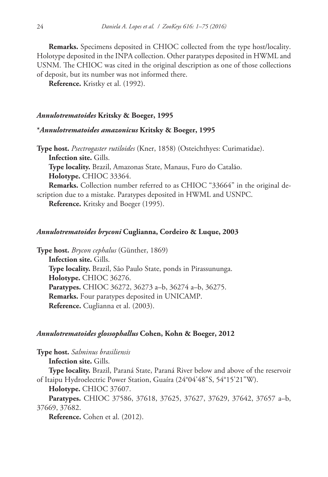**Remarks.** Specimens deposited in CHIOC collected from the type host/locality. Holotype deposited in the INPA collection. Other paratypes deposited in HWML and USNM. The CHIOC was cited in the original description as one of those collections of deposit, but its number was not informed there.

**Reference.** Kristky et al. (1992).

## *Annulotrematoides* **Kritsky & Boeger, 1995**

## **\****Annulotrematoides amazonicus* **Kritsky & Boeger, 1995**

**Type host.** *Psectrogaster rutiloides* (Kner, 1858) (Osteichthyes: Curimatidae). **Infection site.** Gills. **Type locality.** Brazil, Amazonas State, Manaus, Furo do Catalão.

**Holotype.** CHIOC 33364.

**Remarks.** Collection number referred to as CHIOC "33664" in the original description due to a mistake. Paratypes deposited in HWML and USNPC.

**Reference.** Kritsky and Boeger (1995).

## *Annulotrematoides bryconi* **Cuglianna, Cordeiro & Luque, 2003**

**Type host.** *Brycon cephalus* (Günther, 1869) **Infection site.** Gills. **Type locality.** Brazil, São Paulo State, ponds in Pirassununga. **Holotype.** CHIOC 36276. **Paratypes.** CHIOC 36272, 36273 a–b, 36274 a–b, 36275. **Remarks.** Four paratypes deposited in UNICAMP. **Reference.** Cuglianna et al. (2003).

#### *Annulotrematoides glossophallus* **Cohen, Kohn & Boeger, 2012**

**Type host.** *Salminus brasiliensis* **Infection site.** Gills. **Type locality.** Brazil, Paraná State, Paraná River below and above of the reservoir of Itaipu Hydroelectric Power Station, Guaíra (24°04'48"S, 54°15'21"W). **Holotype.** CHIOC 37607. **Paratypes.** CHIOC 37586, 37618, 37625, 37627, 37629, 37642, 37657 a–b, 37669, 37682. **Reference.** Cohen et al. (2012).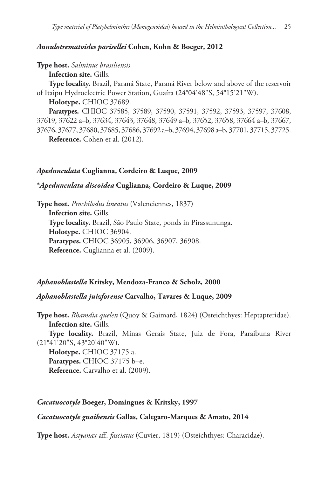## *Annulotrematoides parisellei* **Cohen, Kohn & Boeger, 2012**

## **Type host.** *Salminus brasiliensis*

**Infection site.** Gills.

**Type locality.** Brazil, Paraná State, Paraná River below and above of the reservoir of Itaipu Hydroelectric Power Station, Guaíra (24°04'48"S, 54°15'21"W).

**Holotype.** CHIOC 37689.

**Paratypes.** CHIOC 37585, 37589, 37590, 37591, 37592, 37593, 37597, 37608, 37619, 37622 a–b, 37634, 37643, 37648, 37649 a–b, 37652, 37658, 37664 a–b, 37667, 37676, 37677, 37680, 37685, 37686, 37692 a–b, 37694, 37698 a–b, 37701, 37715, 37725. **Reference.** Cohen et al. (2012).

## *Apedunculata* **Cuglianna, Cordeiro & Luque, 2009**

## **\****Apedunculata discoidea* **Cuglianna, Cordeiro & Luque, 2009**

**Type host.** *Prochilodus lineatus* (Valenciennes, 1837) **Infection site.** Gills. **Type locality.** Brazil, São Paulo State, ponds in Pirassununga. **Holotype.** CHIOC 36904. **Paratypes.** CHIOC 36905, 36906, 36907, 36908. **Reference.** Cuglianna et al. (2009).

## *Aphanoblastella* **Kritsky, Mendoza-Franco & Scholz, 2000**

## *Aphanoblastella juizforense* **Carvalho, Tavares & Luque, 2009**

**Type host.** *Rhamdia quelen* (Quoy & Gaimard, 1824) (Osteichthyes: Heptapteridae). **Infection site.** Gills.

**Type locality.** Brazil, Minas Gerais State, Juiz de Fora, Paraibuna River (21°41'20"S, 43°20'40"W).

**Holotype.** CHIOC 37175 a. **Paratypes.** CHIOC 37175 b–e. **Reference.** Carvalho et al. (2009).

#### *Cacatuocotyle* **Boeger, Domingues & Kritsky, 1997**

## *Cacatuocotyle guaibensis* **Gallas, Calegaro-Marques & Amato, 2014**

**Type host.** *Astyanax* aff. *fasciatus* (Cuvier, 1819) (Osteichthyes: Characidae).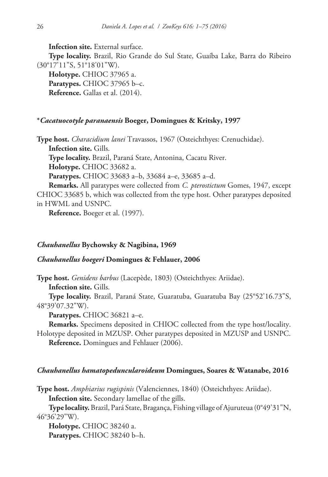**Infection site.** External surface.

**Type locality.** Brazil, Rio Grande do Sul State, Guaíba Lake, Barra do Ribeiro (30°17'11"S, 51°18'01"W).

**Holotype.** CHIOC 37965 a. **Paratypes.** CHIOC 37965 b–c. **Reference.** Gallas et al. (2014).

#### **\****Cacatuocotyle paranaensis* **Boeger, Domingues & Kritsky, 1997**

**Type host.** *Characidium lanei* Travassos, 1967 (Osteichthyes: Crenuchidae).

**Infection site.** Gills.

**Type locality.** Brazil, Paraná State, Antonina, Cacatu River.

**Holotype.** CHIOC 33682 a.

**Paratypes.** CHIOC 33683 a–b, 33684 a–e, 33685 a–d.

**Remarks.** All paratypes were collected from *C. pterostictum* Gomes, 1947, except CHIOC 33685 b, which was collected from the type host. Other paratypes deposited in HWML and USNPC.

**Reference.** Boeger et al. (1997).

## *Chauhanellus* **Bychowsky & Nagibina, 1969**

## *Chauhanellus boegeri* **Domingues & Fehlauer, 2006**

**Type host.** *Genidens barbus* (Lacepède, 1803) (Osteichthyes: Ariidae).

**Infection site.** Gills.

**Type locality.** Brazil, Paraná State, Guaratuba, Guaratuba Bay (25°52'16.73"S, 48°39'07.32"W).

**Paratypes.** CHIOC 36821 a–e.

**Remarks.** Specimens deposited in CHIOC collected from the type host/locality. Holotype deposited in MZUSP. Other paratypes deposited in MZUSP and USNPC.

**Reference.** Domingues and Fehlauer (2006).

#### *Chauhanellus hamatopeduncularoideum* **Domingues, Soares & Watanabe, 2016**

**Type host.** *Amphiarius rugispinis* (Valenciennes, 1840) (Osteichthyes: Ariidae).

**Infection site.** Secondary lamellae of the gills.

**Type locality.** Brazil, Pará State, Bragança, Fishing village of Ajuruteua (0°49'31"N, 46°36'29"W).

**Holotype.** CHIOC 38240 a. **Paratypes.** CHIOC 38240 b–h.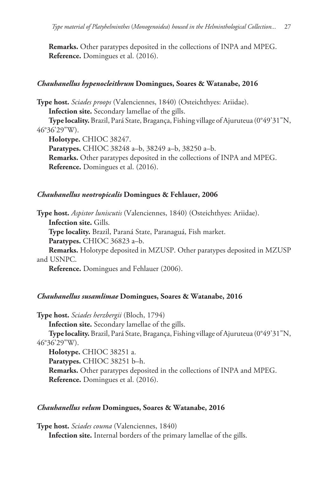**Remarks.** Other paratypes deposited in the collections of INPA and MPEG. **Reference.** Domingues et al. (2016).

## *Chauhanellus hypenocleithrum* **Domingues, Soares & Watanabe, 2016**

**Type host.** *Sciades proops* (Valenciennes, 1840) (Osteichthyes: Ariidae). **Infection site.** Secondary lamellae of the gills.

**Type locality.** Brazil, Pará State, Bragança, Fishing village of Ajuruteua (0°49'31"N, 46°36'29"W).

**Holotype.** CHIOC 38247.

**Paratypes.** CHIOC 38248 a–b, 38249 a–b, 38250 a–b. **Remarks.** Other paratypes deposited in the collections of INPA and MPEG. **Reference.** Domingues et al. (2016).

## *Chauhanellus neotropicalis* **Domingues & Fehlauer, 2006**

**Type host.** *Aspistor luniscutis* (Valenciennes, 1840) (Osteichthyes: Ariidae).

**Infection site.** Gills.

**Type locality.** Brazil, Paraná State, Paranaguá, Fish market.

**Paratypes.** CHIOC 36823 a–b.

**Remarks.** Holotype deposited in MZUSP. Other paratypes deposited in MZUSP and USNPC.

**Reference.** Domingues and Fehlauer (2006).

# *Chauhanellus susamlimae* **Domingues, Soares & Watanabe, 2016**

**Type host.** *Sciades herzbergii* (Bloch, 1794)

**Infection site.** Secondary lamellae of the gills.

**Type locality.** Brazil, Pará State, Bragança, Fishing village of Ajuruteua (0°49'31"N, 46°36'29"W).

**Holotype.** CHIOC 38251 a.

**Paratypes.** CHIOC 38251 b–h.

**Remarks.** Other paratypes deposited in the collections of INPA and MPEG. **Reference.** Domingues et al. (2016).

## *Chauhanellus velum* **Domingues, Soares & Watanabe, 2016**

**Type host.** *Sciades couma* (Valenciennes, 1840) **Infection site.** Internal borders of the primary lamellae of the gills.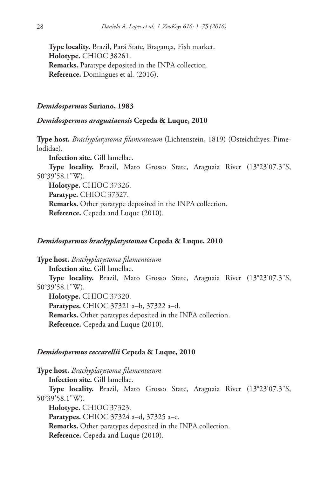**Type locality.** Brazil, Pará State, Bragança, Fish market. **Holotype.** CHIOC 38261. **Remarks.** Paratype deposited in the INPA collection. **Reference.** Domingues et al. (2016).

#### *Demidospermus* **Suriano, 1983**

## *Demidospermus araguaiaensis* **Cepeda & Luque, 2010**

**Type host.** *Brachyplatystoma filamentosum* (Lichtenstein, 1819) (Osteichthyes: Pimelodidae).

**Infection site.** Gill lamellae.

**Type locality.** Brazil, Mato Grosso State, Araguaia River (13°23'07.3"S, 50°39'58.1"W).

**Holotype.** CHIOC 37326. **Paratype.** CHIOC 37327. **Remarks.** Other paratype deposited in the INPA collection. **Reference.** Cepeda and Luque (2010).

## *Demidospermus brachyplatystomae* **Cepeda & Luque, 2010**

**Type host.** *Brachyplatystoma filamentosum* **Infection site.** Gill lamellae. **Type locality.** Brazil, Mato Grosso State, Araguaia River (13°23'07.3"S, 50°39'58.1"W). **Holotype.** CHIOC 37320. **Paratypes.** CHIOC 37321 a–b, 37322 a–d. **Remarks.** Other paratypes deposited in the INPA collection. **Reference.** Cepeda and Luque (2010).

#### *Demidospermus ceccarellii* **Cepeda & Luque, 2010**

**Type host.** *Brachyplatystoma filamentosum*

**Infection site.** Gill lamellae.

**Type locality.** Brazil, Mato Grosso State, Araguaia River (13°23'07.3"S, 50°39'58.1"W).

**Holotype.** CHIOC 37323.

**Paratypes.** CHIOC 37324 a–d, 37325 a–e.

**Remarks.** Other paratypes deposited in the INPA collection.

**Reference.** Cepeda and Luque (2010).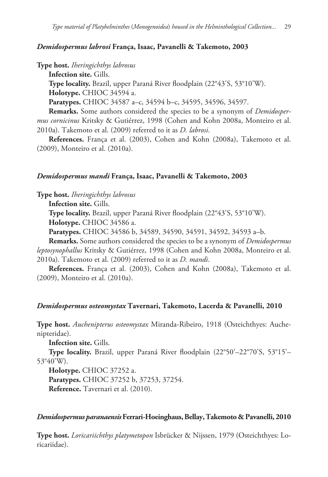## *Demidospermus labrosi* **França, Isaac, Pavanelli & Takemoto, 2003**

**Type host.** *Iheringichthys labrosus*

**Infection site.** Gills.

**Type locality.** Brazil, upper Paraná River floodplain (22°43'S, 53°10'W). **Holotype.** CHIOC 34594 a.

**Paratypes.** CHIOC 34587 a–c, 34594 b–c, 34595, 34596, 34597.

**Remarks.** Some authors considered the species to be a synonym of *Demidospermus cornicinus* Kritsky & Gutiérrez, 1998 (Cohen and Kohn 2008a, Monteiro et al. 2010a). Takemoto et al. (2009) referred to it as *D. labrosi*.

**References.** França et al. (2003), Cohen and Kohn (2008a), Takemoto et al. (2009), Monteiro et al. (2010a).

#### *Demidospermus mandi* **França, Isaac, Pavanelli & Takemoto, 2003**

**Type host.** *Iheringichthys labrosus*

**Infection site.** Gills.

**Type locality.** Brazil, upper Paraná River floodplain (22°43'S, 53°10'W).

**Holotype.** CHIOC 34586 a.

**Paratypes.** CHIOC 34586 b, 34589, 34590, 34591, 34592, 34593 a–b.

**Remarks.** Some authors considered the species to be a synonym of *Demidospermus leptosynophallus* Kritsky & Gutiérrez, 1998 (Cohen and Kohn 2008a, Monteiro et al. 2010a). Takemoto et al. (2009) referred to it as *D. mandi*.

**References.** França et al. (2003), Cohen and Kohn (2008a), Takemoto et al. (2009), Monteiro et al. (2010a).

#### *Demidospermus osteomystax* **Tavernari, Takemoto, Lacerda & Pavanelli, 2010**

**Type host.** *Auchenipterus osteomystax* Miranda-Ribeiro, 1918 (Osteichthyes: Auchenipteridae).

**Infection site.** Gills.

**Type locality.** Brazil, upper Paraná River floodplain (22°50'–22°70'S, 53°15'– 53°40'W).

**Holotype.** CHIOC 37252 a. **Paratypes.** CHIOC 37252 b, 37253, 37254. **Reference.** Tavernari et al. (2010).

#### *Demidospermus paranaensis* **Ferrari-Hoeinghaus, Bellay, Takemoto & Pavanelli, 2010**

**Type host.** *Loricariichthys platymetopon* Isbrücker & Nijssen, 1979 (Osteichthyes: Loricariidae).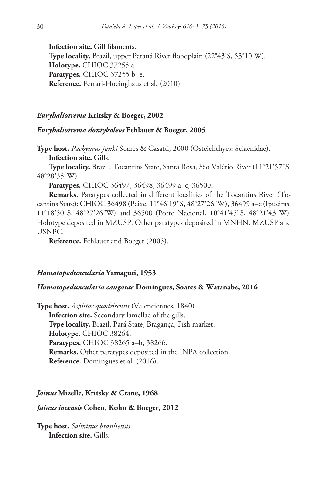**Infection site.** Gill filaments. **Type locality.** Brazil, upper Paraná River floodplain (22°43'S, 53°10'W). **Holotype.** CHIOC 37255 a. **Paratypes.** CHIOC 37255 b–e. **Reference.** Ferrari-Hoeinghaus et al. (2010).

#### *Euryhaliotrema* **Kritsky & Boeger, 2002**

## *Euryhaliotrema dontykoleos* **Fehlauer & Boeger, 2005**

**Type host.** *Pachyurus junki* Soares & Casatti, 2000 (Osteichthyes: Sciaenidae). **Infection site.** Gills.

**Type locality.** Brazil, Tocantins State, Santa Rosa, São Valério River (11°21'57"S, 48°28'35"W)

**Paratypes.** CHIOC 36497, 36498, 36499 a–c, 36500.

**Remarks.** Paratypes collected in different localities of the Tocantins River (Tocantins State): CHIOC 36498 (Peixe, 11°46'19"S, 48°27'26"W), 36499 a–c (Ipueiras, 11°18'50"S, 48°27'26"W) and 36500 (Porto Nacional, 10°41'45"S, 48°21'43"W). Holotype deposited in MZUSP. Other paratypes deposited in MNHN, MZUSP and USNPC.

**Reference.** Fehlauer and Boeger (2005).

#### *Hamatopeduncularia* **Yamaguti, 1953**

## *Hamatopeduncularia cangatae* **Domingues, Soares & Watanabe, 2016**

**Type host.** *Aspistor quadriscutis* (Valenciennes, 1840) **Infection site.** Secondary lamellae of the gills. **Type locality.** Brazil, Pará State, Bragança, Fish market. **Holotype.** CHIOC 38264. **Paratypes.** CHIOC 38265 a–b, 38266. **Remarks.** Other paratypes deposited in the INPA collection. **Reference.** Domingues et al. (2016).

## *Jainus* **Mizelle, Kritsky & Crane, 1968**

#### *Jainus iocensis* **Cohen, Kohn & Boeger, 2012**

**Type host.** *Salminus brasiliensis* **Infection site.** Gills.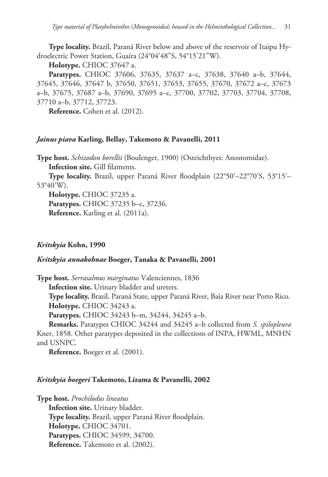**Type locality.** Brazil, Paraná River below and above of the reservoir of Itaipu Hydroelectric Power Station, Guaíra (24°04'48"S, 54°15'21"W).

**Holotype.** CHIOC 37647 a.

**Paratypes.** CHIOC 37606, 37635, 37637 a–c, 37638, 37640 a–b, 37644, 37645, 37646, 37647 b, 37650, 37651, 37653, 37655, 37670, 37672 a–c, 37673 a–b, 37675, 37687 a–b, 37690, 37695 a–c, 37700, 37702, 37703, 37704, 37708, 37710 a–b, 37712, 37723.

**Reference.** Cohen et al. (2012).

## *Jainus piava* **Karling, Bellay, Takemoto & Pavanelli, 2011**

**Type host.** *Schizodon borellii* (Boulenger, 1900) (Osteichthyes: Anostomidae). **Infection site.** Gill filaments.

**Type locality.** Brazil, upper Paraná River floodplain (22°50'–22°70'S, 53°15'– 53°40'W).

**Holotype.** CHIOC 37235 a. **Paratypes.** CHIOC 37235 b–c, 37236. **Reference.** Karling et al. (2011a).

# *Kritskyia* **Kohn, 1990**

## *Kritskyia annakohnae* **Boeger, Tanaka & Pavanelli, 2001**

**Type host.** *Serrasalmus marginatus* Valenciennes, 1836

**Infection site.** Urinary bladder and ureters.

**Type locality.** Brazil, Paraná State, upper Paraná River, Baía River near Porto Rico. **Holotype.** CHIOC 34243 a.

**Paratypes.** CHIOC 34243 b–m, 34244, 34245 a–b.

**Remarks.** Paratypes CHIOC 34244 and 34245 a–b collected from *S. spilopleura* Kner, 1858. Other paratypes deposited in the collections of INPA, HWML, MNHN and USNPC.

**Reference.** Boeger et al. (2001).

## *Kritskyia boegeri* **Takemoto, Lizama & Pavanelli, 2002**

**Type host.** *Prochilodus lineatus* **Infection site.** Urinary bladder. **Type locality.** Brazil, upper Paraná River floodplain. **Holotype.** CHIOC 34701. **Paratypes.** CHIOC 34599, 34700. **Reference.** Takemoto et al. (2002).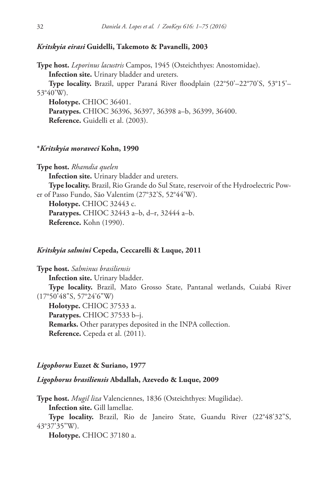#### *Kritskyia eirasi* **Guidelli, Takemoto & Pavanelli, 2003**

**Type host.** *Leporinus lacustris* Campos, 1945 (Osteichthyes: Anostomidae). **Infection site.** Urinary bladder and ureters.

**Type locality.** Brazil, upper Paraná River floodplain (22°50'–22°70'S, 53°15'– 53°40'W).

**Holotype.** CHIOC 36401.

**Paratypes.** CHIOC 36396, 36397, 36398 a–b, 36399, 36400. **Reference.** Guidelli et al. (2003).

## **\****Kritskyia moraveci* **Kohn, 1990**

**Type host.** *Rhamdia quelen*

**Infection site.** Urinary bladder and ureters.

**Type locality.** Brazil, Rio Grande do Sul State, reservoir of the Hydroelectric Power of Passo Fundo, São Valentim (27°32'S, 52°44'W).

**Holotype.** CHIOC 32443 c.

**Paratypes.** CHIOC 32443 a–b, d–r, 32444 a–b. **Reference.** Kohn (1990).

#### *Kritskyia salmini* **Cepeda, Ceccarelli & Luque, 2011**

**Type host.** *Salminus brasiliensis* **Infection site.** Urinary bladder. **Type locality.** Brazil, Mato Grosso State, Pantanal wetlands, Cuiabá River (17°50'48"S, 57°24'6"W) **Holotype.** CHIOC 37533 a. **Paratypes.** CHIOC 37533 b–j. **Remarks.** Other paratypes deposited in the INPA collection. **Reference.** Cepeda et al. (2011).

### *Ligophorus* **Euzet & Suriano, 1977**

# *Ligophorus brasiliensis* **Abdallah, Azevedo & Luque, 2009**

**Type host.** *Mugil liza* Valenciennes, 1836 (Osteichthyes: Mugilidae). **Infection site.** Gill lamellae.

**Type locality.** Brazil, Rio de Janeiro State, Guandu River (22°48'32"S, 43°37'35"W).

**Holotype.** CHIOC 37180 a.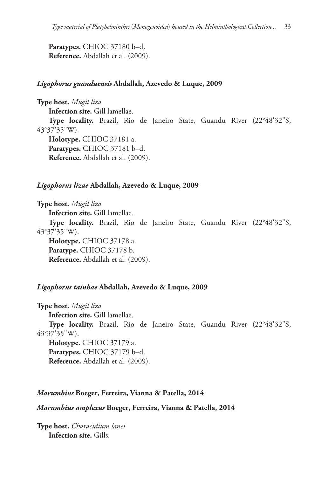**Paratypes.** CHIOC 37180 b–d. **Reference.** Abdallah et al. (2009).

### *Ligophorus guanduensis* **Abdallah, Azevedo & Luque, 2009**

**Type host.** *Mugil liza* **Infection site.** Gill lamellae. **Type locality.** Brazil, Rio de Janeiro State, Guandu River (22°48'32"S, 43°37'35"W). **Holotype.** CHIOC 37181 a. **Paratypes.** CHIOC 37181 b–d. **Reference.** Abdallah et al. (2009).

#### *Ligophorus lizae* **Abdallah, Azevedo & Luque, 2009**

**Type host.** *Mugil liza*

**Infection site.** Gill lamellae.

**Type locality.** Brazil, Rio de Janeiro State, Guandu River (22°48'32"S, 43°37'35"W).

**Holotype.** CHIOC 37178 a. **Paratype.** CHIOC 37178 b. **Reference.** Abdallah et al. (2009).

#### *Ligophorus tainhae* **Abdallah, Azevedo & Luque, 2009**

**Type host.** *Mugil liza* **Infection site.** Gill lamellae. **Type locality.** Brazil, Rio de Janeiro State, Guandu River (22°48'32"S, 43°37'35"W).

**Holotype.** CHIOC 37179 a. **Paratypes.** CHIOC 37179 b–d. **Reference.** Abdallah et al. (2009).

#### *Marumbius* **Boeger, Ferreira, Vianna & Patella, 2014**

#### *Marumbius amplexus* **Boeger, Ferreira, Vianna & Patella, 2014**

**Type host.** *Characidium lanei* **Infection site.** Gills.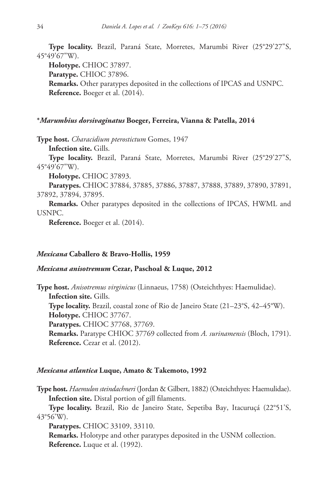**Type locality.** Brazil, Paraná State, Morretes, Marumbi River (25°29'27"S, 45°49'67"W).

**Holotype.** CHIOC 37897. **Paratype.** CHIOC 37896. **Remarks.** Other paratypes deposited in the collections of IPCAS and USNPC. **Reference.** Boeger et al. (2014).

#### **\****Marumbius dorsivaginatus* **Boeger, Ferreira, Vianna & Patella, 2014**

**Type host.** *Characidium pterostictum* Gomes, 1947

**Infection site.** Gills.

**Type locality.** Brazil, Paraná State, Morretes, Marumbi River (25°29'27"S, 45°49'67"W).

**Holotype.** CHIOC 37893.

**Paratypes.** CHIOC 37884, 37885, 37886, 37887, 37888, 37889, 37890, 37891, 37892, 37894, 37895.

**Remarks.** Other paratypes deposited in the collections of IPCAS, HWML and USNPC.

**Reference.** Boeger et al. (2014).

#### *Mexicana* **Caballero & Bravo-Hollis, 1959**

## *Mexicana anisotremum* **Cezar, Paschoal & Luque, 2012**

**Type host.** *Anisotremus virginicus* (Linnaeus, 1758) (Osteichthyes: Haemulidae). **Infection site.** Gills. **Type locality.** Brazil, coastal zone of Rio de Janeiro State (21–23°S, 42–45°W). **Holotype.** CHIOC 37767. **Paratypes.** CHIOC 37768, 37769. **Remarks.** Paratype CHIOC 37769 collected from *A. surinamensis* (Bloch, 1791). **Reference.** Cezar et al. (2012).

#### *Mexicana atlantica* **Luque, Amato & Takemoto, 1992**

**Type host.** *Haemulon steindachneri* (Jordan & Gilbert, 1882) (Osteichthyes: Haemulidae). **Infection site.** Distal portion of gill filaments.

**Type locality.** Brazil, Rio de Janeiro State, Sepetiba Bay, Itacuruçá (22°51'S, 43°56'W).

**Paratypes.** CHIOC 33109, 33110.

**Remarks.** Holotype and other paratypes deposited in the USNM collection. **Reference.** Luque et al. (1992).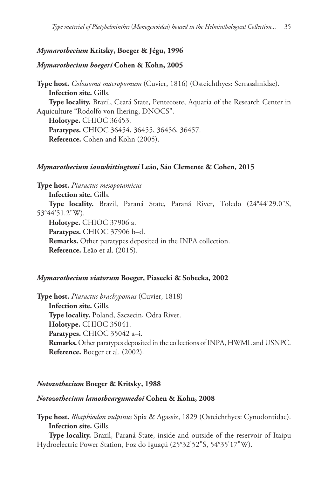# *Mymarothecium* **Kritsky, Boeger & Jégu, 1996**

# *Mymarothecium boegeri* **Cohen & Kohn, 2005**

**Type host.** *Colossoma macropomum* (Cuvier, 1816) (Osteichthyes: Serrasalmidae). **Infection site.** Gills. **Type locality.** Brazil, Ceará State, Pentecoste, Aquaria of the Research Center in Aquiculture "Rodolfo von Ihering, DNOCS". **Holotype.** CHIOC 36453. **Paratypes.** CHIOC 36454, 36455, 36456, 36457. **Reference.** Cohen and Kohn (2005).

# *Mymarothecium ianwhittingtoni* **Leão, São Clemente & Cohen, 2015**

**Type host.** *Piaractus mesopotamicus*

**Infection site.** Gills.

**Type locality.** Brazil, Paraná State, Paraná River, Toledo (24°44'29.0"S, 53°44'51.2"W).

**Holotype.** CHIOC 37906 a. **Paratypes.** CHIOC 37906 b–d.

**Remarks.** Other paratypes deposited in the INPA collection. **Reference.** Leão et al. (2015).

# *Mymarothecium viatorum* **Boeger, Piasecki & Sobecka, 2002**

**Type host.** *Piaractus brachypomus* (Cuvier, 1818) **Infection site.** Gills. **Type locality.** Poland, Szczecin, Odra River. **Holotype.** CHIOC 35041. **Paratypes.** CHIOC 35042 a–i. **Remarks.** Other paratypes deposited in the collections of INPA, HWML and USNPC. **Reference.** Boeger et al. (2002).

# *Notozothecium* **Boeger & Kritsky, 1988**

# *Notozothecium lamotheargumedoi* **Cohen & Kohn, 2008**

**Type host.** *Rhaphiodon vulpinus* Spix & Agassiz, 1829 (Osteichthyes: Cynodontidae). **Infection site.** Gills.

**Type locality.** Brazil, Paraná State, inside and outside of the reservoir of Itaipu Hydroelectric Power Station, Foz do Iguaçú (25°32'52"S, 54°35'17"W).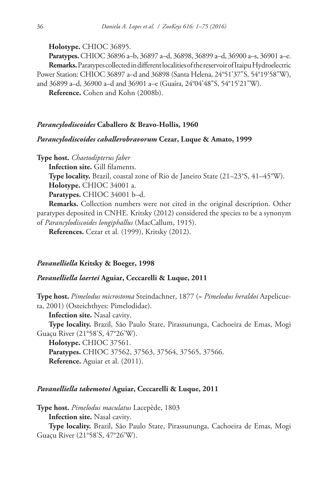**Holotype.** CHIOC 36895.

**Paratypes.** CHIOC 36896 a–b, 36897 a–d, 36898, 36899 a–d, 36900 a–s, 36901 a–e. **Remarks.** Paratypes collected in different localities of the reservoir of Itaipu Hydroelectric Power Station: CHIOC 36897 a–d and 36898 (Santa Helena, 24°51'37"S, 54°19'58"W),

and 36899 a–d, 36900 a–d and 36901 a–e (Guaíra, 24°04'48"S, 54°15'21"W).

**Reference.** Cohen and Kohn (2008b).

#### *Parancylodiscoides* **Caballero & Bravo-Hollis, 1960**

## *Parancylodiscoides caballerobravorum* **Cezar, Luque & Amato, 1999**

**Type host.** *Chaetodipterus faber*

**Infection site.** Gill filaments.

**Type locality.** Brazil, coastal zone of Rio de Janeiro State (21–23°S, 41–45°W).

**Holotype.** CHIOC 34001 a.

**Paratypes.** CHIOC 34001 b–d.

**Remarks.** Collection numbers were not cited in the original description. Other paratypes deposited in CNHE. Kritsky (2012) considered the species to be a synonym of *Parancylodiscoides longiphallus* (MacCallum, 1915).

**References.** Cezar et al. (1999), Kritsky (2012).

## *Pavanelliella* **Kritsky & Boeger, 1998**

## *Pavanelliella laertei* **Aguiar, Ceccarelli & Luque, 2011**

**Type host.** *Pimelodus microstoma* Steindachner, 1877 (= *Pimelodus heraldoi* Azpelicueta, 2001) (Osteichthyes: Pimelodidae).

**Infection site.** Nasal cavity.

**Type locality.** Brazil, São Paulo State, Pirassununga, Cachoeira de Emas, Mogi Guaçu River (21°58'S, 47°26'W).

**Holotype.** CHIOC 37561. **Paratypes.** CHIOC 37562, 37563, 37564, 37565, 37566. **Reference.** Aguiar et al. (2011).

## *Pavanelliella takemotoi* **Aguiar, Ceccarelli & Luque, 2011**

**Type host.** *Pimelodus maculatus* Lacepède, 1803

**Infection site.** Nasal cavity.

**Type locality.** Brazil, São Paulo State, Pirassununga, Cachoeira de Emas, Mogi Guaçu River (21°58'S, 47°26'W).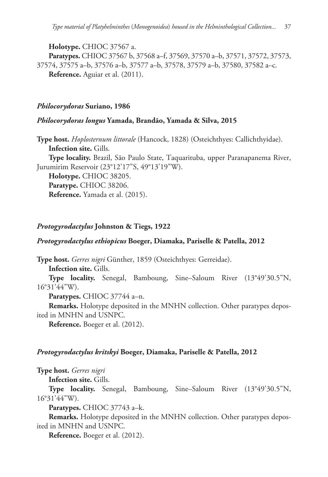**Holotype.** CHIOC 37567 a.

**Paratypes.** CHIOC 37567 b, 37568 a–f, 37569, 37570 a–b, 37571, 37572, 37573, 37574, 37575 a–b, 37576 a–b, 37577 a–b, 37578, 37579 a–b, 37580, 37582 a–c. **Reference.** Aguiar et al. (2011).

### *Philocorydoras* **Suriano, 1986**

# *Philocorydoras longus* **Yamada, Brandão, Yamada & Silva, 2015**

**Type host.** *Hoplosternum littorale* (Hancock, 1828) (Osteichthyes: Callichthyidae). **Infection site.** Gills. **Type locality.** Brazil, São Paulo State, Taquarituba, upper Paranapanema River, Jurumirim Reservoir (23°12'17"S, 49°13'19"W).

**Holotype.** CHIOC 38205. **Paratype.** CHIOC 38206. **Reference.** Yamada et al. (2015).

### *Protogyrodactylus* **Johnston & Tiegs, 1922**

### *Protogyrodactylus ethiopicus* **Boeger, Diamaka, Pariselle & Patella, 2012**

**Type host.** *Gerres nigri* Günther, 1859 (Osteichthyes: Gerreidae).

**Infection site.** Gills.

**Type locality.** Senegal, Bamboung, Sine–Saloum River (13°49'30.5"N, 16°31'44"W).

**Paratypes.** CHIOC 37744 a–n.

**Remarks.** Holotype deposited in the MNHN collection. Other paratypes deposited in MNHN and USNPC.

**Reference.** Boeger et al. (2012).

### *Protogyrodactylus kritskyi* **Boeger, Diamaka, Pariselle & Patella, 2012**

**Type host.** *Gerres nigri*

**Infection site.** Gills.

**Type locality.** Senegal, Bamboung, Sine–Saloum River (13°49'30.5"N, 16°31'44"W).

**Paratypes.** CHIOC 37743 a–k.

**Remarks.** Holotype deposited in the MNHN collection. Other paratypes deposited in MNHN and USNPC.

**Reference.** Boeger et al. (2012).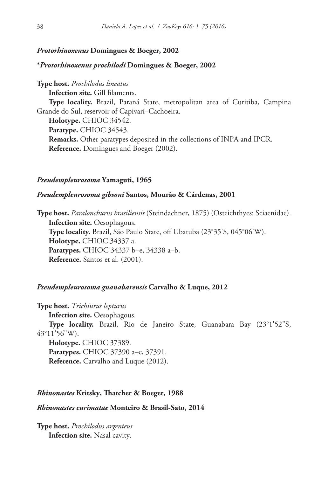### *Protorhinoxenus* **Domingues & Boeger, 2002**

### **\****Protorhinoxenus prochilodi* **Domingues & Boeger, 2002**

**Type host.** *Prochilodus lineatus*

**Infection site.** Gill filaments.

**Type locality.** Brazil, Paraná State, metropolitan area of Curitiba, Campina Grande do Sul, reservoir of Capivari–Cachoeira.

**Holotype.** CHIOC 34542. **Paratype.** CHIOC 34543. **Remarks.** Other paratypes deposited in the collections of INPA and IPCR. **Reference.** Domingues and Boeger (2002).

#### *Pseudempleurosoma* **Yamaguti, 1965**

### *Pseudempleurosoma gibsoni* **Santos, Mourão & Cárdenas, 2001**

**Type host.** *Paralonchurus brasiliensis* (Steindachner, 1875) (Osteichthyes: Sciaenidae). **Infection site.** Oesophagous. **Type locality.** Brazil, São Paulo State, off Ubatuba (23°35'S, 045°06'W). **Holotype.** CHIOC 34337 a. **Paratypes.** CHIOC 34337 b–e, 34338 a–b. **Reference.** Santos et al. (2001).

### *Pseudempleurosoma guanabarensis* **Carvalho & Luque, 2012**

**Type host.** *Trichiurus lepturus*

**Infection site.** Oesophagous.

**Type locality.** Brazil, Rio de Janeiro State, Guanabara Bay (23°1'52"S, 43°11'56"W).

**Holotype.** CHIOC 37389. **Paratypes.** CHIOC 37390 a–c, 37391. **Reference.** Carvalho and Luque (2012).

### *Rhinonastes* **Kritsky, Thatcher & Boeger, 1988**

### *Rhinonastes curimatae* **Monteiro & Brasil-Sato, 2014**

**Type host.** *Prochilodus argenteus* **Infection site.** Nasal cavity.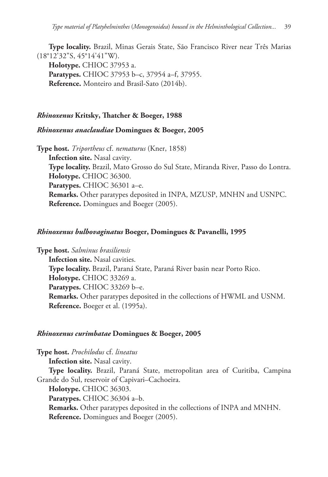**Type locality.** Brazil, Minas Gerais State, São Francisco River near Três Marias (18°12'32"S, 45°14'41"W). **Holotype.** CHIOC 37953 a. **Paratypes.** CHIOC 37953 b–c, 37954 a–f, 37955. **Reference.** Monteiro and Brasil-Sato (2014b).

## *Rhinoxenus* **Kritsky, Thatcher & Boeger, 1988**

### *Rhinoxenus anaclaudiae* **Domingues & Boeger, 2005**

**Type host.** *Triportheus* cf. *nematurus* (Kner, 1858) **Infection site.** Nasal cavity. **Type locality.** Brazil, Mato Grosso do Sul State, Miranda River, Passo do Lontra. **Holotype.** CHIOC 36300. **Paratypes.** CHIOC 36301 a–e. **Remarks.** Other paratypes deposited in INPA, MZUSP, MNHN and USNPC. **Reference.** Domingues and Boeger (2005).

#### *Rhinoxenus bulbovaginatus* **Boeger, Domingues & Pavanelli, 1995**

**Type host.** *Salminus brasiliensis* **Infection site.** Nasal cavities. **Type locality.** Brazil, Paraná State, Paraná River basin near Porto Rico. **Holotype.** CHIOC 33269 a. **Paratypes.** CHIOC 33269 b–e. **Remarks.** Other paratypes deposited in the collections of HWML and USNM. **Reference.** Boeger et al. (1995a).

#### *Rhinoxenus curimbatae* **Domingues & Boeger, 2005**

**Type host.** *Prochilodus* cf. *lineatus*

**Infection site.** Nasal cavity.

**Type locality.** Brazil, Paraná State, metropolitan area of Curitiba, Campina Grande do Sul, reservoir of Capivari–Cachoeira.

**Holotype.** CHIOC 36303.

**Paratypes.** CHIOC 36304 a–b.

**Remarks.** Other paratypes deposited in the collections of INPA and MNHN. **Reference.** Domingues and Boeger (2005).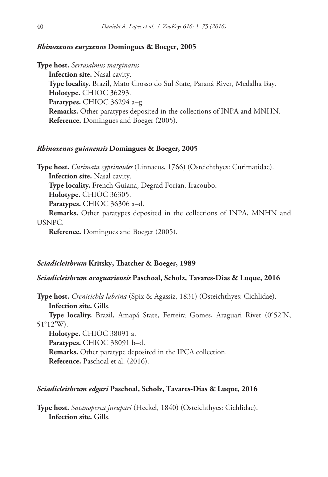### *Rhinoxenus euryxenus* **Domingues & Boeger, 2005**

**Type host.** *Serrasalmus marginatus* **Infection site.** Nasal cavity. **Type locality.** Brazil, Mato Grosso do Sul State, Paraná River, Medalha Bay. **Holotype.** CHIOC 36293. **Paratypes.** CHIOC 36294 a–g. **Remarks.** Other paratypes deposited in the collections of INPA and MNHN. **Reference.** Domingues and Boeger (2005).

### *Rhinoxenus guianensis* **Domingues & Boeger, 2005**

**Type host.** *Curimata cyprinoides* (Linnaeus, 1766) (Osteichthyes: Curimatidae). **Infection site.** Nasal cavity. **Type locality.** French Guiana, Degrad Forian, Iracoubo. **Holotype.** CHIOC 36305. **Paratypes.** CHIOC 36306 a–d. **Remarks.** Other paratypes deposited in the collections of INPA, MNHN and

USNPC.

**Reference.** Domingues and Boeger (2005).

#### *Sciadicleithrum* **Kritsky, Thatcher & Boeger, 1989**

### *Sciadicleithrum araguariensis* **Paschoal, Scholz, Tavares-Dias & Luque, 2016**

**Type host.** *Crenicichla labrina* (Spix & Agassiz, 1831) (Osteichthyes: Cichlidae). **Infection site.** Gills.

**Type locality.** Brazil, Amapá State, Ferreira Gomes, Araguari River (0°52'N, 51°12'W).

**Holotype.** CHIOC 38091 a. **Paratypes.** CHIOC 38091 b–d. **Remarks.** Other paratype deposited in the IPCA collection. **Reference.** Paschoal et al. (2016).

### *Sciadicleithrum edgari* **Paschoal, Scholz, Tavares-Dias & Luque, 2016**

**Type host.** *Satanoperca jurupari* (Heckel, 1840) (Osteichthyes: Cichlidae). **Infection site.** Gills.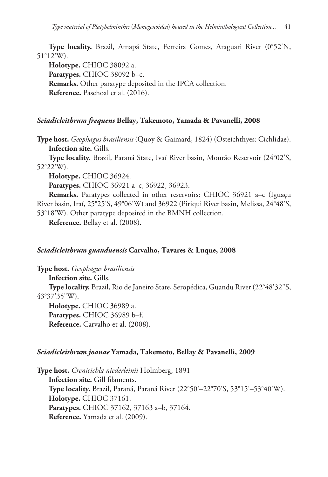**Type locality.** Brazil, Amapá State, Ferreira Gomes, Araguari River (0°52'N, 51°12'W).

**Holotype.** CHIOC 38092 a. **Paratypes.** CHIOC 38092 b–c. **Remarks.** Other paratype deposited in the IPCA collection. **Reference.** Paschoal et al. (2016).

# *Sciadicleithrum frequens* **Bellay, Takemoto, Yamada & Pavanelli, 2008**

**Type host.** *Geophagus brasiliensis* (Quoy & Gaimard, 1824) (Osteichthyes: Cichlidae). **Infection site.** Gills.

**Type locality.** Brazil, Paraná State, Ivaí River basin, Mourão Reservoir (24°02'S, 52°22'W).

**Holotype.** CHIOC 36924.

**Paratypes.** CHIOC 36921 a–c, 36922, 36923.

**Remarks.** Paratypes collected in other reservoirs: CHIOC 36921 a–c (Iguaçu River basin, Iraí, 25°25'S, 49°06'W) and 36922 (Piriqui River basin, Melissa, 24°48'S, 53°18'W). Other paratype deposited in the BMNH collection.

**Reference.** Bellay et al. (2008).

# *Sciadicleithrum guanduensis* **Carvalho, Tavares & Luque, 2008**

**Type host.** *Geophagus brasiliensis*

**Infection site.** Gills.

**Type locality.** Brazil, Rio de Janeiro State, Seropédica, Guandu River (22°48'32"S, 43°37'35"W).

**Holotype.** CHIOC 36989 a. **Paratypes.** CHIOC 36989 b–f. **Reference.** Carvalho et al. (2008).

# *Sciadicleithrum joanae* **Yamada, Takemoto, Bellay & Pavanelli, 2009**

**Type host.** *Crenicichla niederleinii* Holmberg, 1891 **Infection site.** Gill filaments. **Type locality.** Brazil, Paraná, Paraná River (22°50'–22°70'S, 53°15'–53°40'W). **Holotype.** CHIOC 37161. **Paratypes.** CHIOC 37162, 37163 a–b, 37164. **Reference.** Yamada et al. (2009).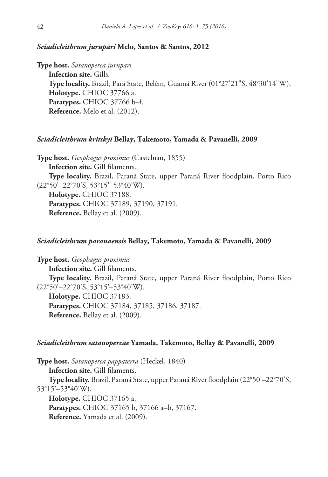### *Sciadicleithrum jurupari* **Melo, Santos & Santos, 2012**

**Type host.** *Satanoperca jurupari* **Infection site.** Gills. **Type locality.** Brazil, Pará State, Belém, Guamá River (01°27'21"S, 48°30'14"W). **Holotype.** CHIOC 37766 a. **Paratypes.** CHIOC 37766 b–f. **Reference.** Melo et al. (2012).

### *Sciadicleithrum kritskyi* **Bellay, Takemoto, Yamada & Pavanelli, 2009**

**Type host.** *Geophagus proximus* (Castelnau, 1855) **Infection site.** Gill filaments. **Type locality.** Brazil, Paraná State, upper Paraná River floodplain, Porto Rico (22°50'–22°70'S, 53°15'–53°40'W). **Holotype.** CHIOC 37188. **Paratypes.** CHIOC 37189, 37190, 37191. **Reference.** Bellay et al. (2009).

### *Sciadicleithrum paranaensis* **Bellay, Takemoto, Yamada & Pavanelli, 2009**

**Type host.** *Geophagus proximus* **Infection site.** Gill filaments. **Type locality.** Brazil, Paraná State, upper Paraná River floodplain, Porto Rico (22°50'–22°70'S, 53°15'–53°40'W). **Holotype.** CHIOC 37183. **Paratypes.** CHIOC 37184, 37185, 37186, 37187. **Reference.** Bellay et al. (2009).

#### *Sciadicleithrum satanopercae* **Yamada, Takemoto, Bellay & Pavanelli, 2009**

**Type host.** *Satanoperca pappaterra* (Heckel, 1840) **Infection site.** Gill filaments. **Type locality.** Brazil, Paraná State, upper Paraná River floodplain (22°50'–22°70'S, 53°15'–53°40'W). **Holotype.** CHIOC 37165 a. **Paratypes.** CHIOC 37165 b, 37166 a–b, 37167. **Reference.** Yamada et al. (2009).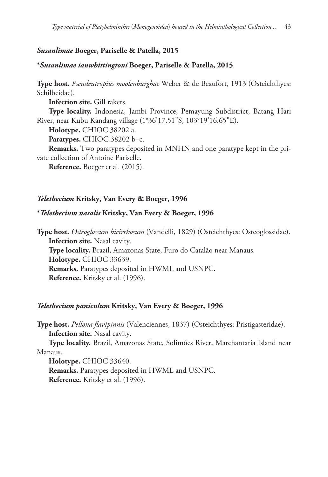# *Susanlimae* **Boeger, Pariselle & Patella, 2015**

### **\****Susanlimae ianwhittingtoni* **Boeger, Pariselle & Patella, 2015**

**Type host.** *Pseudeutropius moolenburghae* Weber & de Beaufort, 1913 (Osteichthyes: Schilbeidae).

**Infection site.** Gill rakers.

**Type locality.** Indonesia, Jambi Province, Pemayung Subdistrict, Batang Hari River, near Kubu Kandang village (1°36'17.51"S, 103°19'16.65"E).

**Holotype.** CHIOC 38202 a.

**Paratypes.** CHIOC 38202 b–c.

**Remarks.** Two paratypes deposited in MNHN and one paratype kept in the private collection of Antoine Pariselle.

**Reference.** Boeger et al. (2015).

# *Telethecium* **Kritsky, Van Every & Boeger, 1996**

#### **\****Telethecium nasalis* **Kritsky, Van Every & Boeger, 1996**

**Type host.** *Osteoglossum bicirrhosum* (Vandelli, 1829) (Osteichthyes: Osteoglossidae). **Infection site.** Nasal cavity. **Type locality.** Brazil, Amazonas State, Furo do Catalão near Manaus. **Holotype.** CHIOC 33639. **Remarks.** Paratypes deposited in HWML and USNPC. **Reference.** Kritsky et al. (1996).

#### *Telethecium paniculum* **Kritsky, Van Every & Boeger, 1996**

**Type host.** *Pellona flavipinnis* (Valenciennes, 1837) (Osteichthyes: Pristigasteridae). **Infection site.** Nasal cavity.

**Type locality.** Brazil, Amazonas State, Solimões River, Marchantaria Island near Manaus.

**Holotype.** CHIOC 33640.

**Remarks.** Paratypes deposited in HWML and USNPC. **Reference.** Kritsky et al. (1996).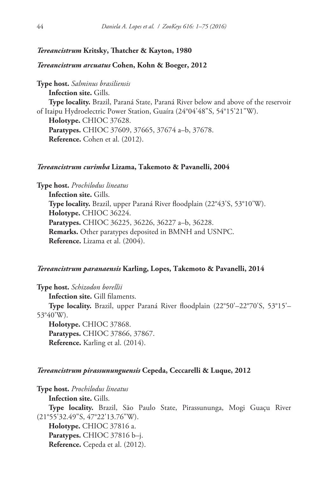### *Tereancistrum* **Kritsky, Thatcher & Kayton, 1980**

#### *Tereancistrum arcuatus* **Cohen, Kohn & Boeger, 2012**

**Type host.** *Salminus brasiliensis* **Infection site.** Gills. **Type locality.** Brazil, Paraná State, Paraná River below and above of the reservoir of Itaipu Hydroelectric Power Station, Guaíra (24°04'48"S, 54°15'21"W). **Holotype.** CHIOC 37628. **Paratypes.** CHIOC 37609, 37665, 37674 a–b, 37678. **Reference.** Cohen et al. (2012).

#### *Tereancistrum curimba* **Lizama, Takemoto & Pavanelli, 2004**

**Type host.** *Prochilodus lineatus* **Infection site.** Gills. **Type locality.** Brazil, upper Paraná River floodplain (22°43'S, 53°10'W). **Holotype.** CHIOC 36224. **Paratypes.** CHIOC 36225, 36226, 36227 a–b, 36228. **Remarks.** Other paratypes deposited in BMNH and USNPC. **Reference.** Lizama et al. (2004).

### *Tereancistrum paranaensis* **Karling, Lopes, Takemoto & Pavanelli, 2014**

**Type host.** *Schizodon borellii*

**Infection site.** Gill filaments.

**Type locality.** Brazil, upper Paraná River floodplain (22°50'–22°70'S, 53°15'– 53°40'W).

**Holotype.** CHIOC 37868. **Paratypes.** CHIOC 37866, 37867. **Reference.** Karling et al. (2014).

### *Tereancistrum pirassununguensis* **Cepeda, Ceccarelli & Luque, 2012**

**Type host.** *Prochilodus lineatus*

**Infection site.** Gills.

**Type locality.** Brazil, São Paulo State, Pirassununga, Mogi Guaçu River (21°55'32.49"S, 47°22'13.76"W).

**Holotype.** CHIOC 37816 a. **Paratypes.** CHIOC 37816 b–j. **Reference.** Cepeda et al. (2012).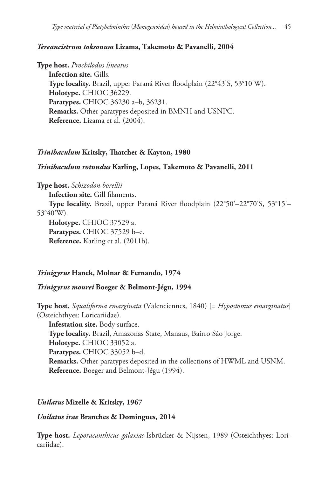# *Tereancistrum toksonum* **Lizama, Takemoto & Pavanelli, 2004**

**Type host.** *Prochilodus lineatus* **Infection site.** Gills. **Type locality.** Brazil, upper Paraná River floodplain (22°43'S, 53°10'W). **Holotype.** CHIOC 36229. **Paratypes.** CHIOC 36230 a–b, 36231. **Remarks.** Other paratypes deposited in BMNH and USNPC. **Reference.** Lizama et al. (2004).

### *Trinibaculum* **Kritsky, Thatcher & Kayton, 1980**

### *Trinibaculum rotundus* **Karling, Lopes, Takemoto & Pavanelli, 2011**

**Type host.** *Schizodon borellii*

**Infection site.** Gill filaments.

**Type locality.** Brazil, upper Paraná River floodplain (22°50'–22°70'S, 53°15'– 53°40'W).

**Holotype.** CHIOC 37529 a. **Paratypes.** CHIOC 37529 b–e. **Reference.** Karling et al. (2011b).

# *Trinigyrus* **Hanek, Molnar & Fernando, 1974**

### *Trinigyrus mourei* **Boeger & Belmont-Jégu, 1994**

**Type host.** *Squaliforma emarginata* (Valenciennes, 1840) [= *Hypostomus emarginatus*] (Osteichthyes: Loricariidae).

**Infestation site.** Body surface. **Type locality.** Brazil, Amazonas State, Manaus, Bairro São Jorge. **Holotype.** CHIOC 33052 a. **Paratypes.** CHIOC 33052 b–d. **Remarks.** Other paratypes deposited in the collections of HWML and USNM. **Reference.** Boeger and Belmont-Jégu (1994).

### *Unilatus* **Mizelle & Kritsky, 1967**

### *Unilatus irae* **Branches & Domingues, 2014**

**Type host.** *Leporacanthicus galaxias* Isbrücker & Nijssen, 1989 (Osteichthyes: Loricariidae).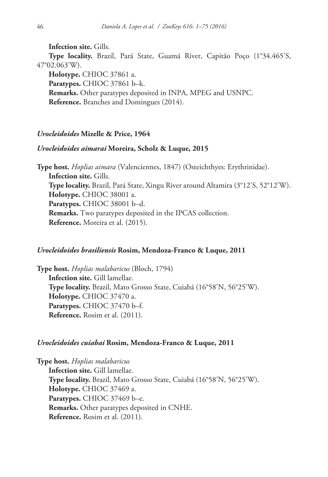**Infection site.** Gills. **Type locality.** Brazil, Pará State, Guamá River, Capitão Poço (1°34.465'S, 47°02.063'W). **Holotype.** CHIOC 37861 a. **Paratypes.** CHIOC 37861 b–k. **Remarks.** Other paratypes deposited in INPA, MPEG and USNPC.

**Reference.** Branches and Domingues (2014).

# *Urocleidoides* **Mizelle & Price, 1964**

# *Urocleidoides aimarai* **Moreira, Scholz & Luque, 2015**

**Type host.** *Hoplias aimara* (Valenciennes, 1847) (Osteichthyes: Erythrinidae). **Infection site.** Gills. **Type locality.** Brazil, Pará State, Xingu River around Altamira (3°12'S, 52°12'W). **Holotype.** CHIOC 38001 a. **Paratypes.** CHIOC 38001 b–d. **Remarks.** Two paratypes deposited in the IPCAS collection. **Reference.** Moreira et al. (2015).

### *Urocleidoides brasiliensis* **Rosim, Mendoza-Franco & Luque, 2011**

**Type host.** *Hoplias malabaricus* (Bloch, 1794) **Infection site.** Gill lamellae. **Type locality.** Brazil, Mato Grosso State, Cuiabá (16°58'N, 56°25'W). **Holotype.** CHIOC 37470 a. **Paratypes.** CHIOC 37470 b–f. **Reference.** Rosim et al. (2011).

### *Urocleidoides cuiabai* **Rosim, Mendoza-Franco & Luque, 2011**

**Type host.** *Hoplias malabaricus* **Infection site.** Gill lamellae. **Type locality.** Brazil, Mato Grosso State, Cuiabá (16°58'N, 56°25'W). **Holotype.** CHIOC 37469 a. **Paratypes.** CHIOC 37469 b–e. **Remarks.** Other paratypes deposited in CNHE. **Reference.** Rosim et al. (2011).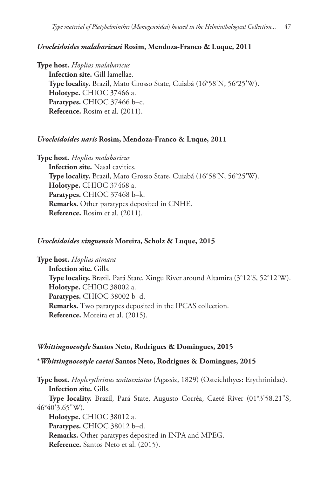# *Urocleidoides malabaricusi* **Rosim, Mendoza-Franco & Luque, 2011**

**Type host.** *Hoplias malabaricus* **Infection site.** Gill lamellae. **Type locality.** Brazil, Mato Grosso State, Cuiabá (16°58'N, 56°25'W). **Holotype.** CHIOC 37466 a. **Paratypes.** CHIOC 37466 b–c. **Reference.** Rosim et al. (2011).

### *Urocleidoides naris* **Rosim, Mendoza-Franco & Luque, 2011**

**Type host.** *Hoplias malabaricus*

**Infection site.** Nasal cavities. **Type locality.** Brazil, Mato Grosso State, Cuiabá (16°58'N, 56°25'W). **Holotype.** CHIOC 37468 a. **Paratypes.** CHIOC 37468 b–k. **Remarks.** Other paratypes deposited in CNHE. **Reference.** Rosim et al. (2011).

### *Urocleidoides xinguensis* **Moreira, Scholz & Luque, 2015**

**Type host.** *Hoplias aimara* **Infection site.** Gills. **Type locality.** Brazil, Pará State, Xingu River around Altamira (3°12'S, 52°12'W). **Holotype.** CHIOC 38002 a. **Paratypes.** CHIOC 38002 b–d. **Remarks.** Two paratypes deposited in the IPCAS collection. **Reference.** Moreira et al. (2015).

### *Whittingnocotyle* **Santos Neto, Rodrigues & Domingues, 2015**

**\****Whittingnocotyle caetei* **Santos Neto, Rodrigues & Domingues, 2015**

**Type host.** *Hoplerythrinus unitaeniatus* (Agassiz, 1829) (Osteichthyes: Erythrinidae). **Infection site.** Gills.

**Type locality.** Brazil, Pará State, Augusto Corrêa, Caeté River (01°3'58.21"S, 46°40'3.65"W).

**Holotype.** CHIOC 38012 a. **Paratypes.** CHIOC 38012 b–d. **Remarks.** Other paratypes deposited in INPA and MPEG. **Reference.** Santos Neto et al. (2015).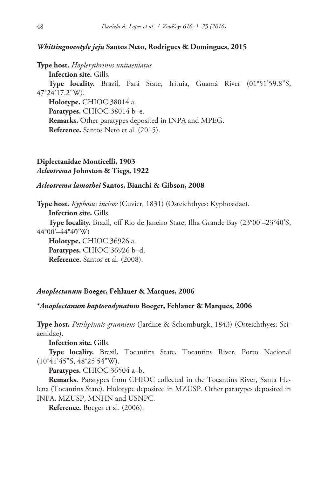### *Whittingnocotyle jeju* **Santos Neto, Rodrigues & Domingues, 2015**

**Type host.** *Hoplerythrinus unitaeniatus*

**Infection site.** Gills.

**Type locality.** Brazil, Pará State, Irituia, Guamá River (01°51'59.8"S, 47°24'17.2"W).

**Holotype.** CHIOC 38014 a. **Paratypes.** CHIOC 38014 b–e. **Remarks.** Other paratypes deposited in INPA and MPEG. **Reference.** Santos Neto et al. (2015).

# **Diplectanidae Monticelli, 1903** *Acleotrema* **Johnston & Tiegs, 1922**

### *Acleotrema lamothei* **Santos, Bianchi & Gibson, 2008**

**Type host.** *Kyphosus incisor* (Cuvier, 1831) (Osteichthyes: Kyphosidae). **Infection site.** Gills.

**Type locality.** Brazil, off Rio de Janeiro State, Ilha Grande Bay (23°00'–23°40'S, 44°00'–44°40'W)

**Holotype.** CHIOC 36926 a. **Paratypes.** CHIOC 36926 b–d. **Reference.** Santos et al. (2008).

### *Anoplectanum* **Boeger, Fehlauer & Marques, 2006**

### **\****Anoplectanum haptorodynatum* **Boeger, Fehlauer & Marques, 2006**

**Type host.** *Petilipinnis grunniens* (Jardine & Schomburgk, 1843) (Osteichthyes: Sciaenidae).

**Infection site.** Gills.

**Type locality.** Brazil, Tocantins State, Tocantins River, Porto Nacional (10°41'45"S, 48°25'54"W).

**Paratypes.** CHIOC 36504 a–b.

**Remarks.** Paratypes from CHIOC collected in the Tocantins River, Santa Helena (Tocantins State). Holotype deposited in MZUSP. Other paratypes deposited in INPA, MZUSP, MNHN and USNPC.

**Reference.** Boeger et al. (2006).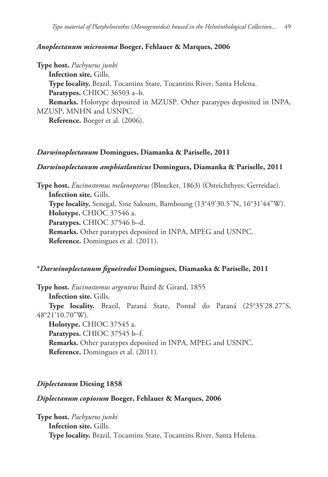### *Anoplectanum microsoma* **Boeger, Fehlauer & Marques, 2006**

**Type host.** *Pachyurus junki*

**Infection site.** Gills.

**Type locality.** Brazil, Tocantins State, Tocantins River, Santa Helena. **Paratypes.** CHIOC 36503 a–b.

**Remarks.** Holotype deposited in MZUSP. Other paratypes deposited in INPA, MZUSP, MNHN and USNPC.

**Reference.** Boeger et al. (2006).

# *Darwinoplectanum* **Domingues, Diamanka & Pariselle, 2011**

# *Darwinoplectanum amphiatlanticus* **Domingues, Diamanka & Pariselle, 2011**

**Type host.** *Eucinostomus melanopterus* (Bleecker, 1863) (Osteichthyes: Gerreidae). **Infection site.** Gills. **Type locality.** Senegal, Sine Saloum, Bamboung (13°49'30.5"N, 16°31'44"W). **Holotype.** CHIOC 37546 a. **Paratypes.** CHIOC 37546 b–d. **Remarks.** Other paratypes deposited in INPA, MPEG and USNPC. **Reference.** Domingues et al. (2011).

# **\****Darwinoplectanum figueiredoi* **Domingues, Diamanka & Pariselle, 2011**

**Type host.** *Eucinostomus argenteus* Baird & Girard, 1855

**Infection site.** Gills.

**Type locality.** Brazil, Paraná State, Pontal do Paraná (25°35'28.27"S, 48°21'10.70"W).

**Holotype.** CHIOC 37545 a. **Paratypes.** CHIOC 37545 b–f. **Remarks.** Other paratypes deposited in INPA, MPEG and USNPC. **Reference.** Domingues et al. (2011).

# *Diplectanum* **Diesing 1858**

# *Diplectanum copiosum* **Boeger, Fehlauer & Marques, 2006**

**Type host.** *Pachyurus junki* **Infection site.** Gills. **Type locality.** Brazil, Tocantins State, Tocantins River, Santa Helena.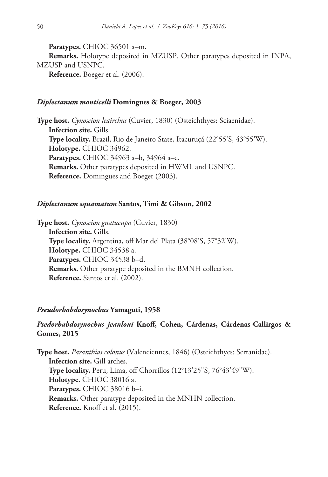**Paratypes.** CHIOC 36501 a–m.

**Remarks.** Holotype deposited in MZUSP. Other paratypes deposited in INPA, MZUSP and USNPC.

**Reference.** Boeger et al. (2006).

### *Diplectanum monticelli* **Domingues & Boeger, 2003**

**Type host.** *Cynoscion leairchus* (Cuvier, 1830) (Osteichthyes: Sciaenidae). **Infection site.** Gills. **Type locality.** Brazil, Rio de Janeiro State, Itacuruçá (22°55'S, 43°55'W). **Holotype.** CHIOC 34962. **Paratypes.** CHIOC 34963 a–b, 34964 a–c. **Remarks.** Other paratypes deposited in HWML and USNPC. **Reference.** Domingues and Boeger (2003).

### *Diplectanum squamatum* **Santos, Timi & Gibson, 2002**

**Type host.** *Cynoscion guatucupa* (Cuvier, 1830) **Infection site.** Gills. **Type locality.** Argentina, off Mar del Plata (38°08'S, 57°32'W). **Holotype.** CHIOC 34538 a. **Paratypes.** CHIOC 34538 b–d. **Remarks.** Other paratype deposited in the BMNH collection. **Reference.** Santos et al. (2002).

### *Pseudorhabdosynochus* **Yamaguti, 1958**

# *Psedorhabdosynochus jeanloui* **Knoff, Cohen, Cárdenas, Cárdenas-Callirgos & Gomes, 2015**

**Type host.** *Paranthias colonus* (Valenciennes, 1846) (Osteichthyes: Serranidae). **Infection site.** Gill arches. **Type locality.** Peru, Lima, off Chorrillos (12°13'25"S, 76°43'49"W). **Holotype.** CHIOC 38016 a. **Paratypes.** CHIOC 38016 b–i. **Remarks.** Other paratype deposited in the MNHN collection. **Reference.** Knoff et al. (2015).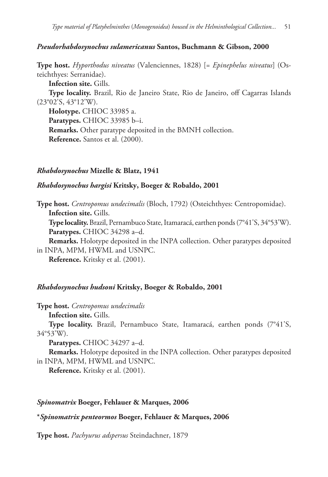### *Pseudorhabdosynochus sulamericanus* **Santos, Buchmann & Gibson, 2000**

**Type host.** *Hyporthodus niveatus* (Valenciennes, 1828) [= *Epinephelus niveatus*] (Osteichthyes: Serranidae).

**Infection site.** Gills.

**Type locality.** Brazil, Rio de Janeiro State, Rio de Janeiro, off Cagarras Islands (23°02'S, 43°12'W).

**Holotype.** CHIOC 33985 a.

**Paratypes.** CHIOC 33985 b–i.

**Remarks.** Other paratype deposited in the BMNH collection. **Reference.** Santos et al. (2000).

### *Rhabdosynochus* **Mizelle & Blatz, 1941**

### *Rhabdosynochus hargisi* **Kritsky, Boeger & Robaldo, 2001**

**Type host.** *Centropomus undecimalis* (Bloch, 1792) (Osteichthyes: Centropomidae). **Infection site.** Gills.

**Type locality.** Brazil, Pernambuco State, Itamaracá, earthen ponds (7°41'S, 34°53'W). **Paratypes.** CHIOC 34298 a–d.

**Remarks.** Holotype deposited in the INPA collection. Other paratypes deposited in INPA, MPM, HWML and USNPC.

**Reference.** Kritsky et al. (2001).

### *Rhabdosynochus hudsoni* **Kritsky, Boeger & Robaldo, 2001**

**Type host.** *Centropomus undecimalis*

**Infection site.** Gills.

**Type locality.** Brazil, Pernambuco State, Itamaracá, earthen ponds (7°41'S, 34°53'W).

**Paratypes.** CHIOC 34297 a–d.

**Remarks.** Holotype deposited in the INPA collection. Other paratypes deposited in INPA, MPM, HWML and USNPC.

**Reference.** Kritsky et al. (2001).

### *Spinomatrix* **Boeger, Fehlauer & Marques, 2006**

### **\****Spinomatrix penteormos* **Boeger, Fehlauer & Marques, 2006**

**Type host.** *Pachyurus adspersus* Steindachner, 1879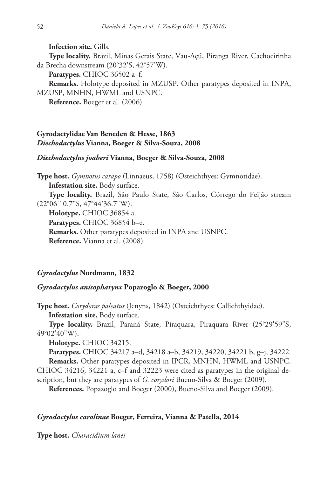**Infection site.** Gills.

**Type locality.** Brazil, Minas Gerais State, Vau-Açú, Piranga River, Cachoeirinha da Brecha downstream (20°32'S, 42°57'W).

**Paratypes.** CHIOC 36502 a–f.

**Remarks.** Holotype deposited in MZUSP. Other paratypes deposited in INPA, MZUSP, MNHN, HWML and USNPC.

**Reference.** Boeger et al. (2006).

# **Gyrodactylidae Van Beneden & Hesse, 1863** *Diechodactylus* **Vianna, Boeger & Silva-Souza, 2008**

### *Diechodactylus joaberi* **Vianna, Boeger & Silva-Souza, 2008**

**Type host.** *Gymnotus carapo* (Linnaeus, 1758) (Osteichthyes: Gymnotidae). **Infestation site.** Body surface.

**Type locality.** Brazil, São Paulo State, São Carlos, Córrego do Feijão stream (22°06'10.7"S, 47°44'36.7"W).

**Holotype.** CHIOC 36854 a.

**Paratypes.** CHIOC 36854 b–e.

**Remarks.** Other paratypes deposited in INPA and USNPC.

**Reference.** Vianna et al. (2008).

# *Gyrodactylus* **Nordmann, 1832**

# *Gyrodactylus anisopharynx* **Popazoglo & Boeger, 2000**

**Type host.** *Corydoras paleatus* (Jenyns, 1842) (Osteichthyes: Callichthyidae). **Infestation site.** Body surface.

**Type locality.** Brazil, Paraná State, Piraquara, Piraquara River (25°29'59"S, 49°02'40"W).

**Holotype.** CHIOC 34215.

**Paratypes.** CHIOC 34217 a–d, 34218 a–b, 34219, 34220, 34221 b, g–j, 34222. **Remarks.** Other paratypes deposited in IPCR, MNHN, HWML and USNPC. CHIOC 34216, 34221 a, c–f and 32223 were cited as paratypes in the original description, but they are paratypes of *G. corydori* Bueno-Silva & Boeger (2009).

**References.** Popazoglo and Boeger (2000), Bueno-Silva and Boeger (2009).

# *Gyrodactylus carolinae* **Boeger, Ferreira, Vianna & Patella, 2014**

**Type host.** *Characidium lanei*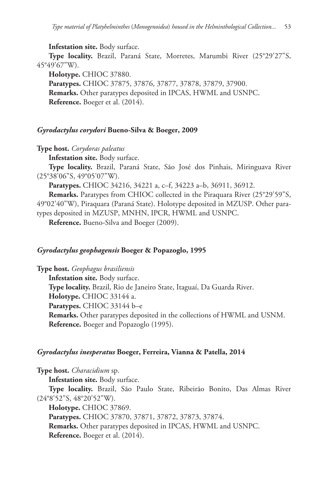### **Infestation site.** Body surface.

**Type locality.** Brazil, Paraná State, Morretes, Marumbi River (25°29'27"S, 45°49'67"W).

**Holotype.** CHIOC 37880. **Paratypes.** CHIOC 37875, 37876, 37877, 37878, 37879, 37900. **Remarks.** Other paratypes deposited in IPCAS, HWML and USNPC. **Reference.** Boeger et al. (2014).

### *Gyrodactylus corydori* **Bueno-Silva & Boeger, 2009**

**Type host.** *Corydoras paleatus*

**Infestation site.** Body surface.

**Type locality.** Brazil, Paraná State, São José dos Pinhais, Miringuava River (25°38'06"S, 49°05'07"W).

**Paratypes.** CHIOC 34216, 34221 a, c–f, 34223 a–b, 36911, 36912.

**Remarks.** Paratypes from CHIOC collected in the Piraquara River (25°29'59"S, 49°02'40"W), Piraquara (Paraná State). Holotype deposited in MZUSP. Other paratypes deposited in MZUSP, MNHN, IPCR, HWML and USNPC.

**Reference.** Bueno-Silva and Boeger (2009).

### *Gyrodactylus geophagensis* **Boeger & Popazoglo, 1995**

**Type host.** *Geophagus brasiliensis*

**Infestation site.** Body surface.

**Type locality.** Brazil, Rio de Janeiro State, Itaguaí, Da Guarda River.

**Holotype.** CHIOC 33144 a.

**Paratypes.** CHIOC 33144 b–e

**Remarks.** Other paratypes deposited in the collections of HWML and USNM. **Reference.** Boeger and Popazoglo (1995).

### *Gyrodactylus inesperatus* **Boeger, Ferreira, Vianna & Patella, 2014**

**Type host.** *Characidium* sp.

**Infestation site.** Body surface.

**Type locality.** Brazil, São Paulo State, Ribeirão Bonito, Das Almas River (24°8'52"S, 48°20'52"W).

**Holotype.** CHIOC 37869.

**Paratypes.** CHIOC 37870, 37871, 37872, 37873, 37874.

**Remarks.** Other paratypes deposited in IPCAS, HWML and USNPC.

**Reference.** Boeger et al. (2014).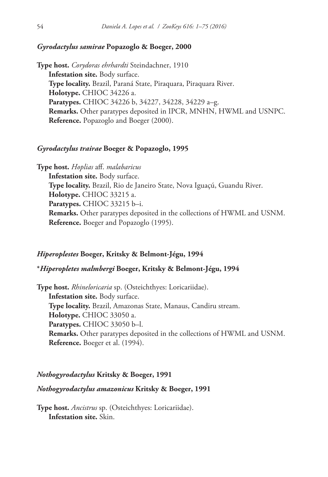### *Gyrodactylus samirae* **Popazoglo & Boeger, 2000**

**Type host.** *Corydoras ehrhardti* Steindachner, 1910 **Infestation site.** Body surface. **Type locality.** Brazil, Paraná State, Piraquara, Piraquara River. **Holotype.** CHIOC 34226 a. **Paratypes.** CHIOC 34226 b, 34227, 34228, 34229 a–g. **Remarks.** Other paratypes deposited in IPCR, MNHN, HWML and USNPC. **Reference.** Popazoglo and Boeger (2000).

### *Gyrodactylus trairae* **Boeger & Popazoglo, 1995**

**Type host.** *Hoplias* aff. *malabaricus* **Infestation site.** Body surface. **Type locality.** Brazil, Rio de Janeiro State, Nova Iguaçú, Guandu River. **Holotype.** CHIOC 33215 a. **Paratypes.** CHIOC 33215 b–i. **Remarks.** Other paratypes deposited in the collections of HWML and USNM. **Reference.** Boeger and Popazoglo (1995).

### *Hiperoplestes* **Boeger, Kritsky & Belmont-Jégu, 1994**

### **\****Hiperopletes malmbergi* **Boeger, Kritsky & Belmont-Jégu, 1994**

**Type host.** *Rhineloricaria* sp. (Osteichthyes: Loricariidae). **Infestation site.** Body surface. **Type locality.** Brazil, Amazonas State, Manaus, Candiru stream. **Holotype.** CHIOC 33050 a. **Paratypes.** CHIOC 33050 b–l. **Remarks.** Other paratypes deposited in the collections of HWML and USNM. **Reference.** Boeger et al. (1994).

### *Nothogyrodactylus* **Kritsky & Boeger, 1991**

### *Nothogyrodactylus amazonicus* **Kritsky & Boeger, 1991**

**Type host.** *Ancistrus* sp. (Osteichthyes: Loricariidae). **Infestation site.** Skin.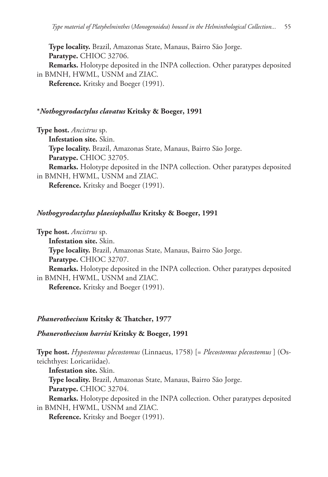**Type locality.** Brazil, Amazonas State, Manaus, Bairro São Jorge. **Paratype.** CHIOC 32706. **Remarks.** Holotype deposited in the INPA collection. Other paratypes deposited in BMNH, HWML, USNM and ZIAC. **Reference.** Kritsky and Boeger (1991).

# **\****Nothogyrodactylus clavatus* **Kritsky & Boeger, 1991**

**Type host.** *Ancistrus* sp. **Infestation site.** Skin. **Type locality.** Brazil, Amazonas State, Manaus, Bairro São Jorge. **Paratype.** CHIOC 32705. **Remarks.** Holotype deposited in the INPA collection. Other paratypes deposited in BMNH, HWML, USNM and ZIAC. **Reference.** Kritsky and Boeger (1991).

### *Nothogyrodactylus plaesiophallus* **Kritsky & Boeger, 1991**

**Type host.** *Ancistrus* sp. **Infestation site.** Skin. **Type locality.** Brazil, Amazonas State, Manaus, Bairro São Jorge. **Paratype.** CHIOC 32707. **Remarks.** Holotype deposited in the INPA collection. Other paratypes deposited in BMNH, HWML, USNM and ZIAC. **Reference.** Kritsky and Boeger (1991).

### *Phanerothecium* **Kritsky & Thatcher, 1977**

### *Phanerothecium harrisi* **Kritsky & Boeger, 1991**

**Type host.** *Hypostomus plecostomus* (Linnaeus, 1758) [= *Plecostomus plecostomus* ] (Osteichthyes: Loricariidae).

**Infestation site.** Skin.

**Type locality.** Brazil, Amazonas State, Manaus, Bairro São Jorge. **Paratype.** CHIOC 32704.

**Remarks.** Holotype deposited in the INPA collection. Other paratypes deposited

in BMNH, HWML, USNM and ZIAC.

**Reference.** Kritsky and Boeger (1991).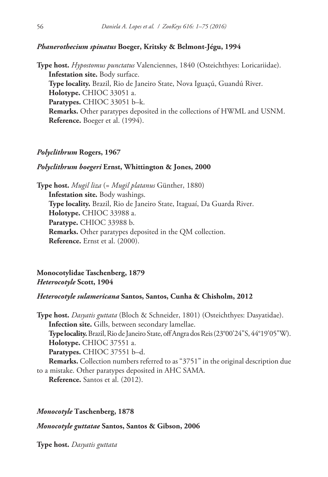### *Phanerothecium spinatus* **Boeger, Kritsky & Belmont-Jégu, 1994**

**Type host.** *Hypostomus punctatus* Valenciennes, 1840 (Osteichthyes: Loricariidae). **Infestation site.** Body surface. **Type locality.** Brazil, Rio de Janeiro State, Nova Iguaçú, Guandú River. **Holotype.** CHIOC 33051 a. **Paratypes.** CHIOC 33051 b–k. **Remarks.** Other paratypes deposited in the collections of HWML and USNM. **Reference.** Boeger et al. (1994).

#### *Polyclithrum* **Rogers, 1967**

#### *Polyclithrum boegeri* **Ernst, Whittington & Jones, 2000**

**Type host.** *Mugil liza* (= *Mugil platanus* Günther, 1880) **Infestation site.** Body washings. **Type locality.** Brazil, Rio de Janeiro State, Itaguaí, Da Guarda River. **Holotype.** CHIOC 33988 a. **Paratype.** CHIOC 33988 b. **Remarks.** Other paratypes deposited in the QM collection. **Reference.** Ernst et al. (2000).

**Monocotylidae Taschenberg, 1879** *Heterocotyle* **Scott, 1904**

# *Heterocotyle sulamericana* **Santos, Santos, Cunha & Chisholm, 2012**

**Type host.** *Dasyatis guttata* (Bloch & Schneider, 1801) (Osteichthyes: Dasyatidae). **Infection site.** Gills, between secondary lamellae. **Type locality.** Brazil, Rio de Janeiro State, off Angra dos Reis (23°00'24"S, 44°19'05"W). **Holotype.** CHIOC 37551 a. **Paratypes.** CHIOC 37551 b–d. **Remarks.** Collection numbers referred to as "3751" in the original description due to a mistake. Other paratypes deposited in AHC SAMA. **Reference.** Santos et al. (2012).

#### *Monocotyle* **Taschenberg, 1878**

*Monocotyle guttatae* **Santos, Santos & Gibson, 2006**

**Type host.** *Dasyatis guttata*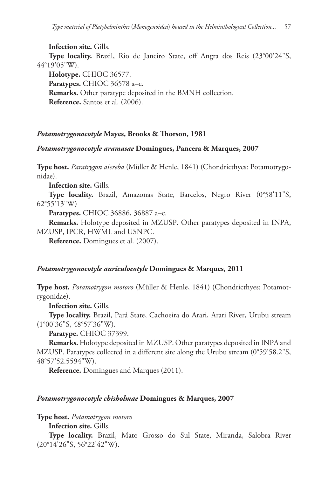**Infection site.** Gills. **Type locality.** Brazil, Rio de Janeiro State, off Angra dos Reis (23°00'24"S, 44°19'05"W).

**Holotype.** CHIOC 36577. **Paratypes.** CHIOC 36578 a–c. **Remarks.** Other paratype deposited in the BMNH collection. **Reference.** Santos et al. (2006).

### *Potamotrygonocotyle* **Mayes, Brooks & Thorson, 1981**

### *Potamotrygonocotyle aramasae* **Domingues, Pancera & Marques, 2007**

**Type host.** *Paratrygon aiereba* (Müller & Henle, 1841) (Chondricthyes: Potamotrygonidae).

**Infection site.** Gills.

**Type locality.** Brazil, Amazonas State, Barcelos, Negro River (0°58'11"S, 62°55'13"W)

**Paratypes.** CHIOC 36886, 36887 a–c.

**Remarks.** Holotype deposited in MZUSP. Other paratypes deposited in INPA, MZUSP, IPCR, HWML and USNPC.

**Reference.** Domingues et al. (2007).

### *Potamotrygonocotyle auriculocotyle* **Domingues & Marques, 2011**

**Type host.** *Potamotrygon motoro* (Müller & Henle, 1841) (Chondricthyes: Potamotrygonidae).

**Infection site.** Gills.

**Type locality.** Brazil, Pará State, Cachoeira do Arari, Arari River, Urubu stream (1°00'36"S, 48°57'36"W).

**Paratype.** CHIOC 37399.

**Remarks.** Holotype deposited in MZUSP. Other paratypes deposited in INPA and MZUSP. Paratypes collected in a different site along the Urubu stream (0°59'58.2"S, 48°57'52.5594"W).

**Reference.** Domingues and Marques (2011).

### *Potamotrygonocotyle chisholmae* **Domingues & Marques, 2007**

**Type host.** *Potamotrygon motoro*

**Infection site.** Gills.

**Type locality.** Brazil, Mato Grosso do Sul State, Miranda, Salobra River (20°14'26"S, 56°22'42"W).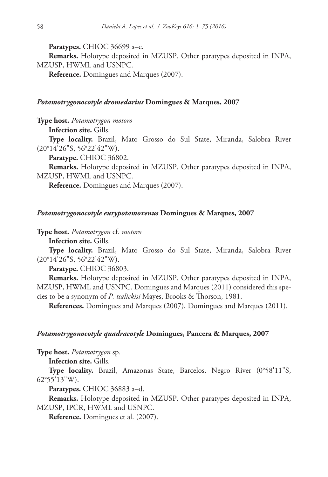**Paratypes.** CHIOC 36699 a–e.

**Remarks.** Holotype deposited in MZUSP. Other paratypes deposited in INPA, MZUSP, HWML and USNPC.

**Reference.** Domingues and Marques (2007).

### *Potamotrygonocotyle dromedarius* **Domingues & Marques, 2007**

**Type host.** *Potamotrygon motoro*

**Infection site.** Gills.

**Type locality.** Brazil, Mato Grosso do Sul State, Miranda, Salobra River (20°14'26"S, 56°22'42"W).

**Paratype.** CHIOC 36802.

**Remarks.** Holotype deposited in MZUSP. Other paratypes deposited in INPA, MZUSP, HWML and USNPC.

**Reference.** Domingues and Marques (2007).

#### *Potamotrygonocotyle eurypotamoxenus* **Domingues & Marques, 2007**

**Type host.** *Potamotrygon* cf. *motoro*

**Infection site.** Gills.

**Type locality.** Brazil, Mato Grosso do Sul State, Miranda, Salobra River (20°14'26"S, 56°22'42"W).

**Paratype.** CHIOC 36803.

**Remarks.** Holotype deposited in MZUSP. Other paratypes deposited in INPA, MZUSP, HWML and USNPC. Domingues and Marques (2011) considered this species to be a synonym of *P. tsalickisi* Mayes, Brooks & Thorson, 1981.

**References.** Domingues and Marques (2007), Domingues and Marques (2011).

#### *Potamotrygonocotyle quadracotyle* **Domingues, Pancera & Marques, 2007**

**Type host.** *Potamotrygon* sp.

**Infection site.** Gills.

**Type locality.** Brazil, Amazonas State, Barcelos, Negro River (0°58'11"S, 62°55'13"W).

**Paratypes.** CHIOC 36883 a–d.

**Remarks.** Holotype deposited in MZUSP. Other paratypes deposited in INPA, MZUSP, IPCR, HWML and USNPC.

**Reference.** Domingues et al. (2007).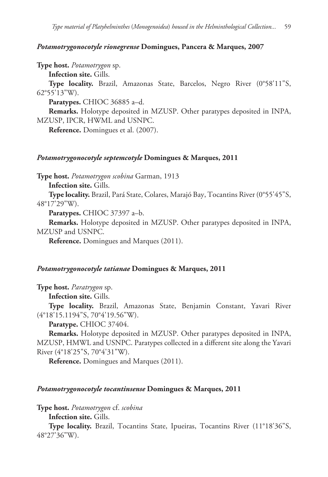### *Potamotrygonocotyle rionegrense* **Domingues, Pancera & Marques, 2007**

**Type host.** *Potamotrygon* sp.

**Infection site.** Gills.

**Type locality.** Brazil, Amazonas State, Barcelos, Negro River (0°58'11"S, 62°55'13"W).

**Paratypes.** CHIOC 36885 a–d.

**Remarks.** Holotype deposited in MZUSP. Other paratypes deposited in INPA, MZUSP, IPCR, HWML and USNPC.

**Reference.** Domingues et al. (2007).

### *Potamotrygonocotyle septemcotyle* **Domingues & Marques, 2011**

**Type host.** *Potamotrygon scobina* Garman, 1913

**Infection site.** Gills.

**Type locality.** Brazil, Pará State, Colares, Marajó Bay, Tocantins River (0°55'45"S, 48°17'29"W).

**Paratypes.** CHIOC 37397 a–b.

**Remarks.** Holotype deposited in MZUSP. Other paratypes deposited in INPA, MZUSP and USNPC.

**Reference.** Domingues and Marques (2011).

### *Potamotrygonocotyle tatianae* **Domingues & Marques, 2011**

**Type host.** *Paratrygon* sp.

**Infection site.** Gills.

**Type locality.** Brazil, Amazonas State, Benjamin Constant, Yavari River (4°18'15.1194"S, 70°4'19.56"W).

**Paratype.** CHIOC 37404.

**Remarks.** Holotype deposited in MZUSP. Other paratypes deposited in INPA, MZUSP, HMWL and USNPC. Paratypes collected in a different site along the Yavari River (4°18'25"S, 70°4'31"W).

**Reference.** Domingues and Marques (2011).

#### *Potamotrygonocotyle tocantinsense* **Domingues & Marques, 2011**

**Type host.** *Potamotrygon* cf. *scobina*

**Infection site.** Gills.

**Type locality.** Brazil, Tocantins State, Ipueiras, Tocantins River (11°18'36"S, 48°27'36"W).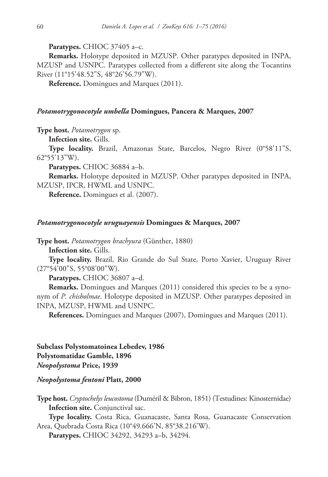**Paratypes.** CHIOC 37405 a–c.

**Remarks.** Holotype deposited in MZUSP. Other paratypes deposited in INPA, MZUSP and USNPC. Paratypes collected from a different site along the Tocantins River (11°15'48.52"S, 48°26'56.79"W).

**Reference.** Domingues and Marques (2011).

### *Potamotrygonocotyle umbella* **Domingues, Pancera & Marques, 2007**

**Type host.** *Potamotrygon* sp.

**Infection site.** Gills.

**Type locality.** Brazil, Amazonas State, Barcelos, Negro River (0°58'11"S, 62°55'13"W).

**Paratypes.** CHIOC 36884 a–b.

**Remarks.** Holotype deposited in MZUSP. Other paratypes deposited in INPA, MZUSP, IPCR, HWML and USNPC.

**Reference.** Domingues et al. (2007).

### *Potamotrygonocotyle uruguayensis* **Domingues & Marques, 2007**

**Type host.** *Potamotrygon brachyura* (Günther, 1880)

**Infection site.** Gills.

**Type locality.** Brazil, Rio Grande do Sul State, Porto Xavier, Uruguay River (27°54'00"S, 55°08'00"W).

**Paratypes.** CHIOC 36807 a–d.

**Remarks.** Domingues and Marques (2011) considered this species to be a synonym of *P. chisholmae*. Holotype deposited in MZUSP. Other paratypes deposited in INPA, MZUSP, HWML and USNPC.

**References.** Domingues and Marques (2007), Domingues and Marques (2011).

**Subclass Polystomatoinea Lebedev, 1986 Polystomatidae Gamble, 1896** *Neopolystoma* **Price, 1939**

### *Neopolystoma fentoni* **Platt, 2000**

**Type host.** *Cryptochelys leucostoma* (Duméril & Bibron, 1851) (Testudines: Kinosternidae) **Infection site.** Conjunctival sac.

**Type locality.** Costa Rica, Guanacaste, Santa Rosa, Guanacaste Conservation Area, Quebrada Costa Rica (10°49.666'N, 85°38.216'W).

**Paratypes.** CHIOC 34292, 34293 a–b, 34294.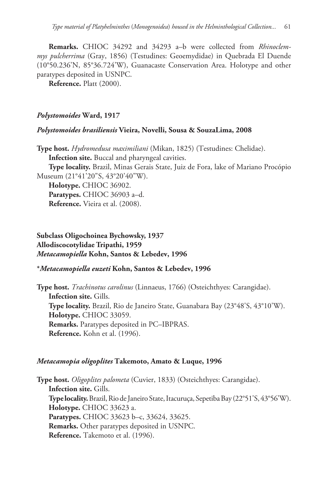**Remarks.** CHIOC 34292 and 34293 a–b were collected from *Rhinoclemmys pulcherrima* (Gray, 1856) (Testudines: Geoemydidae) in Quebrada El Duende (10°50.236'N, 85°36.724'W), Guanacaste Conservation Area. Holotype and other paratypes deposited in USNPC.

**Reference.** Platt (2000).

### *Polystomoides* **Ward, 1917**

#### *Polystomoides brasiliensis* **Vieira, Novelli, Sousa & SouzaLima, 2008**

**Type host.** *Hydromedusa maximiliani* (Mikan, 1825) (Testudines: Chelidae).

**Infection site.** Buccal and pharyngeal cavities.

**Type locality.** Brazil, Minas Gerais State, Juiz de Fora, lake of Mariano Procópio Museum (21°41'20"S, 43°20'40"W).

**Holotype.** CHIOC 36902. **Paratypes.** CHIOC 36903 a–d. **Reference.** Vieira et al. (2008).

# **Subclass Oligochoinea Bychowsky, 1937 Allodiscocotylidae Tripathi, 1959** *Metacamopiella* **Kohn, Santos & Lebedev, 1996**

### **\****Metacamopiella euzeti* **Kohn, Santos & Lebedev, 1996**

**Type host.** *Trachinotus carolinus* (Linnaeus, 1766) (Osteichthyes: Carangidae). **Infection site.** Gills. **Type locality.** Brazil, Rio de Janeiro State, Guanabara Bay (23°48'S, 43°10'W). **Holotype.** CHIOC 33059. **Remarks.** Paratypes deposited in PC–IBPRAS. **Reference.** Kohn et al. (1996).

#### *Metacamopia oligoplites* **Takemoto, Amato & Luque, 1996**

**Type host.** *Oligoplites palometa* (Cuvier, 1833) (Osteichthyes: Carangidae). **Infection site.** Gills. **Type locality.** Brazil, Rio de Janeiro State, Itacuruça, Sepetiba Bay (22°51'S, 43°56'W). **Holotype.** CHIOC 33623 a. **Paratypes.** CHIOC 33623 b–c, 33624, 33625. **Remarks.** Other paratypes deposited in USNPC. **Reference.** Takemoto et al. (1996).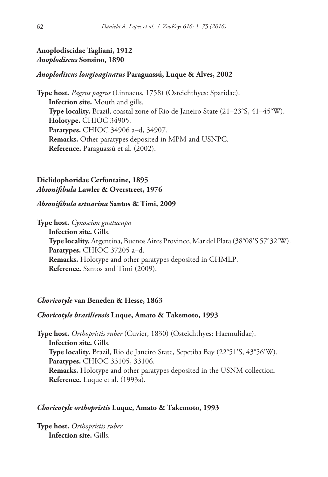# **Anoplodiscidae Tagliani, 1912** *Anoplodiscus* **Sonsino, 1890**

# *Anoplodiscus longivaginatus* **Paraguassú, Luque & Alves, 2002**

**Type host.** *Pagrus pagrus* (Linnaeus, 1758) (Osteichthyes: Sparidae). **Infection site.** Mouth and gills. **Type locality.** Brazil, coastal zone of Rio de Janeiro State (21–23°S, 41–45°W). **Holotype.** CHIOC 34905. **Paratypes.** CHIOC 34906 a–d, 34907. **Remarks.** Other paratypes deposited in MPM and USNPC. **Reference.** Paraguassú et al. (2002).

# **Diclidophoridae Cerfontaine, 1895** *Absonifibula* **Lawler & Overstreet, 1976**

### *Absonifibula estuarina* **Santos & Timi, 2009**

**Type host.** *Cynoscion guatucupa* **Infection site.** Gills. **Type locality.** Argentina, Buenos Aires Province, Mar del Plata (38°08'S 57°32'W). **Paratypes.** CHIOC 37205 a–d. **Remarks.** Holotype and other paratypes deposited in CHMLP. **Reference.** Santos and Timi (2009).

# *Choricotyle* **van Beneden & Hesse, 1863**

### *Choricotyle brasiliensis* **Luque, Amato & Takemoto, 1993**

**Type host.** *Orthopristis ruber* (Cuvier, 1830) (Osteichthyes: Haemulidae). **Infection site.** Gills. **Type locality.** Brazil, Rio de Janeiro State, Sepetiba Bay (22°51'S, 43°56'W). **Paratypes.** CHIOC 33105, 33106. **Remarks.** Holotype and other paratypes deposited in the USNM collection. **Reference.** Luque et al. (1993a).

# *Choricotyle orthopristis* **Luque, Amato & Takemoto, 1993**

**Type host.** *Orthopristis ruber* **Infection site.** Gills.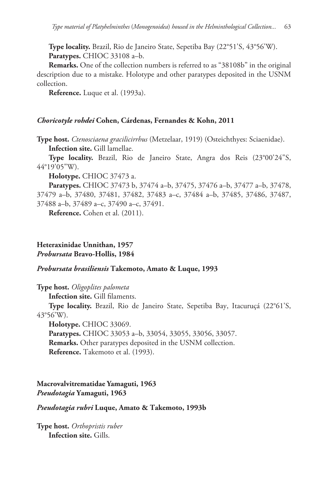**Type locality.** Brazil, Rio de Janeiro State, Sepetiba Bay (22°51'S, 43°56'W). **Paratypes.** CHIOC 33108 a–b.

**Remarks.** One of the collection numbers is referred to as "38108b" in the original description due to a mistake. Holotype and other paratypes deposited in the USNM collection.

**Reference.** Luque et al. (1993a).

### *Choricotyle rohdei* **Cohen, Cárdenas, Fernandes & Kohn, 2011**

**Type host.** *Ctenosciaena gracilicirrhus* (Metzelaar, 1919) (Osteichthyes: Sciaenidae). **Infection site.** Gill lamellae.

**Type locality.** Brazil, Rio de Janeiro State, Angra dos Reis (23°00'24"S, 44°19'05"W).

**Holotype.** CHIOC 37473 a.

**Paratypes.** CHIOC 37473 b, 37474 a–b, 37475, 37476 a–b, 37477 a–b, 37478, 37479 a–b, 37480, 37481, 37482, 37483 a–c, 37484 a–b, 37485, 37486, 37487, 37488 a–b, 37489 a–c, 37490 a–c, 37491.

**Reference.** Cohen et al. (2011).

# **Heteraxinidae Unnithan, 1957** *Probursata* **Bravo-Hollis, 1984**

### *Probursata brasiliensis* **Takemoto, Amato & Luque, 1993**

**Type host.** *Oligoplites palometa*

**Infection site.** Gill filaments.

**Type locality.** Brazil, Rio de Janeiro State, Sepetiba Bay, Itacuruçá (22°61'S, 43°56'W).

**Holotype.** CHIOC 33069.

**Paratypes.** CHIOC 33053 a–b, 33054, 33055, 33056, 33057.

**Remarks.** Other paratypes deposited in the USNM collection.

**Reference.** Takemoto et al. (1993).

**Macrovalvitrematidae Yamaguti, 1963** *Pseudotagia* **Yamaguti, 1963**

*Pseudotagia rubri* **Luque, Amato & Takemoto, 1993b**

**Type host.** *Orthopristis ruber* **Infection site.** Gills.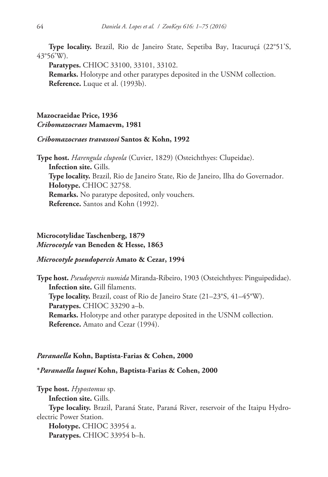**Type locality.** Brazil, Rio de Janeiro State, Sepetiba Bay, Itacuruçá (22°51'S, 43°56'W).

**Paratypes.** CHIOC 33100, 33101, 33102.

**Remarks.** Holotype and other paratypes deposited in the USNM collection. **Reference.** Luque et al. (1993b).

# **Mazocraeidae Price, 1936** *Cribomazocraes* **Mamaevm, 1981**

### *Cribomazocraes travassosi* **Santos & Kohn, 1992**

**Type host.** *Harengula clupeola* (Cuvier, 1829) (Osteichthyes: Clupeidae). **Infection site.** Gills. **Type locality.** Brazil, Rio de Janeiro State, Rio de Janeiro, Ilha do Governador. **Holotype.** CHIOC 32758. **Remarks.** No paratype deposited, only vouchers. **Reference.** Santos and Kohn (1992).

# **Microcotylidae Taschenberg, 1879** *Microcotyle* **van Beneden & Hesse, 1863**

### *Microcotyle pseudopercis* **Amato & Cezar, 1994**

**Type host.** *Pseudopercis numida* Miranda-Ribeiro, 1903 (Osteichthyes: Pinguipedidae). **Infection site.** Gill filaments. **Type locality.** Brazil, coast of Rio de Janeiro State (21–23°S, 41–45°W). **Paratypes.** CHIOC 33290 a–b. **Remarks.** Holotype and other paratype deposited in the USNM collection. **Reference.** Amato and Cezar (1994).

#### *Paranaella* **Kohn, Baptista-Farias & Cohen, 2000**

### **\****Paranaella luquei* **Kohn, Baptista-Farias & Cohen, 2000**

**Type host.** *Hypostomus* sp. **Infection site.** Gills. **Type locality.** Brazil, Paraná State, Paraná River, reservoir of the Itaipu Hydroelectric Power Station. **Holotype.** CHIOC 33954 a. **Paratypes.** CHIOC 33954 b–h.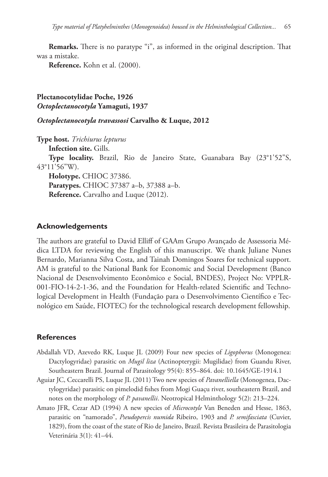**Remarks.** There is no paratype "i", as informed in the original description. That was a mistake.

**Reference.** Kohn et al. (2000).

**Plectanocotylidae Poche, 1926** *Octoplectanocotyla* **Yamaguti, 1937**

*Octoplectanocotyla travassosi* **Carvalho & Luque, 2012**

**Type host.** *Trichiurus lepturus* **Infection site.** Gills. **Type locality.** Brazil, Rio de Janeiro State, Guanabara Bay (23°1'52"S, 43°11'56"W). **Holotype.** CHIOC 37386. **Paratypes.** CHIOC 37387 a–b, 37388 a–b. **Reference.** Carvalho and Luque (2012).

### **Acknowledgements**

The authors are grateful to David Elliff of GAAm Grupo Avançado de Assessoria Médica LTDA for reviewing the English of this manuscript. We thank Juliane Nunes Bernardo, Marianna Silva Costa, and Tainah Domingos Soares for technical support. AM is grateful to the National Bank for Economic and Social Development (Banco Nacional de Desenvolvimento Econômico e Social, BNDES), Project No: VPPLR-001-FIO-14-2-1-36, and the Foundation for Health-related Scientific and Technological Development in Health (Fundação para o Desenvolvimento Científico e Tecnológico em Saúde, FIOTEC) for the technological research development fellowship.

### **References**

- Abdallah VD, Azevedo RK, Luque JL (2009) Four new species of *Ligophorus* (Monogenea: Dactylogyridae) parasitic on *Mugil liza* (Actinopterygii: Mugilidae) from Guandu River, Southeastern Brazil. Journal of Parasitology 95(4): 855–864. [doi: 10.1645/GE-1914.1](http://dx.doi.org/10.1645/GE-1914.1)
- Aguiar JC, Ceccarelli PS, Luque JL (2011) Two new species of *Pavanelliella* (Monogenea, Dactylogyridae) parasitic on pimelodid fishes from Mogi Guaçu river, southeastern Brazil, and notes on the morphology of *P. pavanellii*. Neotropical Helminthology 5(2): 213–224.
- Amato JFR, Cezar AD (1994) A new species of *Microcotyle* Van Beneden and Hesse, 1863, parasitic on "namorado", *Pseudopercis numida* Ribeiro, 1903 and *P. semifasciata* (Cuvier, 1829), from the coast of the state of Rio de Janeiro, Brazil. Revista Brasileira de Parasitologia Veterinária 3(1): 41–44.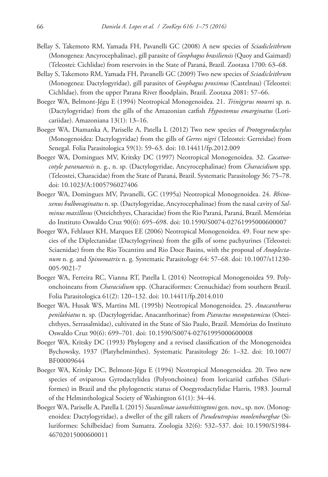- Bellay S, Takemoto RM, Yamada FH, Pavanelli GC (2008) A new species of *Sciadicleithrum* (Monogenea: Ancyrocephalinae), gill parasite of *Geophagus brasiliensis* (Quoy and Gaimard) (Teleostei: Cichlidae) from reservoirs in the State of Paraná, Brazil. Zootaxa 1700: 63–68.
- Bellay S, Takemoto RM, Yamada FH, Pavanelli GC (2009) Two new species of *Sciadicleithrum* (Monogenea: Dactylogyridae), gill parasites of *Geophagus proximus* (Castelnau) (Teleostei: Cichlidae), from the upper Parana River floodplain, Brazil. Zootaxa 2081: 57–66.
- Boeger WA, Belmont-Jégu E (1994) Neotropical Monogenoidea. 21. *Trinigyrus mourei* sp. n. (Dactylogyridae) from the gills of the Amazonian catfish *Hypostomus emarginatus* (Loricariidae). Amazoniana 13(1): 13–16.
- Boeger WA, Diamanka A, Pariselle A, Patella L (2012) Two new species of *Protogyrodactylus* (Monogenoidea: Dactylogyridae) from the gills of *Gerres nigri* (Teleostei: Gerreidae) from Senegal. Folia Parasitologica 59(1): 59–63. doi: [10.14411/fp.2012.009](http://dx.doi.org/10.14411/fp.2012.009)
- Boeger WA, Domingues MV, Kritsky DC (1997) Neotropical Monogenoidea. 32. *Cacatuocotyle paranaensis* n. g., n. sp. (Dactylogyridae, Ancyrocephalinae) from *Characidium* spp. (Teleostei, Characidae) from the State of Paraná, Brazil. Systematic Parasitology 36: 75–78. [doi: 10.1023/A:1005796027406](http://dx.doi.org/10.1023/A:1005796027406)
- Boeger WA, Domingues MV, Pavanelli, GC (1995a) Neotropical Monogenoidea. 24. *Rhinoxenus bulbovaginatus* n. sp. (Dactylogyridae, Ancyrocephalinae) from the nasal cavity of *Salminus maxillosus* (Osteichthyes, Characidae) from the Rio Paraná, Paraná, Brazil. Memórias do Instituto Oswaldo Cruz 90(6): 695–698. [doi: 10.1590/S0074-02761995000600007](http://dx.doi.org/10.1590/S0074-02761995000600007)
- Boeger WA, Fehlauer KH, Marques EE (2006) Neotropical Monogenoidea. 49. Four new species of the Diplectanidae (Dactylogyrinea) from the gills of some pachyurines (Teleostei: Sciaenidae) from the Rio Tocantins and Rio Doce Basins, with the proposal of *Anoplectanum* n. g. and *Spinomatrix* n. g. Systematic Parasitology 64: 57–68. doi: [10.1007/s11230-](http://dx.doi.org/10.1007/s11230-005-9021-7) [005-9021-7](http://dx.doi.org/10.1007/s11230-005-9021-7)
- Boeger WA, Ferreira RC, Vianna RT, Patella L (2014) Neotropical Monogenoidea 59. Polyonchoineans from *Characidium* spp. (Characiformes: Crenuchidae) from southern Brazil. Folia Parasitologica 61(2): 120–132. [doi: 10.14411/fp.2014.010](http://dx.doi.org/10.14411/fp.2014.010)
- Boeger WA, Husak WS, Martins ML (1995b) Neotropical Monogenoidea. 25. *Anacanthorus penilabiatus* n. sp. (Dactylogyridae, Anacanthorinae) from *Piaractus mesopotamicus* (Osteichthyes, Serrasalmidae), cultivated in the State of São Paulo, Brazil. Memórias do Instituto Oswaldo Cruz 90(6): 699–701. [doi: 10.1590/S0074-02761995000600008](http://dx.doi.org/10.1590/S0074-02761995000600008)
- Boeger WA, Kritsky DC (1993) Phylogeny and a revised classification of the Monogenoidea Bychowsky, 1937 (Platyhelminthes). Systematic Parasitology 26: 1–32. [doi: 10.1007/](http://dx.doi.org/10.1007/BF00009644) [BF00009644](http://dx.doi.org/10.1007/BF00009644)
- Boeger WA, Kritsky DC, Belmont-Jégu E (1994) Neotropical Monogenoidea. 20. Two new species of oviparous Gyrodactylidea (Polyonchoinea) from loricariid catfishes (Siluriformes) in Brazil and the phylogenetic status of Ooegyrodactylidae Harris, 1983. Journal of the Helminthological Society of Washington 61(1): 34–44.
- Boeger WA, Pariselle A, Patella L (2015) *Susanlimae ianwhittingtoni* gen. nov., sp. nov. (Monogenoidea: Dactylogyridae), a dweller of the gill rakers of *Pseudeutropius moolenburghae* (Siluriformes: Schilbeidae) from Sumatra. Zoologia 32(6): 532–537. [doi: 10.1590/S1984-](http://dx.doi.org/10.1590/S1984-46702015000600011) [46702015000600011](http://dx.doi.org/10.1590/S1984-46702015000600011)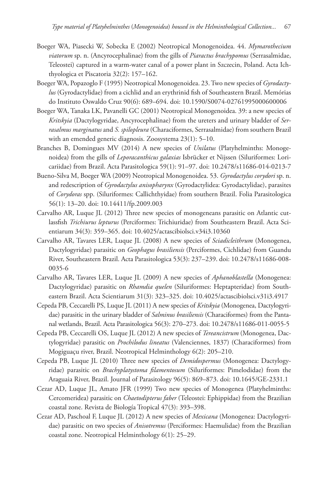- Boeger WA, Piasecki W, Sobecka E (2002) Neotropical Monogenoidea. 44. *Mymarothecium viatorum* sp. n. (Ancyrocephalinae) from the gills of *Piaractus brachypomus* (Serrasalmidae, Teleostei) captured in a warm-water canal of a power plant in Szczecin, Poland. Acta Ichthyologica et Piscatoria 32(2): 157–162.
- Boeger WA, Popazoglo F (1995) Neotropical Monogenoidea. 23. Two new species of *Gyrodactylus* (Gyrodactylidae) from a cichlid and an erythrinid fish of Southeastern Brazil. Memórias do Instituto Oswaldo Cruz 90(6): 689–694. [doi: 10.1590/S0074-02761995000600006](http://dx.doi.org/10.1590/S0074-02761995000600006)
- Boeger WA, Tanaka LK, Pavanelli GC (2001) Neotropical Monogenoidea. 39: a new species of *Kritskyia* (Dactylogyridae, Ancyrocephalinae) from the ureters and urinary bladder of *Serrasalmus marginatus* and *S. spilopleura* (Characiformes, Serrasalmidae) from southern Brazil with an emended generic diagnosis. Zoosystema 23(1): 5–10.
- Branches B, Domingues MV (2014) A new species of *Unilatus* (Platyhelminths: Monogenoidea) from the gills of *Leporacanthicus galaxias* Isbrücker et Nijssen (Siluriformes: Loricariidae) from Brazil. Acta Parasitologica 59(1): 91–97. [doi: 10.2478/s11686-014-0213-7](http://dx.doi.org/10.2478/s11686-014-0213-7)
- Bueno-Silva M, Boeger WA (2009) Neotropical Monogenoidea. 53. *Gyrodactylus corydori* sp. n. and redescription of *Gyrodactylus anisopharynx* (Gyrodactylidea: Gyrodactylidae), parasites of *Corydoras* spp. (Siluriformes: Callichthyidae) from southern Brazil. Folia Parasitologica 56(1): 13–20. [doi: 10.14411/fp.2009.003](http://dx.doi.org/10.14411/fp.2009.003)
- Carvalho AR, Luque JL (2012) Three new species of monogeneans parasitic on Atlantic cutlassfish *Trichiurus lepturus* (Perciformes: Trichiuridae) from Southeastern Brazil. Acta Scientiarum 34(3): 359–365. [doi: 10.4025/actascibiolsci.v34i3.10360](http://dx.doi.org/10.4025/actascibiolsci.v34i3.10360)
- Carvalho AR, Tavares LER, Luque JL (2008) A new species of *Sciadicleithrum* (Monogenea, Dactylogyridae) parasitic on *Geophagus brasiliensis* (Perciformes, Cichlidae) from Guandu River, Southeastern Brazil. Acta Parasitologica 53(3): 237–239. [doi: 10.2478/s11686-008-](http://dx.doi.org/10.2478/s11686-008-0035-6) [0035-6](http://dx.doi.org/10.2478/s11686-008-0035-6)
- Carvalho AR, Tavares LER, Luque JL (2009) A new species of *Aphanoblastella* (Monogenea: Dactylogyridae) parasitic on *Rhamdia quelen* (Siluriformes: Heptapteridae) from Southeastern Brazil. Acta Scientiarum 31(3): 323–325. [doi: 10.4025/actascibiolsci.v31i3.4917](http://dx.doi.org/10.4025/actascibiolsci.v31i3.4917)
- Cepeda PB, Ceccarelli PS, Luque JL (2011) A new species of *Kritskyia* (Monogenea, Dactylogyridae) parasitic in the urinary bladder of *Salminus brasiliensis* (Characiformes) from the Pantanal wetlands, Brazil. Acta Parasitologica 56(3): 270–273. [doi: 10.2478/s11686-011-0055-5](http://dx.doi.org/10.2478/s11686-011-0055-5)
- Cepeda PB, Ceccarelli OS, Luque JL (2012) A new species of *Tereancistrum* (Monogenea, Dactylogyridae) parasitic on *Prochilodus lineatus* (Valenciennes, 1837) (Characiformes) from Mogiguaçu river, Brazil. Neotropical Helminthology 6(2): 205–210.
- Cepeda PB, Luque JL (2010) Three new species of *Demidospermus* (Monogenea: Dactylogyridae) parasitic on *Brachyplatystoma filamentosum* (Siluriformes: Pimelodidae) from the Araguaia River, Brazil. Journal of Parasitology 96(5): 869–873. [doi: 10.1645/GE-2331.1](http://dx.doi.org/10.1645/GE-2331.1)
- Cezar AD, Luque JL, Amato JFR (1999) Two new species of Monogenea (Platyhelminths: Cercomeridea) parasitic on *Chaetodipterus faber* (Teleostei: Ephippidae) from the Brazilian coastal zone. Revista de Biología Tropical 47(3): 393–398.
- Cezar AD, Paschoal F, Luque JL (2012) A new species of *Mexicana* (Monogenea: Dactylogyridae) parasitic on two species of *Anisotremus* (Perciformes: Haemulidae) from the Brazilian coastal zone. Neotropical Helminthology 6(1): 25–29.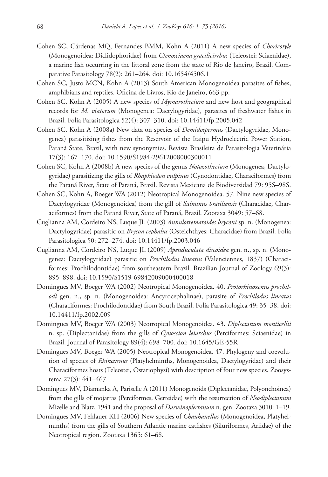- Cohen SC, Cárdenas MQ, Fernandes BMM, Kohn A (2011) A new species of *Choricotyle* (Monogenoidea: Diclidophoridae) from *Ctenosciaena gracilicirrhus* (Teleostei: Sciaenidae), a marine fish occurring in the littoral zone from the state of Rio de Janeiro, Brazil. Comparative Parasitology 78(2): 261–264. [doi: 10.1654/4506.1](http://dx.doi.org/10.1654/4506.1)
- Cohen SC, Justo MCN, Kohn A (2013) South American Monogenoidea parasites of fishes, amphibians and reptiles. Oficina de Livros, Rio de Janeiro, 663 pp.
- Cohen SC, Kohn A (2005) A new species of *Mymarothecium* and new host and geographical records for *M. viatorum* (Monogenea: Dactylogyridae), parasites of freshwater fishes in Brazil. Folia Parasitologica 52(4): 307–310. [doi: 10.14411/fp.2005.042](http://dx.doi.org/10.14411/fp.2005.042)
- Cohen SC, Kohn A (2008a) New data on species of *Demidospermus* (Dactylogyridae, Monogenea) parasitizing fishes from the Reservoir of the Itaipu Hydroelectric Power Station, Paraná State, Brazil, with new synonymies. Revista Brasileira de Parasitologia Veterinária 17(3): 167–170. [doi: 10.1590/S1984-29612008000300011](http://dx.doi.org/10.1590/S1984-29612008000300011)
- Cohen SC, Kohn A (2008b) A new species of the genus *Notozothecium* (Monogenea, Dactylogyridae) parasitizing the gills of *Rhaphiodon vulpinus* (Cynodontidae, Characiformes) from the Paraná River, State of Paraná, Brazil. Revista Mexicana de Biodiversidad 79: 95S–98S.
- Cohen SC, Kohn A, Boeger WA (2012) Neotropical Monogenoidea. 57. Nine new species of Dactylogyridae (Monogenoidea) from the gill of *Salminus brasiliensis* (Characidae, Characiformes) from the Paraná River, State of Paraná, Brazil. Zootaxa 3049: 57–68.
- Cuglianna AM, Cordeiro NS, Luque JL (2003) *Annulotrematoides bryconi* sp. n. (Monogenea: Dactylogyridae) parasitic on *Brycon cephalus* (Osteichthyes: Characidae) from Brazil. Folia Parasitologica 50: 272–274. [doi: 10.14411/fp.2003.046](http://dx.doi.org/10.14411/fp.2003.046)
- Cuglianna AM, Cordeiro NS, Luque JL (2009) *Apenduculata discoidea* gen. n., sp. n. (Monogenea: Dactylogyridae) parasitic on *Prochilodus lineatus* (Valenciennes, 1837) (Characiformes: Prochilodontidae) from southeastern Brazil. Brazilian Journal of Zoology 69(3): 895–898. [doi: 10.1590/S1519-69842009000400018](http://dx.doi.org/10.1590/S1519-69842009000400018)
- Domingues MV, Boeger WA (2002) Neotropical Monogenoidea. 40. *Protorhinoxenus prochilodi* gen. n., sp. n. (Monogenoidea: Ancyrocephalinae), parasite of *Prochilodus lineatus* (Characiformes: Prochilodontidae) from South Brazil. Folia Parasitologica 49: 35–38. [doi:](http://dx.doi.org/10.14411/fp.2002.009) [10.14411/fp.2002.009](http://dx.doi.org/10.14411/fp.2002.009)
- Domingues MV, Boeger WA (2003) Neotropical Monogenoidea. 43. *Diplectanum monticellii* n. sp. (Diplectanidae) from the gills of *Cynoscion leiarchus* (Perciformes: Sciaenidae) in Brazil. Journal of Parasitology 89(4): 698–700. [doi: 10.1645/GE-55R](http://dx.doi.org/10.1645/GE-55R)
- Domingues MV, Boeger WA (2005) Neotropical Monogenoidea. 47. Phylogeny and coevolution of species of *Rhinoxenus* (Platyhelminths, Monogenoidea, Dactylogyridae) and their Characiformes hosts (Teleostei, Ostariophysi) with description of four new species. Zoosystema 27(3): 441–467.
- Domingues MV, Diamanka A, Pariselle A (2011) Monogenoids (Diplectanidae, Polyonchoinea) from the gills of mojarras (Perciformes, Gerreidae) with the resurrection of *Neodiplectanum* Mizelle and Blatz, 1941 and the proposal of *Darwinoplectanum* n. gen. Zootaxa 3010: 1–19.
- Domingues MV, Fehlauer KH (2006) New species of *Chauhanellus* (Monogenoidea, Platyhelminths) from the gills of Southern Atlantic marine catfishes (Siluriformes, Ariidae) of the Neotropical region. Zootaxa 1365: 61–68.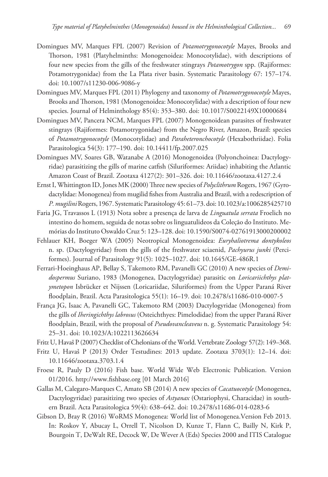- Domingues MV, Marques FPL (2007) Revision of *Potamotrygonocotyle* Mayes, Brooks and Thorson, 1981 (Platyhelminths: Monogenoidea: Monocotylidae), with descriptions of four new species from the gills of the freshwater stingrays *Potamotrygon* spp. (Rajiformes: Potamotrygonidae) from the La Plata river basin. Systematic Parasitology 67: 157–174. [doi: 10.1007/s11230-006-9086-y](http://dx.doi.org/10.1007/s11230-006-9086-y)
- Domingues MV, Marques FPL (2011) Phylogeny and taxonomy of *Potamotrygonocotyle* Mayes, Brooks and Thorson, 1981 (Monogenoidea: Monocotylidae) with a description of four new species. Journal of Helminthology 85(4): 353–380. [doi: 10.1017/S0022149X10000684](http://dx.doi.org/10.1017/S0022149X10000684)
- Domingues MV, Pancera NCM, Marques FPL (2007) Monogenoidean parasites of freshwater stingrays (Rajiformes: Potamotrygonidae) from the Negro River, Amazon, Brazil: species of *Potamotrygonocotyle* (Monocotylidae) and *Paraheteronchocotyle* (Hexabothriidae). Folia Parasitologica 54(3): 177–190. [doi: 10.14411/fp.2007.025](http://dx.doi.org/10.14411/fp.2007.025)
- Domingues MV, Soares GB, Watanabe A (2016) Monogenoidea (Polyonchoinea: Dactylogyridae) parasitizing the gills of marine catfish (Siluriformes: Ariidae) inhabiting the Atlantic Amazon Coast of Brazil. Zootaxa 4127(2): 301–326. [doi: 10.11646/zootaxa.4127.2.4](http://dx.doi.org/10.11646/zootaxa.4127.2.4)
- Ernst I, Whittington ID, Jones MK (2000) Three new species of *Polyclithrum* Rogers, 1967 (Gyrodactylidae: Monogenea) from mugilid fishes from Australia and Brazil, with a redescription of *P. mugilini* Rogers, 1967. Systematic Parasitology 45: 61–73. [doi: 10.1023/a:1006285425710](http://dx.doi.org/10.1023/a:1006285425710)
- Faria JG, Travassos L (1913) Nota sobre a presença de larva de *Linguatula serrata* Froelich no intestino do homem, seguida de notas sobre os linguatulideos da Coleção do Instituto. Memórias do Instituto Oswaldo Cruz 5: 123–128. [doi: 10.1590/S0074-02761913000200002](http://dx.doi.org/10.1590/S0074-02761913000200002)
- Fehlauer KH, Boeger WA (2005) Neotropical Monogenoidea: *Euryhaliotrema dontykoleos* n. sp. (Dactylogyridae) from the gills of the freshwater sciaenid, *Pachyurus junki* (Perciformes). Journal of Parasitology 91(5): 1025–1027. [doi: 10.1645/GE-486R.1](http://dx.doi.org/10.1645/GE-486R.1)
- Ferrari-Hoeinghaus AP, Bellay S, Takemoto RM, Pavanelli GC (2010) A new species of *Demidospermus* Suriano, 1983 (Monogenea, Dactylogyridae) parasitic on *Loricariichthys platymetopon* Isbrücker et Nijssen (Loricariidae, Siluriformes) from the Upper Paraná River floodplain, Brazil. Acta Parasitologica 55(1): 16–19. [doi: 10.2478/s11686-010-0007-5](http://dx.doi.org/10.2478/s11686-010-0007-5)
- França JG, Isaac A, Pavanelli GC, Takemoto RM (2003) Dactylogyridae (Monogenea) from the gills of *Iheringichthys labrosus* (Osteichthyes: Pimelodidae) from the upper Paraná River floodplain, Brazil, with the proposal of *Pseudovancleaveus* n. g. Systematic Parasitology 54: 25–31. [doi: 10.1023/A:1022113626634](http://dx.doi.org/10.1023/A:1022113626634)
- Fritz U, Havaš P (2007) Checklist of Chelonians of the World. Vertebrate Zoology 57(2): 149–368.
- Fritz U, Havaš P (2013) Order Testudines: 2013 update. Zootaxa 3703(1): 12–14. [doi:](http://dx.doi.org/10.11646/zootaxa.3703.1.4) [10.11646/zootaxa.3703.1.4](http://dx.doi.org/10.11646/zootaxa.3703.1.4)
- Froese R, Pauly D (2016) Fish base. World Wide Web Electronic Publication. Version 01/2016. <http://www.fishbase.org> [01 March 2016]
- Gallas M, Calegaro-Marques C, Amato SB (2014) A new species of *Cacatuocotyle* (Monogenea, Dactylogyridae) parasitizing two species of *Astyanax* (Ostariophysi, Characidae) in southern Brazil. Acta Parasitologica 59(4): 638–642. [doi: 10.2478/s11686-014-0283-6](http://dx.doi.org/10.2478/s11686-014-0283-6)
- Gibson D, Bray R (2016) WoRMS Monogenea: World list of Monogenea.Version Feb 2013. In: Roskov Y, Abucay L, Orrell T, Nicolson D, Kunze T, Flann C, Bailly N, Kirk P, Bourgoin T, DeWalt RE, Decock W, De Wever A (Eds) Species 2000 and ITIS Catalogue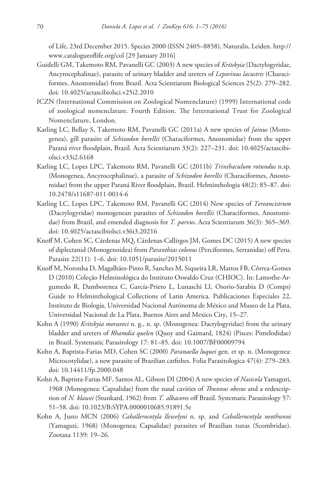of Life, 23rd December 2015. Species 2000 (ISSN 2405–8858), Naturalis, Leiden. [http://](http://www.catalogueoflife.org/col) [www.catalogueoflife.org/col](http://www.catalogueoflife.org/col) [29 January 2016]

- Guidelli GM, Takemoto RM, Pavanelli GC (2003) A new species of *Kritskyia* (Dactylogyridae, Ancyrocephalinae), parasite of urinary bladder and ureters of *Leporinus lacustris* (Characiformes, Anostomidae) from Brazil. Acta Scientiarum Biological Sciences 25(2): 279–282. [doi: 10.4025/actascibiolsci.v25i2.2010](http://dx.doi.org/10.4025/actascibiolsci.v25i2.2010)
- ICZN (International Commission on Zoological Nomenclature) (1999) International code of zoological nomenclature. Fourth Edition. The International Trust for Zoological Nomenclature, London.
- Karling LC, Bellay S, Takemoto RM, Pavanelli GC (2011a) A new species of *Jainus* (Monogenea), gill parasite of *Schizodon borellii* (Characiformes, Anostomidae) from the upper Paraná river floodplain, Brazil. Acta Scientiarum 33(2): 227–231. [doi: 10.4025/actascibi](http://dx.doi.org/10.4025/actascibiolsci.v33i2.6168)[olsci.v33i2.6168](http://dx.doi.org/10.4025/actascibiolsci.v33i2.6168)
- Karling LC, Lopes LPC, Takemoto RM, Pavanelli GC (2011b) *Trinibaculum rotundus* n.sp. (Monogenea, Ancyrocephalinae), a parasite of *Schizodon borellii* (Characiformes, Anostomidae) from the upper Paraná River floodplain, Brazil. Helminthologia 48(2): 85–87. [doi:](http://dx.doi.org/10.2478/s11687-011-0014-6) [10.2478/s11687-011-0014-6](http://dx.doi.org/10.2478/s11687-011-0014-6)
- Karling LC, Lopes LPC, Takemoto RM, Pavanelli GC (2014) New species of *Tereancistrum* (Dactylogyridae) monogenean parasites of *Schizodon borellii* (Characiformes, Anostomidae) from Brazil, and emended diagnosis for *T. parvus*. Acta Scientiarum 36(3): 365–369. [doi: 10.4025/actascibiolsci.v36i3.20216](http://dx.doi.org/10.4025/actascibiolsci.v36i3.20216)
- Knoff M, Cohen SC, Cárdenas MQ, Cárdenas-Callirgos JM, Gomes DC (2015) A new species of diplectanid (Monogenoidea) from *Paranthias colonus* (Perciformes, Serranidae) off Peru. Parasite 22(11): 1–6. [doi: 10.1051/parasite/2015011](http://dx.doi.org/10.1051/parasite/2015011)
- Knoff M, Noronha D, Magalhães-Pinto R, Sanches M, Siqueira LR, Mattos FB, Côrrea-Gomes D (2010) Coleção Helminológica do Instituto Oswaldo Cruz (CHIOC). In: Lamothe-Argumedo R, Damborenea C, García-Prieto L, Lunaschi LI, Osorio-Sarabia D (Comps) Guide to Helminthological Collections of Latin America. Publicaciones Especiales 22, Instituto de Biología, Universidad Nacional Autónoma de México and Museo de La Plata, Universidad Nacional de La Plata, Buenos Aires and Mexico City, 15–27.
- Kohn A (1990) *Kritskyia moraveci* n. g., n. sp. (Monogenea: Dactylogyridae) from the urinary bladder and ureters of *Rhamdia quelen* (Quoy and Gaimard, 1824) (Pisces: Pimelodidae) in Brazil. Systematic Parasitology 17: 81–85. [doi: 10.1007/BF00009794](http://dx.doi.org/10.1007/BF00009794)
- Kohn A, Baptista-Farias MD, Cohen SC (2000) *Paranaella luquei* gen. et sp. n. (Monogenea: Microcotylidae), a new parasite of Brazilian catfishes. Folia Parasitologica 47(4): 279–283. [doi: 10.14411/fp.2000.048](http://dx.doi.org/10.14411/fp.2000.048)
- Kohn A, Baptista-Farias MF, Santos AL, Gibson DI (2004) A new species of *Nasicola* Yamaguti, 1968 (Monogenea: Capsalidae) from the nasal cavities of *Thunnus obesus* and a redescription of *N. klawei* (Stunkard, 1962) from *T. albacores* off Brazil. Systematic Parasitology 57: 51–58. [doi: 10.1023/B:SYPA.0000010685.91891.5e](http://dx.doi.org/10.1023/B:SYPA.0000010685.91891.5e)
- Kohn A, Justo MCN (2006) *Caballerocotyla llewelyni* n. sp. and *Caballerocotyla neothunni* (Yamaguti, 1968) (Monogenea; Capsalidae) parasites of Brazilian tunas (Scombridae). Zootaxa 1139: 19–26.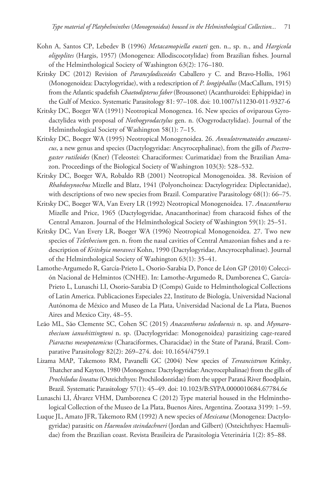- Kohn A, Santos CP, Lebedev B (1996) *Metacamopiella euzeti* gen. n., sp. n., and *Hargicola oligoplites* (Hargis, 1957) (Monogenea: Allodiscocotylidae) from Brazilian fishes. Journal of the Helminthological Society of Washington 63(2): 176–180.
- Kritsky DC (2012) Revision of *Parancylodiscoides* Caballero y C. and Bravo-Hollis, 1961 (Monogenoidea: Dactylogyridae), with a redescription of *P. longiphallus* (MacCallum, 1915) from the Atlantic spadefish *Chaetodipterus faber* (Broussonet) (Acanthuroidei: Ephippidae) in the Gulf of Mexico. Systematic Parasitology 81: 97–108. [doi: 10.1007/s11230-011-9327-6](http://dx.doi.org/10.1007/s11230-011-9327-6)
- Kritsky DC, Boeger WA (1991) Neotropical Monogenea. 16. New species of oviparous Gyrodactylidea with proposal of *Nothogyrodactylus* gen. n. (Oogyrodactylidae). Journal of the Helminthological Society of Washington 58(1): 7–15.
- Kritsky DC, Boeger WA (1995) Neotropical Monogenoidea. 26. *Annulotrematoides amazonicus*, a new genus and species (Dactylogyridae: Ancyrocephalinae), from the gills of *Psectrogaster rutiloides* (Kner) (Teleostei: Characiformes: Curimatidae) from the Brazilian Amazon. Proceedings of the Biological Society of Washington 103(3): 528–532.
- Kritsky DC, Boeger WA, Robaldo RB (2001) Neotropical Monogenoidea. 38. Revision of *Rhabdosynochus* Mizelle and Blatz, 1941 (Polyonchoinea: Dactylogyridea: Diplectanidae), with descriptions of two new species from Brazil. Comparative Parasitology 68(1): 66–75.
- Kritsky DC, Boeger WA, Van Every LR (1992) Neotropical Monogenoidea. 17. *Anacanthorus* Mizelle and Price, 1965 (Dactylogyridae, Anacanthorinae) from characoid fishes of the Central Amazon. Journal of the Helminthological Society of Washington 59(1): 25–51.
- Kritsky DC, Van Every LR, Boeger WA (1996) Neotropical Monogenoidea. 27. Two new species of *Telethecium* gen. n. from the nasal cavities of Central Amazonian fishes and a redescription of *Kritskyia moraveci* Kohn, 1990 (Dactylogyridae, Ancyrocephalinae). Journal of the Helminthological Society of Washington 63(1): 35–41.
- Lamothe-Argumedo R, García-Prieto L, Osorio-Sarabia D, Ponce de Léon GP (2010) Colección Nacional de Helmintos (CNHE). In: Lamothe-Argumedo R, Damborenea C, García-Prieto L, Lunaschi LI, Osorio-Sarabia D (Comps) Guide to Helminthological Collections of Latin America. Publicaciones Especiales 22, Instituto de Biología, Universidad Nacional Autónoma de México and Museo de La Plata, Universidad Nacional de La Plata, Buenos Aires and Mexico City, 48–55.
- Leão ML, São Clemente SC, Cohen SC (2015) *Anacanthorus toledoensis* n. sp. and *Mymarothecium ianwhittingtoni* n. sp. (Dactylogyridae: Monogenoidea) parasitizing cage-reared *Piaractus mesopotamicus* (Characiformes, Characidae) in the State of Paraná, Brazil. Comparative Parasitology 82(2): 269–274. [doi: 10.1654/4759.1](http://dx.doi.org/10.1654/4759.1)
- Lizama MAP, Takemoto RM, Pavanelli GC (2004) New species of *Tereancistrum* Kritsky, Thatcher and Kayton, 1980 (Monogenea: Dactylogyridae: Ancyrocephalinae) from the gills of *Prochilodus lineatus* (Osteichthyes: Prochilodontidae) from the upper Paraná River floodplain, Brazil. Systematic Parasitology 57(1): 45–49. [doi: 10.1023/B:SYPA.0000010684.67784.6e](http://dx.doi.org/10.1023/B:SYPA.0000010684.67784.6e)
- Lunaschi LI, Álvarez VHM, Damborenea C (2012) Type material housed in the Helminthological Collection of the Museo de La Plata, Buenos Aires, Argentina. Zootaxa 3199: 1–59.
- Luque JL, Amato JFR, Takemoto RM (1992) A new species of *Mexicana* (Monogenea: Dactylogyridae) parasitic on *Haemulon steindachneri* (Jordan and Gilbert) (Osteichthyes: Haemulidae) from the Brazilian coast. Revista Brasileira de Parasitologia Veterinária 1(2): 85–88.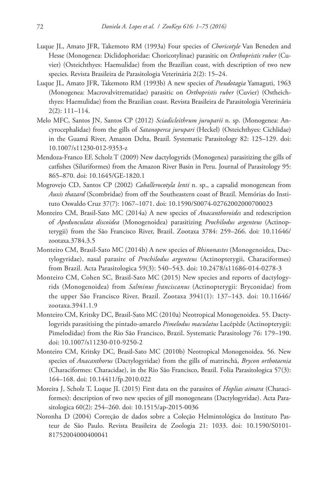- Luque JL, Amato JFR, Takemoto RM (1993a) Four species of *Choricotyle* Van Beneden and Hesse (Monogenea: Diclidophoridae: Choricotylinae) parasitic on *Orthopristis ruber* (Cuvier) (Osteichthyes: Haemulidae) from the Brazilian coast, with description of two new species. Revista Brasileira de Parasitologia Veterinária 2(2): 15–24.
- Luque JL, Amato JFR, Takemoto RM (1993b) A new species of *Pseudotagia* Yamaguti, 1963 (Monogenea: Macrovalvitrematidae) parasitic on *Orthopristis ruber* (Cuvier) (Ostheichthyes: Haemulidae) from the Brazilian coast. Revista Brasileira de Parasitologia Veterinária 2(2): 111–114.
- Melo MFC, Santos JN, Santos CP (2012) *Sciadicleithrum juruparii* n. sp. (Monogenea: Ancyrocephalidae) from the gills of *Satanoperca jurupari* (Heckel) (Osteichthyes: Cichlidae) in the Guamá River, Amazon Delta, Brazil. Systematic Parasitology 82: 125–129. [doi:](http://dx.doi.org/10.1007/s11230-012-9353-z) [10.1007/s11230-012-9353-z](http://dx.doi.org/10.1007/s11230-012-9353-z)
- Mendoza-Franco EF, Scholz T (2009) New dactylogyrids (Monogenea) parasitizing the gills of catfishes (Siluriformes) from the Amazon River Basin in Peru. Journal of Parasitology 95: 865–870. [doi: 10.1645/GE-1820.1](http://dx.doi.org/10.1645/GE-1820.1)
- Mogrovejo CD, Santos CP (2002) *Caballerocotyla lenti* n. sp., a capsalid monogenean from *Auxis thazard* (Scombridae) from off the Southeastern coast of Brazil. Memórias do Instituto Oswaldo Cruz 37(7): 1067–1071. [doi: 10.1590/S0074-02762002000700023](http://dx.doi.org/10.1590/S0074-02762002000700023)
- Monteiro CM, Brasil-Sato MC (2014a) A new species of *Anacanthoroides* and redescription of *Apedunculata discoidea* (Monogenoidea) parasitizing *Prochilodus argenteus* (Actinopterygii) from the São Francisco River, Brazil. Zootaxa 3784: 259–266. [doi: 10.11646/](http://dx.doi.org/10.11646/zootaxa.3784.3.5) [zootaxa.3784.3.5](http://dx.doi.org/10.11646/zootaxa.3784.3.5)
- Monteiro CM, Brasil-Sato MC (2014b) A new species of *Rhinonastes* (Monogenoidea, Dactylogyridae), nasal parasite of *Prochilodus argenteus* (Actinopterygii, Characiformes) from Brazil. Acta Parasitologica 59(3): 540–543. [doi: 10.2478/s11686-014-0278-3](http://dx.doi.org/10.2478/s11686-014-0278-3)
- Monteiro CM, Cohen SC, Brasil-Sato MC (2015) New species and reports of dactylogyrids (Monogenoidea) from *Salminus franciscanus* (Actinopterygii: Bryconidae) from the upper São Francisco River, Brazil. Zootaxa 3941(1): 137–143. [doi: 10.11646/](http://dx.doi.org/10.11646/zootaxa.3941.1.9) [zootaxa.3941.1.9](http://dx.doi.org/10.11646/zootaxa.3941.1.9)
- Monteiro CM, Kritsky DC, Brasil-Sato MC (2010a) Neotropical Monogenoidea. 55. Dactylogyrids parasitising the pintado-amarelo *Pimelodus maculatus* Lacépède (Actinopterygii: Pimelodidae) from the Rio São Francisco, Brazil. Systematic Parasitology 76: 179–190. [doi: 10.1007/s11230-010-9250-2](http://dx.doi.org/10.1007/s11230-010-9250-2)
- Monteiro CM, Kritsky DC, Brasil-Sato MC (2010b) Neotropical Monogenoidea. 56. New species of *Anacanthorus* (Dactylogyridae) from the gills of matrinchã, *Brycon orthotaenia* (Characiformes: Characidae), in the Rio São Francisco, Brazil. Folia Parasitologica 57(3): 164–168. [doi: 10.14411/fp.2010.022](http://dx.doi.org/10.14411/fp.2010.022)
- Moreira J, Scholz T, Luque JL (2015) First data on the parasites of *Hoplias aimara* (Characiformes): description of two new species of gill monogeneans (Dactylogyridae). Acta Parasitologica 60(2): 254–260. [doi: 10.1515/ap-2015-0036](http://dx.doi.org/10.1515/ap-2015-0036)
- Noronha D (2004) Correção de dados sobre a Coleção Helmintológica do Instituto Pasteur de São Paulo. Revista Brasileira de Zoologia 21: 1033. [doi: 10.1590/S0101-](http://dx.doi.org/10.1590/S0101-81752004000400041) [81752004000400041](http://dx.doi.org/10.1590/S0101-81752004000400041)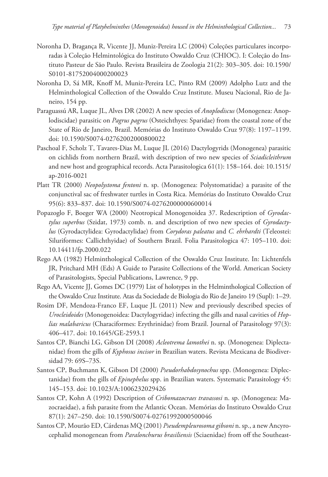- Noronha D, Bragança R, Vicente JJ, Muniz-Pereira LC (2004) Coleções particulares incorporadas à Coleção Helmintológica do Instituto Oswaldo Cruz (CHIOC). I: Coleção do Instituto Pasteur de São Paulo. Revista Brasileira de Zoologia 21(2): 303–305. [doi: 10.1590/](http://dx.doi.org/10.1590/S0101-81752004000200023) [S0101-81752004000200023](http://dx.doi.org/10.1590/S0101-81752004000200023)
- Noronha D, Sá MR, Knoff M, Muniz-Pereira LC, Pinto RM (2009) Adolpho Lutz and the Helminthological Collection of the Oswaldo Cruz Institute. Museu Nacional, Rio de Janeiro, 154 pp.
- Paraguassú AR, Luque JL, Alves DR (2002) A new species of *Anoplodiscus* (Monogenea: Anoplodiscidae) parasitic on *Pagrus pagrus* (Osteichthyes: Sparidae) from the coastal zone of the State of Rio de Janeiro, Brazil. Memórias do Instituto Oswaldo Cruz 97(8): 1197–1199. [doi: 10.1590/S0074-02762002000800022](http://dx.doi.org/10.1590/S0074-02762002000800022)
- Paschoal F, Scholz T, Tavares-Dias M, Luque JL (2016) Dactylogyrids (Monogenea) parasitic on cichlids from northern Brazil, with description of two new species of *Sciadicleithrum* and new host and geographical records. Acta Parasitologica 61(1): 158–164. [doi: 10.1515/](http://dx.doi.org/10.1515/ap-2016-0021) [ap-2016-0021](http://dx.doi.org/10.1515/ap-2016-0021)
- Platt TR (2000) *Neopolystoma fentoni* n. sp. (Monogenea: Polystomatidae) a parasite of the conjunctival sac of freshwater turtles in Costa Rica. Memórias do Instituto Oswaldo Cruz 95(6): 833–837. [doi: 10.1590/S0074-02762000000600014](http://dx.doi.org/10.1590/S0074-02762000000600014)
- Popazoglo F, Boeger WA (2000) Neotropical Monogenoidea 37. Redescription of *Gyrodactylus superbus* (Szidat, 1973) comb. n. and description of two new species of *Gyrodactylus* (Gyrodactylidea: Gyrodactylidae) from *Corydoras paleatus* and *C. ehrhardti* (Teleostei: Siluriformes: Callichthyidae) of Southern Brazil. Folia Parasitologica 47: 105–110. [doi:](http://dx.doi.org/10.14411/fp.2000.022) [10.14411/fp.2000.022](http://dx.doi.org/10.14411/fp.2000.022)
- Rego AA (1982) Helminthological Collection of the Oswaldo Cruz Institute. In: Lichtenfels JR, Pritchard MH (Eds) A Guide to Parasite Collections of the World. American Society of Parasitologists, Special Publications, Lawrence, 9 pp.
- Rego AA, Vicente JJ, Gomes DC (1979) List of holotypes in the Helminthological Collection of the Oswaldo Cruz Institute. Atas da Sociedade de Biologia do Rio de Janeiro 19 (Supl): 1–29.
- Rosim DF, Mendoza-Franco EF, Luque JL (2011) New and previously described species of *Urocleidoides* (Monogenoidea: Dactylogyridae) infecting the gills and nasal cavities of *Hoplias malabaricus* (Characiformes: Erythrinidae) from Brazil. Journal of Parasitology 97(3): 406–417. [doi: 10.1645/GE-2593.1](http://dx.doi.org/10.1645/GE-2593.1)
- Santos CP, Bianchi LG, Gibson DI (2008) *Acleotrema lamothei* n. sp. (Monogenea: Diplectanidae) from the gills of *Kyphosus incisor* in Brazilian waters. Revista Mexicana de Biodiversidad 79: 69S–73S.
- Santos CP, Buchmann K, Gibson DI (2000) *Pseudorhabdosynochus* spp. (Monogenea: Diplectanidae) from the gills of *Epinephelus* spp. in Brazilian waters. Systematic Parasitology 45: 145–153. [doi: 10.1023/A:1006232029426](http://dx.doi.org/10.1023/A:1006232029426)
- Santos CP, Kohn A (1992) Description of *Cribomazocraes travassosi* n. sp. (Monogenea: Mazocraeidae), a fish parasite from the Atlantic Ocean. Memórias do Instituto Oswaldo Cruz 87(1): 247–250. [doi: 10.1590/S0074-02761992000500046](http://dx.doi.org/10.1590/S0074-02761992000500046)
- Santos CP, Mourão ED, Cárdenas MQ (2001) *Pseudempleurosoma gibsoni* n. sp., a new Ancyrocephalid monogenean from *Paralonchurus brasiliensis* (Sciaenidae) from off the Southeast-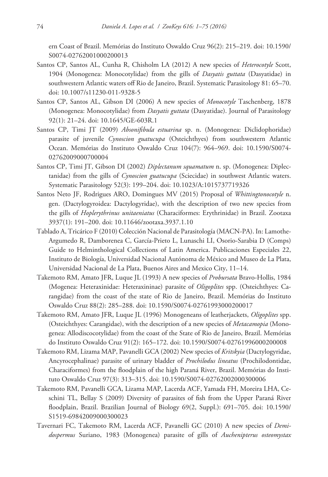ern Coast of Brazil. Memórias do Instituto Oswaldo Cruz 96(2): 215–219. [doi: 10.1590/](http://dx.doi.org/10.1590/S0074-02762001000200013) [S0074-02762001000200013](http://dx.doi.org/10.1590/S0074-02762001000200013)

- Santos CP, Santos AL, Cunha R, Chisholm LA (2012) A new species of *Heterocotyle* Scott, 1904 (Monogenea: Monocotylidae) from the gills of *Dasyatis guttata* (Dasyatidae) in southwestern Atlantic waters off Rio de Janeiro, Brazil. Systematic Parasitology 81: 65–70. [doi: 10.1007/s11230-011-9328-5](http://dx.doi.org/10.1007/s11230-011-9328-5)
- Santos CP, Santos AL, Gibson DI (2006) A new species of *Monocotyle* Taschenberg, 1878 (Monogenea: Monocotylidae) from *Dasyatis guttata* (Dasyatidae). Journal of Parasitology 92(1): 21–24. [doi: 10.1645/GE-603R.1](http://dx.doi.org/10.1645/GE-603R.1)
- Santos CP, Timi JT (2009) *Absonifibula estuarina* sp. n. (Monogenea: Diclidophoridae) parasite of juvenile *Cynoscion guatucupa* (Osteichthyes) from southwestern Atlantic Ocean. Memórias do Instituto Oswaldo Cruz 104(7): 964–969. [doi: 10.1590/S0074-](http://dx.doi.org/10.1590/S0074-02762009000700004) [02762009000700004](http://dx.doi.org/10.1590/S0074-02762009000700004)
- Santos CP, Timi JT, Gibson DI (2002) *Diplectanum squamatum* n. sp. (Monogenea: Diplectanidae) from the gills of *Cynoscion guatucupa* (Sciecidae) in southwest Atlantic waters. Systematic Parasitology 52(3): 199–204. [doi: 10.1023/A:1015737719326](http://dx.doi.org/10.1023/A:1015737719326)
- Santos Neto JF, Rodrigues ARO, Domingues MV (2015) Proposal of *Whittingtonocotyle* n. gen. (Dactylogyroidea: Dactylogyridae), with the description of two new species from the gills of *Hoplerythrinus unitaeniatus* (Characiformes: Erythrinidae) in Brazil. Zootaxa 3937(1): 191–200. [doi: 10.11646/zootaxa.3937.1.10](http://dx.doi.org/10.11646/zootaxa.3937.1.10)
- Tablado A, Tricárico F (2010) Colección Nacional de Parasitología (MACN-PA). In: Lamothe-Argumedo R, Damborenea C, García-Prieto L, Lunaschi LI, Osorio-Sarabia D (Comps) Guide to Helminthological Collections of Latin America. Publicaciones Especiales 22, Instituto de Biología, Universidad Nacional Autónoma de México and Museo de La Plata, Universidad Nacional de La Plata, Buenos Aires and Mexico City, 11–14.
- Takemoto RM, Amato JFR, Luque JL (1993) A new species of *Probursata* Bravo-Hollis, 1984 (Mogenea: Heteraxinidae: Heteraxininae) parasite of *Oligoplites* spp. (Osteichthyes: Carangidae) from the coast of the state of Rio de Janeiro, Brazil. Memórias do Instituto Oswaldo Cruz 88(2): 285–288. [doi: 10.1590/S0074-02761993000200017](http://dx.doi.org/10.1590/S0074-02761993000200017)
- Takemoto RM, Amato JFR, Luque JL (1996) Monogeneans of leatherjackets, *Oligoplites* spp. (Osteichthyes: Carangidae), with the description of a new species of *Metacamopia* (Monogenea: Allodiscocotylidae) from the coast of the State of Rio de Janeiro, Brazil. Memórias do Instituto Oswaldo Cruz 91(2): 165–172. [doi: 10.1590/S0074-02761996000200008](http://dx.doi.org/10.1590/S0074-02761996000200008)
- Takemoto RM, Lizama MAP, Pavanelli GCA (2002) New species of *Kritskyia* (Dactylogyridae, Ancyrocephalinae) parasite of urinary bladder of *Prochilodus lineatus* (Prochilodontidae, Characiformes) from the floodplain of the high Paraná River, Brazil. Memórias do Instituto Oswaldo Cruz 97(3): 313–315. [doi: 10.1590/S0074-02762002000300006](http://dx.doi.org/10.1590/S0074-02762002000300006)
- Takemoto RM, Pavanelli GCA, Lizama MAP, Lacerda ACF, Yamada FH, Moreira LHA, Ceschini TL, Bellay S (2009) Diversity of parasites of fish from the Upper Paraná River floodplain, Brazil. Brazilian Journal of Biology 69(2, Suppl.): 691–705. [doi: 10.1590/](http://dx.doi.org/10.1590/S1519-69842009000300023) [S1519-69842009000300023](http://dx.doi.org/10.1590/S1519-69842009000300023)
- Tavernari FC, Takemoto RM, Lacerda ACF, Pavanelli GC (2010) A new species of *Demidospermus* Suriano, 1983 (Monogenea) parasite of gills of *Auchenipterus osteomystax*